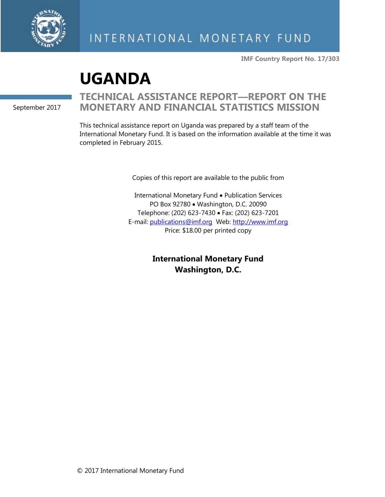

**IMF Country Report No. 17/303**

# **UGANDA**

September 2017

# **TECHNICAL ASSISTANCE REPORT—REPORT ON THE MONETARY AND FINANCIAL STATISTICS MISSION**

This technical assistance report on Uganda was prepared by a staff team of the International Monetary Fund. It is based on the information available at the time it was completed in February 2015.

Copies of this report are available to the public from

International Monetary Fund • Publication Services PO Box 92780 • Washington, D.C. 20090 Telephone: (202) 623-7430 • Fax: (202) 623-7201 E-mail: [publications@imf.org](mailto:publications@imf.org) Web: [http://www.imf.org](http://0-www-imf-org.library.svsu.edu/) Price: \$18.00 per printed copy

> **International Monetary Fund Washington, D.C.**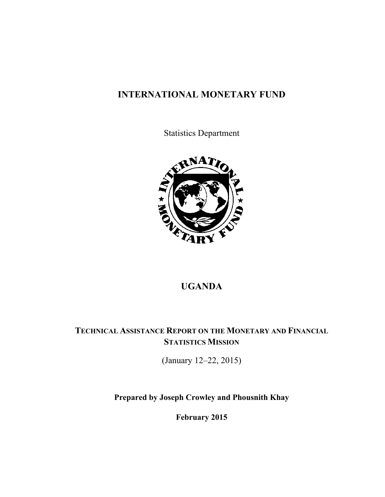# **INTERNATIONAL MONETARY FUND**

Statistics Department



## **UGANDA**

# **TECHNICAL ASSISTANCE REPORT ON THE MONETARY AND FINANCIAL STATISTICS MISSION**

(January 12–22, 2015)

**Prepared by Joseph Crowley and Phousnith Khay** 

**February 2015**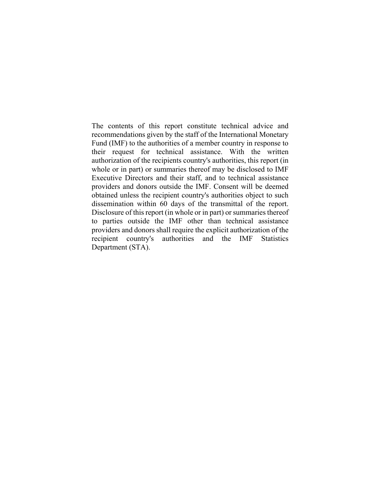The contents of this report constitute technical advice and recommendations given by the staff of the International Monetary Fund (IMF) to the authorities of a member country in response to their request for technical assistance. With the written authorization of the recipients country's authorities, this report (in whole or in part) or summaries thereof may be disclosed to IMF Executive Directors and their staff, and to technical assistance providers and donors outside the IMF. Consent will be deemed obtained unless the recipient country's authorities object to such dissemination within 60 days of the transmittal of the report. Disclosure of this report (in whole or in part) or summaries thereof to parties outside the IMF other than technical assistance providers and donors shall require the explicit authorization of the recipient country's authorities and the IMF Statistics Department (STA).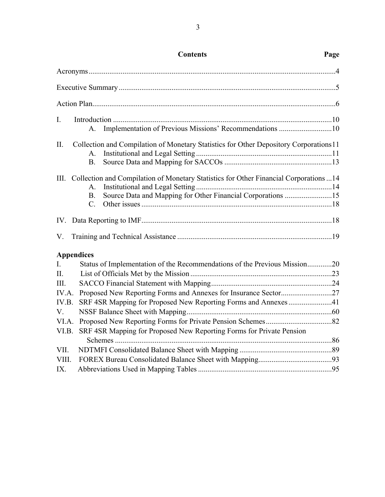| I.                                                                                                          |  |
|-------------------------------------------------------------------------------------------------------------|--|
| Implementation of Previous Missions' Recommendations 10<br>A.                                               |  |
| П.<br>Collection and Compilation of Monetary Statistics for Other Depository Corporations 11<br>$A_{\cdot}$ |  |
| $B_{\cdot}$                                                                                                 |  |
| Collection and Compilation of Monetary Statistics for Other Financial Corporations14<br>Ш.                  |  |
| $A_{\cdot}$                                                                                                 |  |
| Source Data and Mapping for Other Financial Corporations 15<br>$B_{\cdot}$                                  |  |
| $C_{\cdot}$                                                                                                 |  |
|                                                                                                             |  |
| V.                                                                                                          |  |
| <b>Appendices</b>                                                                                           |  |
| Status of Implementation of the Recommendations of the Previous Mission20<br>I.                             |  |
| Π.                                                                                                          |  |
| III.                                                                                                        |  |
| IV.A.                                                                                                       |  |
| SRF 4SR Mapping for Proposed New Reporting Forms and Annexes41<br>IV.B.                                     |  |
| V.                                                                                                          |  |
| VI.A.                                                                                                       |  |
| VI.B.<br>SRF 4SR Mapping for Proposed New Reporting Forms for Private Pension                               |  |
| VII.                                                                                                        |  |
| VIII.                                                                                                       |  |
| IX.                                                                                                         |  |
|                                                                                                             |  |

### **Contents Page**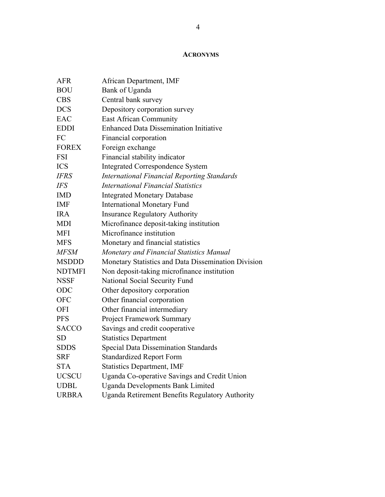### **ACRONYMS**

| <b>AFR</b>    | African Department, IMF                                |
|---------------|--------------------------------------------------------|
| <b>BOU</b>    | Bank of Uganda                                         |
| <b>CBS</b>    | Central bank survey                                    |
| <b>DCS</b>    | Depository corporation survey                          |
| EAC           | <b>East African Community</b>                          |
| <b>EDDI</b>   | <b>Enhanced Data Dissemination Initiative</b>          |
| FC            | Financial corporation                                  |
| <b>FOREX</b>  | Foreign exchange                                       |
| <b>FSI</b>    | Financial stability indicator                          |
| <b>ICS</b>    | <b>Integrated Correspondence System</b>                |
| <b>IFRS</b>   | <b>International Financial Reporting Standards</b>     |
| <b>IFS</b>    | <b>International Financial Statistics</b>              |
| <b>IMD</b>    | <b>Integrated Monetary Database</b>                    |
| <b>IMF</b>    | <b>International Monetary Fund</b>                     |
| <b>IRA</b>    | <b>Insurance Regulatory Authority</b>                  |
| <b>MDI</b>    | Microfinance deposit-taking institution                |
| <b>MFI</b>    | Microfinance institution                               |
| <b>MFS</b>    | Monetary and financial statistics                      |
| <b>MFSM</b>   | Monetary and Financial Statistics Manual               |
| <b>MSDDD</b>  | Monetary Statistics and Data Dissemination Division    |
| <b>NDTMFI</b> | Non deposit-taking microfinance institution            |
| <b>NSSF</b>   | National Social Security Fund                          |
| ODC           | Other depository corporation                           |
| <b>OFC</b>    | Other financial corporation                            |
| <b>OFI</b>    | Other financial intermediary                           |
| <b>PFS</b>    | <b>Project Framework Summary</b>                       |
| <b>SACCO</b>  | Savings and credit cooperative                         |
| <b>SD</b>     | <b>Statistics Department</b>                           |
| <b>SDDS</b>   | <b>Special Data Dissemination Standards</b>            |
| <b>SRF</b>    | <b>Standardized Report Form</b>                        |
| <b>STA</b>    | <b>Statistics Department, IMF</b>                      |
| <b>UCSCU</b>  | Uganda Co-operative Savings and Credit Union           |
| <b>UDBL</b>   | <b>Uganda Developments Bank Limited</b>                |
| <b>URBRA</b>  | <b>Uganda Retirement Benefits Regulatory Authority</b> |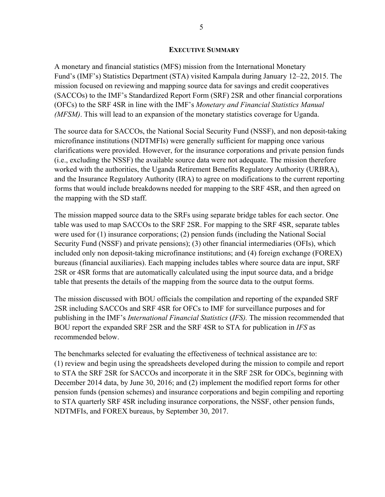### **EXECUTIVE SUMMARY**

A monetary and financial statistics (MFS) mission from the International Monetary Fund's (IMF's) Statistics Department (STA) visited Kampala during January 12–22, 2015. The mission focused on reviewing and mapping source data for savings and credit cooperatives (SACCOs) to the IMF's Standardized Report Form (SRF) 2SR and other financial corporations (OFCs) to the SRF 4SR in line with the IMF's *Monetary and Financial Statistics Manual (MFSM)*. This will lead to an expansion of the monetary statistics coverage for Uganda.

The source data for SACCOs, the National Social Security Fund (NSSF), and non deposit-taking microfinance institutions (NDTMFIs) were generally sufficient for mapping once various clarifications were provided. However, for the insurance corporations and private pension funds (i.e., excluding the NSSF) the available source data were not adequate. The mission therefore worked with the authorities, the Uganda Retirement Benefits Regulatory Authority (URBRA), and the Insurance Regulatory Authority (IRA) to agree on modifications to the current reporting forms that would include breakdowns needed for mapping to the SRF 4SR, and then agreed on the mapping with the SD staff.

The mission mapped source data to the SRFs using separate bridge tables for each sector. One table was used to map SACCOs to the SRF 2SR. For mapping to the SRF 4SR, separate tables were used for (1) insurance corporations; (2) pension funds (including the National Social Security Fund (NSSF) and private pensions); (3) other financial intermediaries (OFIs), which included only non deposit-taking microfinance institutions; and (4) foreign exchange (FOREX) bureaus (financial auxiliaries). Each mapping includes tables where source data are input, SRF 2SR or 4SR forms that are automatically calculated using the input source data, and a bridge table that presents the details of the mapping from the source data to the output forms.

The mission discussed with BOU officials the compilation and reporting of the expanded SRF 2SR including SACCOs and SRF 4SR for OFCs to IMF for surveillance purposes and for publishing in the IMF's *International Financial Statistics* (*IFS).* The mission recommended that BOU report the expanded SRF 2SR and the SRF 4SR to STA for publication in *IFS* as recommended below.

The benchmarks selected for evaluating the effectiveness of technical assistance are to: (1) review and begin using the spreadsheets developed during the mission to compile and report to STA the SRF 2SR for SACCOs and incorporate it in the SRF 2SR for ODCs, beginning with December 2014 data, by June 30, 2016; and (2) implement the modified report forms for other pension funds (pension schemes) and insurance corporations and begin compiling and reporting to STA quarterly SRF 4SR including insurance corporations, the NSSF, other pension funds, NDTMFIs, and FOREX bureaus, by September 30, 2017.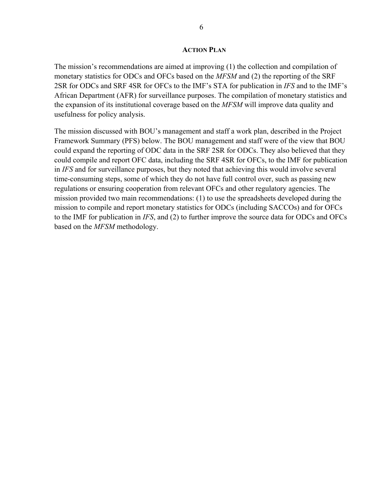The mission's recommendations are aimed at improving (1) the collection and compilation of monetary statistics for ODCs and OFCs based on the *MFSM* and (2) the reporting of the SRF 2SR for ODCs and SRF 4SR for OFCs to the IMF's STA for publication in *IFS* and to the IMF's African Department (AFR) for surveillance purposes. The compilation of monetary statistics and the expansion of its institutional coverage based on the *MFSM* will improve data quality and usefulness for policy analysis.

The mission discussed with BOU's management and staff a work plan, described in the Project Framework Summary (PFS) below. The BOU management and staff were of the view that BOU could expand the reporting of ODC data in the SRF 2SR for ODCs. They also believed that they could compile and report OFC data, including the SRF 4SR for OFCs, to the IMF for publication in *IFS* and for surveillance purposes, but they noted that achieving this would involve several time-consuming steps, some of which they do not have full control over, such as passing new regulations or ensuring cooperation from relevant OFCs and other regulatory agencies. The mission provided two main recommendations: (1) to use the spreadsheets developed during the mission to compile and report monetary statistics for ODCs (including SACCOs) and for OFCs to the IMF for publication in *IFS*, and (2) to further improve the source data for ODCs and OFCs based on the *MFSM* methodology.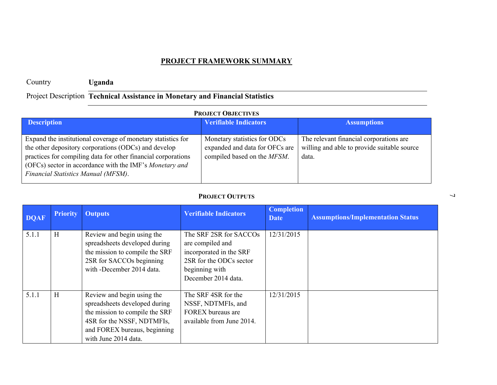# **EXECT FRAMEWORK SUMMARY**<br> **Exercise Constrained Assistance in Monetary and Financial Statistics**<br> **Project Description**<br> **Exercise Constrained Assistance in Monetary and Financial Statistics**<br> **Expanded and disturber of**

| <b>DOAF</b> | <b>Priority</b> | <b>Outputs</b>                                                                                                                                                                      | <b>Verifiable Indicators</b>                                                                                                              | <b>Completion</b><br><b>Date</b> | <b>Assumptions/Implementation Status</b> |
|-------------|-----------------|-------------------------------------------------------------------------------------------------------------------------------------------------------------------------------------|-------------------------------------------------------------------------------------------------------------------------------------------|----------------------------------|------------------------------------------|
| 5.1.1       | H               | Review and begin using the<br>spreadsheets developed during<br>the mission to compile the SRF<br>2SR for SACCOs beginning<br>with -December 2014 data.                              | The SRF 2SR for SACCOs<br>are compiled and<br>incorporated in the SRF<br>2SR for the ODCs sector<br>beginning with<br>December 2014 data. | 12/31/2015                       |                                          |
| 5.1.1       | H               | Review and begin using the<br>spreadsheets developed during<br>the mission to compile the SRF<br>4SR for the NSSF, NDTMFIs,<br>and FOREX bureaus, beginning<br>with June 2014 data. | The SRF 4SR for the<br>NSSF, NDTMFIs, and<br>FOREX bureaus are<br>available from June 2014.                                               | 12/31/2015                       |                                          |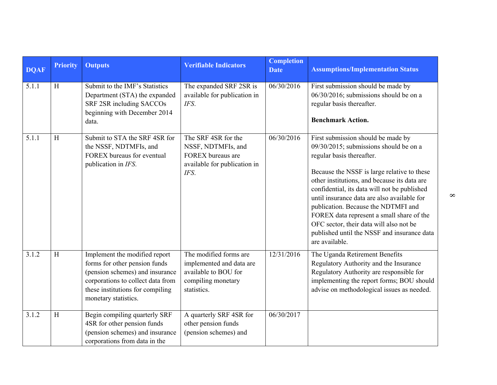| <b>DQAF</b> | <b>Priority</b> | <b>Outputs</b>                                                                                                                                                                                     | <b>Verifiable Indicators</b>                                                                                    | <b>Completion</b><br><b>Date</b> | <b>Assumptions/Implementation Status</b>                                                                                                                                                                                                                                                                                                                                                                                                                                                                |
|-------------|-----------------|----------------------------------------------------------------------------------------------------------------------------------------------------------------------------------------------------|-----------------------------------------------------------------------------------------------------------------|----------------------------------|---------------------------------------------------------------------------------------------------------------------------------------------------------------------------------------------------------------------------------------------------------------------------------------------------------------------------------------------------------------------------------------------------------------------------------------------------------------------------------------------------------|
| 5.1.1       | H               | Submit to the IMF's Statistics<br>Department (STA) the expanded<br>SRF 2SR including SACCOs<br>beginning with December 2014<br>data.                                                               | The expanded SRF 2SR is<br>available for publication in<br>IFS.                                                 | 06/30/2016                       | First submission should be made by<br>06/30/2016; submissions should be on a<br>regular basis thereafter.<br><b>Benchmark Action.</b>                                                                                                                                                                                                                                                                                                                                                                   |
| 5.1.1       | H               | Submit to STA the SRF 4SR for<br>the NSSF, NDTMFIs, and<br>FOREX bureaus for eventual<br>publication in IFS.                                                                                       | The SRF 4SR for the<br>NSSF, NDTMFIs, and<br>FOREX bureaus are<br>available for publication in<br>IFS.          | 06/30/2016                       | First submission should be made by<br>09/30/2015; submissions should be on a<br>regular basis thereafter.<br>Because the NSSF is large relative to these<br>other institutions, and because its data are<br>confidential, its data will not be published<br>until insurance data are also available for<br>publication. Because the NDTMFI and<br>FOREX data represent a small share of the<br>OFC sector, their data will also not be<br>published until the NSSF and insurance data<br>are available. |
| 3.1.2       | H               | Implement the modified report<br>forms for other pension funds<br>(pension schemes) and insurance<br>corporations to collect data from<br>these institutions for compiling<br>monetary statistics. | The modified forms are<br>implemented and data are<br>available to BOU for<br>compiling monetary<br>statistics. | 12/31/2016                       | The Uganda Retirement Benefits<br>Regulatory Authority and the Insurance<br>Regulatory Authority are responsible for<br>implementing the report forms; BOU should<br>advise on methodological issues as needed.                                                                                                                                                                                                                                                                                         |
| 3.1.2       | $\,$ H          | Begin compiling quarterly SRF<br>4SR for other pension funds<br>(pension schemes) and insurance<br>corporations from data in the                                                                   | A quarterly SRF 4SR for<br>other pension funds<br>(pension schemes) and                                         | 06/30/2017                       |                                                                                                                                                                                                                                                                                                                                                                                                                                                                                                         |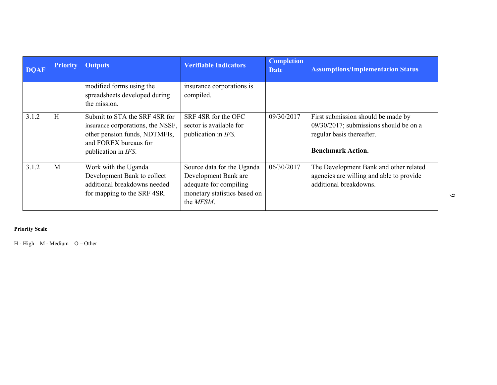| <b>DQAF</b> | <b>Priority</b> | <b>Outputs</b>                                                                                                                                      | <b>Verifiable Indicators</b>                                                                                              | <b>Completion</b><br><b>Date</b> | <b>Assumptions/Implementation Status</b>                                                                                                 |
|-------------|-----------------|-----------------------------------------------------------------------------------------------------------------------------------------------------|---------------------------------------------------------------------------------------------------------------------------|----------------------------------|------------------------------------------------------------------------------------------------------------------------------------------|
|             |                 | modified forms using the<br>spreadsheets developed during<br>the mission.                                                                           | insurance corporations is<br>compiled.                                                                                    |                                  |                                                                                                                                          |
| 3.1.2       | H               | Submit to STA the SRF 4SR for<br>insurance corporations, the NSSF,<br>other pension funds, NDTMFIs,<br>and FOREX bureaus for<br>publication in IFS. | SRF 4SR for the OFC<br>sector is available for<br>publication in IFS.                                                     | 09/30/2017                       | First submission should be made by<br>$09/30/2017$ ; submissions should be on a<br>regular basis thereafter.<br><b>Benchmark Action.</b> |
| 3.1.2       | M               | Work with the Uganda<br>Development Bank to collect<br>additional breakdowns needed<br>for mapping to the SRF 4SR.                                  | Source data for the Uganda<br>Development Bank are<br>adequate for compiling<br>monetary statistics based on<br>the MFSM. | 06/30/2017                       | The Development Bank and other related<br>agencies are willing and able to provide<br>additional breakdowns.                             |

**Priority Scale** 

H - High M - Medium O – Other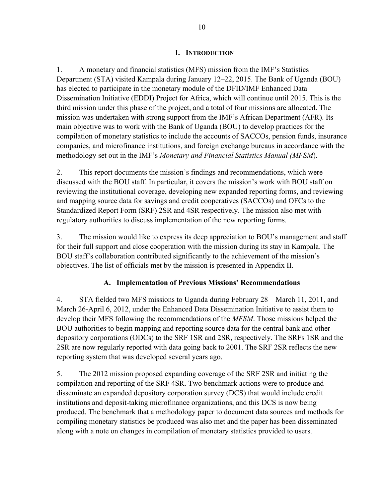### **I. INTRODUCTION**

1. A monetary and financial statistics (MFS) mission from the IMF's Statistics Department (STA) visited Kampala during January 12–22, 2015. The Bank of Uganda (BOU) has elected to participate in the monetary module of the DFID/IMF Enhanced Data Dissemination Initiative (EDDI) Project for Africa, which will continue until 2015. This is the third mission under this phase of the project, and a total of four missions are allocated. The mission was undertaken with strong support from the IMF's African Department (AFR). Its main objective was to work with the Bank of Uganda (BOU) to develop practices for the compilation of monetary statistics to include the accounts of SACCOs, pension funds, insurance companies, and microfinance institutions, and foreign exchange bureaus in accordance with the methodology set out in the IMF's *Monetary and Financial Statistics Manual (MFSM*).

2. This report documents the mission's findings and recommendations, which were discussed with the BOU staff. In particular, it covers the mission's work with BOU staff on reviewing the institutional coverage, developing new expanded reporting forms, and reviewing and mapping source data for savings and credit cooperatives (SACCOs) and OFCs to the Standardized Report Form (SRF) 2SR and 4SR respectively. The mission also met with regulatory authorities to discuss implementation of the new reporting forms.

3. The mission would like to express its deep appreciation to BOU's management and staff for their full support and close cooperation with the mission during its stay in Kampala. The BOU staff's collaboration contributed significantly to the achievement of the mission's objectives. The list of officials met by the mission is presented in Appendix II.

### **A. Implementation of Previous Missions' Recommendations**

4. STA fielded two MFS missions to Uganda during February 28—March 11, 2011, and March 26-April 6, 2012, under the Enhanced Data Dissemination Initiative to assist them to develop their MFS following the recommendations of the *MFSM*. Those missions helped the BOU authorities to begin mapping and reporting source data for the central bank and other depository corporations (ODCs) to the SRF 1SR and 2SR, respectively. The SRFs 1SR and the 2SR are now regularly reported with data going back to 2001. The SRF 2SR reflects the new reporting system that was developed several years ago.

5. The 2012 mission proposed expanding coverage of the SRF 2SR and initiating the compilation and reporting of the SRF 4SR. Two benchmark actions were to produce and disseminate an expanded depository corporation survey (DCS) that would include credit institutions and deposit-taking microfinance organizations, and this DCS is now being produced. The benchmark that a methodology paper to document data sources and methods for compiling monetary statistics be produced was also met and the paper has been disseminated along with a note on changes in compilation of monetary statistics provided to users.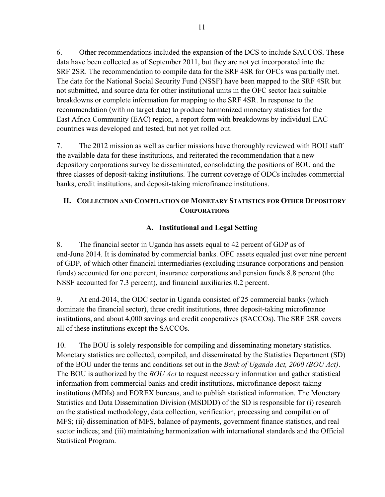6. Other recommendations included the expansion of the DCS to include SACCOS. These data have been collected as of September 2011, but they are not yet incorporated into the SRF 2SR. The recommendation to compile data for the SRF 4SR for OFCs was partially met. The data for the National Social Security Fund (NSSF) have been mapped to the SRF 4SR but not submitted, and source data for other institutional units in the OFC sector lack suitable breakdowns or complete information for mapping to the SRF 4SR. In response to the recommendation (with no target date) to produce harmonized monetary statistics for the East Africa Community (EAC) region, a report form with breakdowns by individual EAC countries was developed and tested, but not yet rolled out.

7. The 2012 mission as well as earlier missions have thoroughly reviewed with BOU staff the available data for these institutions, and reiterated the recommendation that a new depository corporations survey be disseminated, consolidating the positions of BOU and the three classes of deposit-taking institutions. The current coverage of ODCs includes commercial banks, credit institutions, and deposit-taking microfinance institutions.

### **II. COLLECTION AND COMPILATION OF MONETARY STATISTICS FOR OTHER DEPOSITORY CORPORATIONS**

### **A. Institutional and Legal Setting**

8. The financial sector in Uganda has assets equal to 42 percent of GDP as of end-June 2014. It is dominated by commercial banks. OFC assets equaled just over nine percent of GDP, of which other financial intermediaries (excluding insurance corporations and pension funds) accounted for one percent, insurance corporations and pension funds 8.8 percent (the NSSF accounted for 7.3 percent), and financial auxiliaries 0.2 percent.

9. At end-2014, the ODC sector in Uganda consisted of 25 commercial banks (which dominate the financial sector), three credit institutions, three deposit-taking microfinance institutions, and about 4,000 savings and credit cooperatives (SACCOs). The SRF 2SR covers all of these institutions except the SACCOs.

10. The BOU is solely responsible for compiling and disseminating monetary statistics. Monetary statistics are collected, compiled, and disseminated by the Statistics Department (SD) of the BOU under the terms and conditions set out in the *Bank of Uganda Act, 2000 (BOU Act)*. The BOU is authorized by the *BOU Act* to request necessary information and gather statistical information from commercial banks and credit institutions, microfinance deposit-taking institutions (MDIs) and FOREX bureaus, and to publish statistical information. The Monetary Statistics and Data Dissemination Division (MSDDD) of the SD is responsible for (i) research on the statistical methodology, data collection, verification, processing and compilation of MFS; (ii) dissemination of MFS, balance of payments, government finance statistics, and real sector indices; and (iii) maintaining harmonization with international standards and the Official Statistical Program.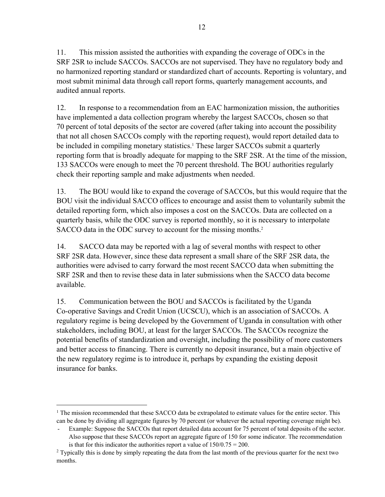11. This mission assisted the authorities with expanding the coverage of ODCs in the SRF 2SR to include SACCOs. SACCOs are not supervised. They have no regulatory body and no harmonized reporting standard or standardized chart of accounts. Reporting is voluntary, and most submit minimal data through call report forms, quarterly management accounts, and audited annual reports.

12. In response to a recommendation from an EAC harmonization mission, the authorities have implemented a data collection program whereby the largest SACCOs, chosen so that 70 percent of total deposits of the sector are covered (after taking into account the possibility that not all chosen SACCOs comply with the reporting request), would report detailed data to be included in compiling monetary statistics.<sup>1</sup> These larger SACCOs submit a quarterly reporting form that is broadly adequate for mapping to the SRF 2SR. At the time of the mission, 133 SACCOs were enough to meet the 70 percent threshold. The BOU authorities regularly check their reporting sample and make adjustments when needed.

13. The BOU would like to expand the coverage of SACCOs, but this would require that the BOU visit the individual SACCO offices to encourage and assist them to voluntarily submit the detailed reporting form, which also imposes a cost on the SACCOs. Data are collected on a quarterly basis, while the ODC survey is reported monthly, so it is necessary to interpolate SACCO data in the ODC survey to account for the missing months.<sup>2</sup>

14. SACCO data may be reported with a lag of several months with respect to other SRF 2SR data. However, since these data represent a small share of the SRF 2SR data, the authorities were advised to carry forward the most recent SACCO data when submitting the SRF 2SR and then to revise these data in later submissions when the SACCO data become available.

15. Communication between the BOU and SACCOs is facilitated by the Uganda Co-operative Savings and Credit Union (UCSCU), which is an association of SACCOs. A regulatory regime is being developed by the Government of Uganda in consultation with other stakeholders, including BOU, at least for the larger SACCOs. The SACCOs recognize the potential benefits of standardization and oversight, including the possibility of more customers and better access to financing. There is currently no deposit insurance, but a main objective of the new regulatory regime is to introduce it, perhaps by expanding the existing deposit insurance for banks.

 $\overline{a}$ 

<sup>&</sup>lt;sup>1</sup> The mission recommended that these SACCO data be extrapolated to estimate values for the entire sector. This can be done by dividing all aggregate figures by 70 percent (or whatever the actual reporting coverage might be).

<sup>-</sup> Example: Suppose the SACCOs that report detailed data account for 75 percent of total deposits of the sector. Also suppose that these SACCOs report an aggregate figure of 150 for some indicator. The recommendation is that for this indicator the authorities report a value of  $150/0.75 = 200$ .

<sup>&</sup>lt;sup>2</sup> Typically this is done by simply repeating the data from the last month of the previous quarter for the next two months.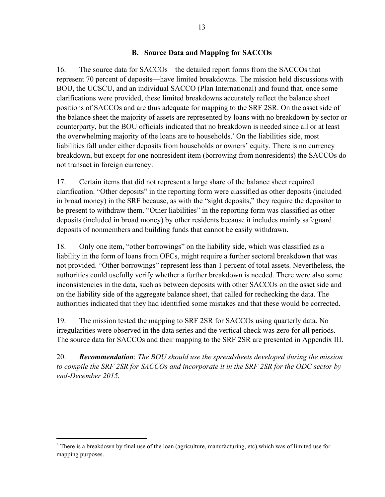### **B. Source Data and Mapping for SACCOs**

16. The source data for SACCOs—the detailed report forms from the SACCOs that represent 70 percent of deposits—have limited breakdowns. The mission held discussions with BOU, the UCSCU, and an individual SACCO (Plan International) and found that, once some clarifications were provided, these limited breakdowns accurately reflect the balance sheet positions of SACCOs and are thus adequate for mapping to the SRF 2SR. On the asset side of the balance sheet the majority of assets are represented by loans with no breakdown by sector or counterparty, but the BOU officials indicated that no breakdown is needed since all or at least the overwhelming majority of the loans are to households.<sup>3</sup> On the liabilities side, most liabilities fall under either deposits from households or owners' equity. There is no currency breakdown, but except for one nonresident item (borrowing from nonresidents) the SACCOs do not transact in foreign currency.

17. Certain items that did not represent a large share of the balance sheet required clarification. "Other deposits" in the reporting form were classified as other deposits (included in broad money) in the SRF because, as with the "sight deposits," they require the depositor to be present to withdraw them. "Other liabilities" in the reporting form was classified as other deposits (included in broad money) by other residents because it includes mainly safeguard deposits of nonmembers and building funds that cannot be easily withdrawn.

18. Only one item, "other borrowings" on the liability side, which was classified as a liability in the form of loans from OFCs, might require a further sectoral breakdown that was not provided. "Other borrowings" represent less than 1 percent of total assets. Nevertheless, the authorities could usefully verify whether a further breakdown is needed. There were also some inconsistencies in the data, such as between deposits with other SACCOs on the asset side and on the liability side of the aggregate balance sheet, that called for rechecking the data. The authorities indicated that they had identified some mistakes and that these would be corrected.

19. The mission tested the mapping to SRF 2SR for SACCOs using quarterly data. No irregularities were observed in the data series and the vertical check was zero for all periods. The source data for SACCOs and their mapping to the SRF 2SR are presented in Appendix III.

20. *Recommendation*: *The BOU should use the spreadsheets developed during the mission to compile the SRF 2SR for SACCOs and incorporate it in the SRF 2SR for the ODC sector by end-December 2015.* 

 $\overline{a}$ 

<sup>&</sup>lt;sup>3</sup> There is a breakdown by final use of the loan (agriculture, manufacturing, etc) which was of limited use for mapping purposes.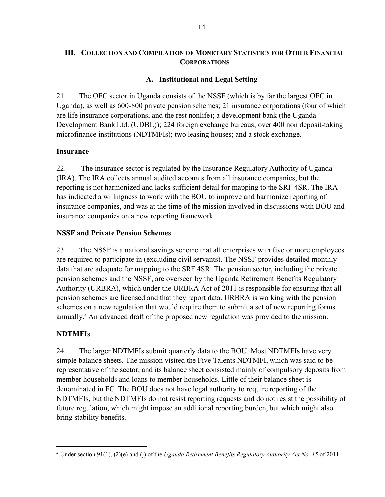### **III. COLLECTION AND COMPILATION OF MONETARY STATISTICS FOR OTHER FINANCIAL CORPORATIONS**

### **A. Institutional and Legal Setting**

21. The OFC sector in Uganda consists of the NSSF (which is by far the largest OFC in Uganda), as well as 600-800 private pension schemes; 21 insurance corporations (four of which are life insurance corporations, and the rest nonlife); a development bank (the Uganda Development Bank Ltd. (UDBL)); 224 foreign exchange bureaus; over 400 non deposit-taking microfinance institutions (NDTMFIs); two leasing houses; and a stock exchange.

### **Insurance**

22. The insurance sector is regulated by the Insurance Regulatory Authority of Uganda (IRA). The IRA collects annual audited accounts from all insurance companies, but the reporting is not harmonized and lacks sufficient detail for mapping to the SRF 4SR. The IRA has indicated a willingness to work with the BOU to improve and harmonize reporting of insurance companies, and was at the time of the mission involved in discussions with BOU and insurance companies on a new reporting framework.

### **NSSF and Private Pension Schemes**

23. The NSSF is a national savings scheme that all enterprises with five or more employees are required to participate in (excluding civil servants). The NSSF provides detailed monthly data that are adequate for mapping to the SRF 4SR. The pension sector, including the private pension schemes and the NSSF, are overseen by the Uganda Retirement Benefits Regulatory Authority (URBRA), which under the URBRA Act of 2011 is responsible for ensuring that all pension schemes are licensed and that they report data. URBRA is working with the pension schemes on a new regulation that would require them to submit a set of new reporting forms annually.4 An advanced draft of the proposed new regulation was provided to the mission.

### **NDTMFIs**

 $\overline{a}$ 

24. The larger NDTMFIs submit quarterly data to the BOU. Most NDTMFIs have very simple balance sheets. The mission visited the Five Talents NDTMFI, which was said to be representative of the sector, and its balance sheet consisted mainly of compulsory deposits from member households and loans to member households. Little of their balance sheet is denominated in FC. The BOU does not have legal authority to require reporting of the NDTMFIs, but the NDTMFIs do not resist reporting requests and do not resist the possibility of future regulation, which might impose an additional reporting burden, but which might also bring stability benefits.

<sup>4</sup> Under section 91(1), (2)(e) and (j) of the *Uganda Retirement Benefits Regulatory Authority Act No. 15* of 2011.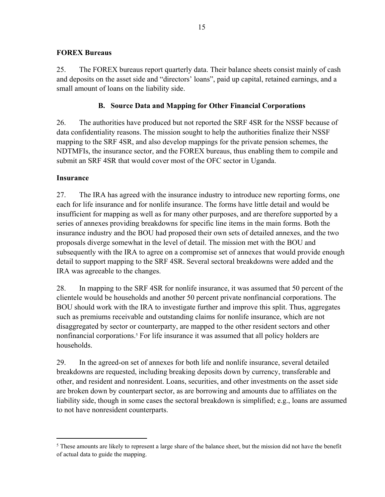### **FOREX Bureaus**

25. The FOREX bureaus report quarterly data. Their balance sheets consist mainly of cash and deposits on the asset side and "directors' loans", paid up capital, retained earnings, and a small amount of loans on the liability side.

### **B. Source Data and Mapping for Other Financial Corporations**

26. The authorities have produced but not reported the SRF 4SR for the NSSF because of data confidentiality reasons. The mission sought to help the authorities finalize their NSSF mapping to the SRF 4SR, and also develop mappings for the private pension schemes, the NDTMFIs, the insurance sector, and the FOREX bureaus, thus enabling them to compile and submit an SRF 4SR that would cover most of the OFC sector in Uganda.

### **Insurance**

 $\overline{a}$ 

27. The IRA has agreed with the insurance industry to introduce new reporting forms, one each for life insurance and for nonlife insurance. The forms have little detail and would be insufficient for mapping as well as for many other purposes, and are therefore supported by a series of annexes providing breakdowns for specific line items in the main forms. Both the insurance industry and the BOU had proposed their own sets of detailed annexes, and the two proposals diverge somewhat in the level of detail. The mission met with the BOU and subsequently with the IRA to agree on a compromise set of annexes that would provide enough detail to support mapping to the SRF 4SR. Several sectoral breakdowns were added and the IRA was agreeable to the changes.

28. In mapping to the SRF 4SR for nonlife insurance, it was assumed that 50 percent of the clientele would be households and another 50 percent private nonfinancial corporations. The BOU should work with the IRA to investigate further and improve this split. Thus, aggregates such as premiums receivable and outstanding claims for nonlife insurance, which are not disaggregated by sector or counterparty, are mapped to the other resident sectors and other nonfinancial corporations.<sup>5</sup> For life insurance it was assumed that all policy holders are households.

29. In the agreed-on set of annexes for both life and nonlife insurance, several detailed breakdowns are requested, including breaking deposits down by currency, transferable and other, and resident and nonresident. Loans, securities, and other investments on the asset side are broken down by counterpart sector, as are borrowing and amounts due to affiliates on the liability side, though in some cases the sectoral breakdown is simplified; e.g., loans are assumed to not have nonresident counterparts.

<sup>&</sup>lt;sup>5</sup> These amounts are likely to represent a large share of the balance sheet, but the mission did not have the benefit of actual data to guide the mapping.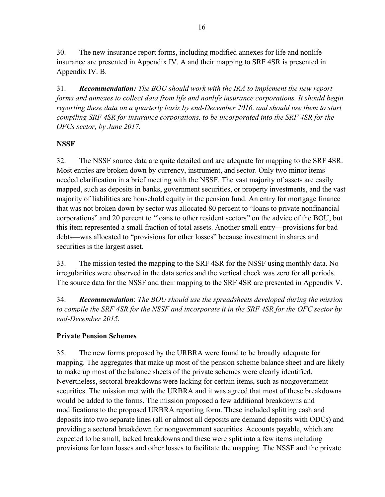30. The new insurance report forms, including modified annexes for life and nonlife insurance are presented in Appendix IV. A and their mapping to SRF 4SR is presented in Appendix IV. B.

31. *Recommendation: The BOU should work with the IRA to implement the new report forms and annexes to collect data from life and nonlife insurance corporations. It should begin reporting these data on a quarterly basis by end-December 2016, and should use them to start compiling SRF 4SR for insurance corporations, to be incorporated into the SRF 4SR for the OFCs sector, by June 2017.* 

### **NSSF**

32. The NSSF source data are quite detailed and are adequate for mapping to the SRF 4SR. Most entries are broken down by currency, instrument, and sector. Only two minor items needed clarification in a brief meeting with the NSSF. The vast majority of assets are easily mapped, such as deposits in banks, government securities, or property investments, and the vast majority of liabilities are household equity in the pension fund. An entry for mortgage finance that was not broken down by sector was allocated 80 percent to "loans to private nonfinancial corporations" and 20 percent to "loans to other resident sectors" on the advice of the BOU, but this item represented a small fraction of total assets. Another small entry—provisions for bad debts—was allocated to "provisions for other losses" because investment in shares and securities is the largest asset.

33. The mission tested the mapping to the SRF 4SR for the NSSF using monthly data. No irregularities were observed in the data series and the vertical check was zero for all periods. The source data for the NSSF and their mapping to the SRF 4SR are presented in Appendix V.

34. *Recommendation*: *The BOU should use the spreadsheets developed during the mission to compile the SRF 4SR for the NSSF and incorporate it in the SRF 4SR for the OFC sector by end-December 2015.* 

### **Private Pension Schemes**

35. The new forms proposed by the URBRA were found to be broadly adequate for mapping. The aggregates that make up most of the pension scheme balance sheet and are likely to make up most of the balance sheets of the private schemes were clearly identified. Nevertheless, sectoral breakdowns were lacking for certain items, such as nongovernment securities. The mission met with the URBRA and it was agreed that most of these breakdowns would be added to the forms. The mission proposed a few additional breakdowns and modifications to the proposed URBRA reporting form. These included splitting cash and deposits into two separate lines (all or almost all deposits are demand deposits with ODCs) and providing a sectoral breakdown for nongovernment securities. Accounts payable, which are expected to be small, lacked breakdowns and these were split into a few items including provisions for loan losses and other losses to facilitate the mapping. The NSSF and the private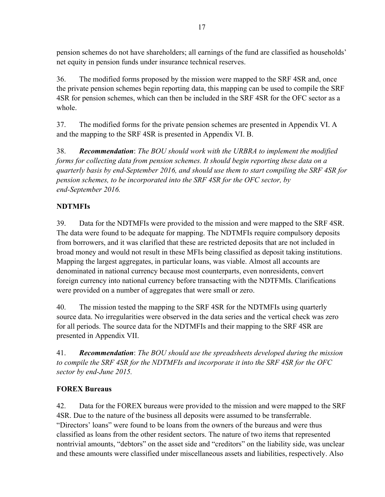pension schemes do not have shareholders; all earnings of the fund are classified as households' net equity in pension funds under insurance technical reserves.

36. The modified forms proposed by the mission were mapped to the SRF 4SR and, once the private pension schemes begin reporting data, this mapping can be used to compile the SRF 4SR for pension schemes, which can then be included in the SRF 4SR for the OFC sector as a whole.

37. The modified forms for the private pension schemes are presented in Appendix VI. A and the mapping to the SRF 4SR is presented in Appendix VI. B.

38. *Recommendation*: *The BOU should work with the URBRA to implement the modified forms for collecting data from pension schemes. It should begin reporting these data on a quarterly basis by end-September 2016, and should use them to start compiling the SRF 4SR for pension schemes, to be incorporated into the SRF 4SR for the OFC sector, by end-September 2016.* 

### **NDTMFIs**

39. Data for the NDTMFIs were provided to the mission and were mapped to the SRF 4SR. The data were found to be adequate for mapping. The NDTMFIs require compulsory deposits from borrowers, and it was clarified that these are restricted deposits that are not included in broad money and would not result in these MFIs being classified as deposit taking institutions. Mapping the largest aggregates, in particular loans, was viable. Almost all accounts are denominated in national currency because most counterparts, even nonresidents, convert foreign currency into national currency before transacting with the NDTFMIs. Clarifications were provided on a number of aggregates that were small or zero.

40. The mission tested the mapping to the SRF 4SR for the NDTMFIs using quarterly source data. No irregularities were observed in the data series and the vertical check was zero for all periods. The source data for the NDTMFIs and their mapping to the SRF 4SR are presented in Appendix VII.

41. *Recommendation*: *The BOU should use the spreadsheets developed during the mission to compile the SRF 4SR for the NDTMFIs and incorporate it into the SRF 4SR for the OFC sector by end-June 2015.* 

### **FOREX Bureaus**

42. Data for the FOREX bureaus were provided to the mission and were mapped to the SRF 4SR. Due to the nature of the business all deposits were assumed to be transferrable. "Directors' loans" were found to be loans from the owners of the bureaus and were thus classified as loans from the other resident sectors. The nature of two items that represented nontrivial amounts, "debtors" on the asset side and "creditors" on the liability side, was unclear and these amounts were classified under miscellaneous assets and liabilities, respectively. Also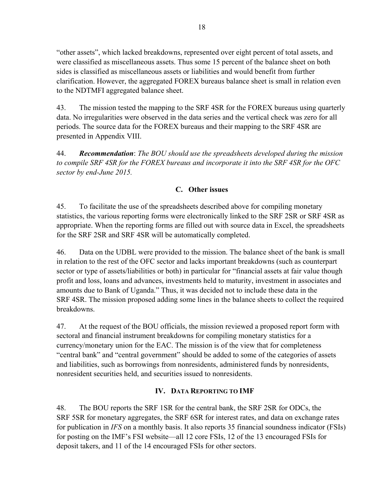"other assets", which lacked breakdowns, represented over eight percent of total assets, and were classified as miscellaneous assets. Thus some 15 percent of the balance sheet on both sides is classified as miscellaneous assets or liabilities and would benefit from further clarification. However, the aggregated FOREX bureaus balance sheet is small in relation even to the NDTMFI aggregated balance sheet.

43. The mission tested the mapping to the SRF 4SR for the FOREX bureaus using quarterly data. No irregularities were observed in the data series and the vertical check was zero for all periods. The source data for the FOREX bureaus and their mapping to the SRF 4SR are presented in Appendix VIII.

44. *Recommendation*: *The BOU should use the spreadsheets developed during the mission to compile SRF 4SR for the FOREX bureaus and incorporate it into the SRF 4SR for the OFC sector by end-June 2015.* 

### **C. Other issues**

45. To facilitate the use of the spreadsheets described above for compiling monetary statistics, the various reporting forms were electronically linked to the SRF 2SR or SRF 4SR as appropriate. When the reporting forms are filled out with source data in Excel, the spreadsheets for the SRF 2SR and SRF 4SR will be automatically completed.

46. Data on the UDBL were provided to the mission. The balance sheet of the bank is small in relation to the rest of the OFC sector and lacks important breakdowns (such as counterpart sector or type of assets/liabilities or both) in particular for "financial assets at fair value though profit and loss, loans and advances, investments held to maturity, investment in associates and amounts due to Bank of Uganda." Thus, it was decided not to include these data in the SRF 4SR. The mission proposed adding some lines in the balance sheets to collect the required breakdowns.

47. At the request of the BOU officials, the mission reviewed a proposed report form with sectoral and financial instrument breakdowns for compiling monetary statistics for a currency/monetary union for the EAC. The mission is of the view that for completeness "central bank" and "central government" should be added to some of the categories of assets and liabilities, such as borrowings from nonresidents, administered funds by nonresidents, nonresident securities held, and securities issued to nonresidents.

### **IV. DATA REPORTING TO IMF**

48. The BOU reports the SRF 1SR for the central bank, the SRF 2SR for ODCs, the SRF 5SR for monetary aggregates, the SRF 6SR for interest rates, and data on exchange rates for publication in *IFS* on a monthly basis. It also reports 35 financial soundness indicator (FSIs) for posting on the IMF's FSI website—all 12 core FSIs, 12 of the 13 encouraged FSIs for deposit takers, and 11 of the 14 encouraged FSIs for other sectors.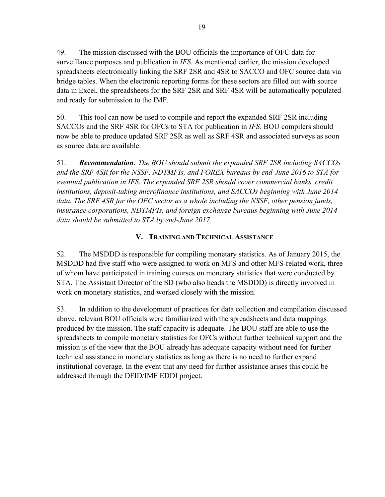49. The mission discussed with the BOU officials the importance of OFC data for surveillance purposes and publication in *IFS*. As mentioned earlier, the mission developed spreadsheets electronically linking the SRF 2SR and 4SR to SACCO and OFC source data via bridge tables. When the electronic reporting forms for these sectors are filled out with source data in Excel, the spreadsheets for the SRF 2SR and SRF 4SR will be automatically populated and ready for submission to the IMF.

50. This tool can now be used to compile and report the expanded SRF 2SR including SACCOs and the SRF 4SR for OFCs to STA for publication in *IFS*. BOU compilers should now be able to produce updated SRF 2SR as well as SRF 4SR and associated surveys as soon as source data are available.

51. *Recommendation: The BOU should submit the expanded SRF 2SR including SACCOs and the SRF 4SR for the NSSF, NDTMFIs, and FOREX bureaus by end-June 2016 to STA for eventual publication in IFS. The expanded SRF 2SR should cover commercial banks, credit institutions, deposit-taking microfinance institutions, and SACCOs beginning with June 2014 data. The SRF 4SR for the OFC sector as a whole including the NSSF, other pension funds, insurance corporations, NDTMFIs, and foreign exchange bureaus beginning with June 2014 data should be submitted to STA by end-June 2017.*

### **V. TRAINING AND TECHNICAL ASSISTANCE**

52. The MSDDD is responsible for compiling monetary statistics. As of January 2015, the MSDDD had five staff who were assigned to work on MFS and other MFS-related work, three of whom have participated in training courses on monetary statistics that were conducted by STA. The Assistant Director of the SD (who also heads the MSDDD) is directly involved in work on monetary statistics, and worked closely with the mission.

53. In addition to the development of practices for data collection and compilation discussed above, relevant BOU officials were familiarized with the spreadsheets and data mappings produced by the mission. The staff capacity is adequate. The BOU staff are able to use the spreadsheets to compile monetary statistics for OFCs without further technical support and the mission is of the view that the BOU already has adequate capacity without need for further technical assistance in monetary statistics as long as there is no need to further expand institutional coverage. In the event that any need for further assistance arises this could be addressed through the DFID/IMF EDDI project.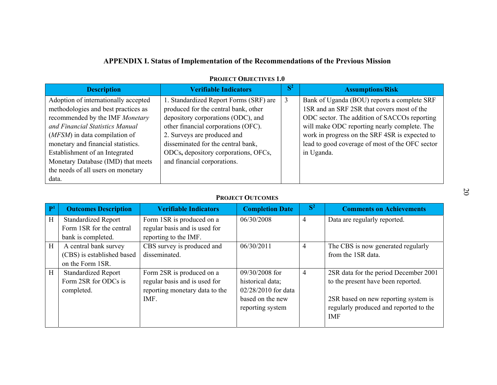|                                                                                                                                                                                                                                                                                                                                                 | <b>APPENDIX I. Status of Implementation of the Recommendations of the Previous Mission</b><br><b>PROJECT OBJECTIVES 1.0</b>                                                                                                                                                                             |                |                                                                                                                                                                                                                                                                                                              |
|-------------------------------------------------------------------------------------------------------------------------------------------------------------------------------------------------------------------------------------------------------------------------------------------------------------------------------------------------|---------------------------------------------------------------------------------------------------------------------------------------------------------------------------------------------------------------------------------------------------------------------------------------------------------|----------------|--------------------------------------------------------------------------------------------------------------------------------------------------------------------------------------------------------------------------------------------------------------------------------------------------------------|
| <b>Description</b>                                                                                                                                                                                                                                                                                                                              | <b>Verifiable Indicators</b>                                                                                                                                                                                                                                                                            | $S^2$          | <b>Assumptions/Risk</b>                                                                                                                                                                                                                                                                                      |
| Adoption of internationally accepted<br>methodologies and best practices as<br>recommended by the IMF Monetary<br>and Financial Statistics Manual<br>(MFSM) in data compilation of<br>monetary and financial statistics.<br>Establishment of an Integrated<br>Monetary Database (IMD) that meets<br>the needs of all users on monetary<br>data. | 1. Standardized Report Forms (SRF) are<br>produced for the central bank, other<br>depository corporations (ODC), and<br>other financial corporations (OFC).<br>2. Surveys are produced and<br>disseminated for the central bank,<br>ODCs, depository corporations, OFCs,<br>and financial corporations. | $\overline{3}$ | Bank of Uganda (BOU) reports a complete SRF<br>1SR and an SRF 2SR that covers most of the<br>ODC sector. The addition of SACCOs reporting<br>will make ODC reporting nearly complete. The<br>work in progress on the SRF 4SR is expected to<br>lead to good coverage of most of the OFC sector<br>in Uganda. |

### PROJECT OUTCOMES

| D. | <b>Outcomes Description</b> | <b>Verifiable Indicators</b>   | <b>Completion Date</b> | S <sup>2</sup> | <b>Comments on Achievements</b>        |
|----|-----------------------------|--------------------------------|------------------------|----------------|----------------------------------------|
| H  | <b>Standardized Report</b>  | Form 1SR is produced on a      | 06/30/2008             | $\overline{4}$ | Data are regularly reported.           |
|    | Form 1SR for the central    | regular basis and is used for  |                        |                |                                        |
|    | bank is completed.          | reporting to the IMF.          |                        |                |                                        |
| H  | A central bank survey       | CBS survey is produced and     | 06/30/2011             | 4              | The CBS is now generated regularly     |
|    | (CBS) is established based  | disseminated.                  |                        |                | from the 1SR data.                     |
|    | on the Form 1SR.            |                                |                        |                |                                        |
| H  | <b>Standardized Report</b>  | Form 2SR is produced on a      | $09/30/2008$ for       | $\overline{4}$ | 2SR data for the period December 2001  |
|    | Form 2SR for ODCs is        | regular basis and is used for  | historical data;       |                | to the present have been reported.     |
|    | completed.                  | reporting monetary data to the | 02/28/2010 for data    |                |                                        |
|    |                             | IMF.                           | based on the new       |                | 2SR based on new reporting system is   |
|    |                             |                                | reporting system       |                | regularly produced and reported to the |
|    |                             |                                |                        |                | <b>IMF</b>                             |
|    |                             |                                |                        |                |                                        |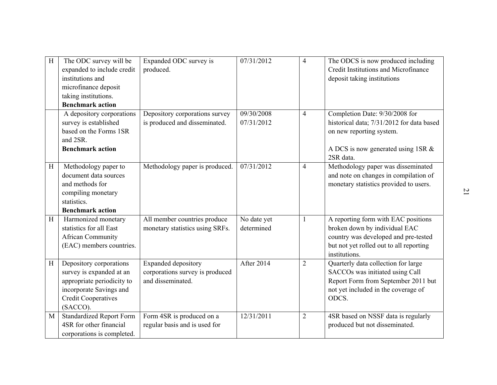| H            | The ODC survey will be<br>expanded to include credit<br>institutions and<br>microfinance deposit<br>taking institutions.<br><b>Benchmark action</b>    | Expanded ODC survey is<br>produced.                                         | 07/31/2012                | $\overline{4}$ | The ODCS is now produced including<br>Credit Institutions and Microfinance<br>deposit taking institutions                                                                |                |
|--------------|--------------------------------------------------------------------------------------------------------------------------------------------------------|-----------------------------------------------------------------------------|---------------------------|----------------|--------------------------------------------------------------------------------------------------------------------------------------------------------------------------|----------------|
|              | A depository corporations<br>survey is established<br>based on the Forms 1SR<br>and 2SR.<br><b>Benchmark action</b>                                    | Depository corporations survey<br>is produced and disseminated.             | 09/30/2008<br>07/31/2012  | $\overline{4}$ | Completion Date: 9/30/2008 for<br>historical data; 7/31/2012 for data based<br>on new reporting system.<br>A DCS is now generated using 1SR &<br>2SR data.               |                |
| H            | Methodology paper to<br>document data sources<br>and methods for<br>compiling monetary<br>statistics.<br><b>Benchmark action</b>                       | Methodology paper is produced.                                              | 07/31/2012                | $\overline{4}$ | Methodology paper was disseminated<br>and note on changes in compilation of<br>monetary statistics provided to users.                                                    | $\overline{z}$ |
| $\, {\rm H}$ | Harmonized monetary<br>statistics for all East<br><b>African Community</b><br>(EAC) members countries.                                                 | All member countries produce<br>monetary statistics using SRFs.             | No date yet<br>determined | $\mathbf{1}$   | A reporting form with EAC positions<br>broken down by individual EAC<br>country was developed and pre-tested<br>but not yet rolled out to all reporting<br>institutions. |                |
| $\rm H$      | Depository corporations<br>survey is expanded at an<br>appropriate periodicity to<br>incorporate Savings and<br><b>Credit Cooperatives</b><br>(SACCO). | Expanded depository<br>corporations survey is produced<br>and disseminated. | <b>After 2014</b>         | $\overline{2}$ | Quarterly data collection for large<br>SACCOs was initiated using Call<br>Report Form from September 2011 but<br>not yet included in the coverage of<br>ODCS.            |                |
| M            | <b>Standardized Report Form</b><br>4SR for other financial<br>corporations is completed.                                                               | Form 4SR is produced on a<br>regular basis and is used for                  | 12/31/2011                | $\overline{2}$ | 4SR based on NSSF data is regularly<br>produced but not disseminated.                                                                                                    |                |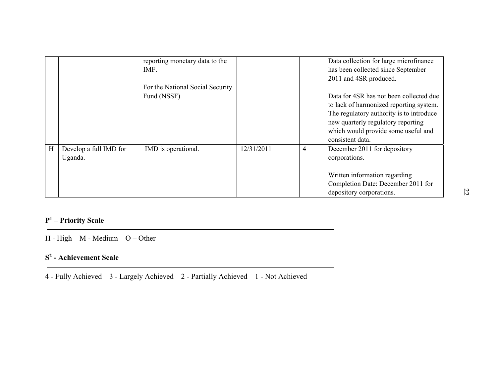|   |                                    | reporting monetary data to the<br>IMF.                                          |            |                | Data collection for large microfinance<br>has been collected since September                                                                                                                                                                              |
|---|------------------------------------|---------------------------------------------------------------------------------|------------|----------------|-----------------------------------------------------------------------------------------------------------------------------------------------------------------------------------------------------------------------------------------------------------|
|   |                                    | For the National Social Security<br>Fund (NSSF)                                 |            |                | 2011 and 4SR produced.<br>Data for 4SR has not been collected due<br>to lack of harmonized reporting system.<br>The regulatory authority is to introduce<br>new quarterly regulatory reporting<br>which would provide some useful and<br>consistent data. |
| H | Develop a full IMD for<br>Uganda.  | IMD is operational.                                                             | 12/31/2011 | $\overline{4}$ | December 2011 for depository<br>corporations.<br>Written information regarding<br>Completion Date: December 2011 for<br>depository corporations.                                                                                                          |
|   | $P1$ – Priority Scale              |                                                                                 |            |                |                                                                                                                                                                                                                                                           |
|   | $H - High$ M - Medium $O - Other$  |                                                                                 |            |                |                                                                                                                                                                                                                                                           |
|   | S <sup>2</sup> - Achievement Scale |                                                                                 |            |                |                                                                                                                                                                                                                                                           |
|   |                                    | 4 - Fully Achieved 3 - Largely Achieved 2 - Partially Achieved 1 - Not Achieved |            |                |                                                                                                                                                                                                                                                           |

### **<sup>P</sup>1 – Priority Scale**

### **S2 - Achievement Scale**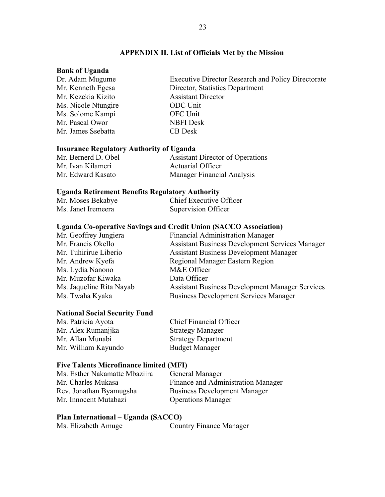### **APPENDIX II. List of Officials Met by the Mission**

### **Bank of Uganda**

| Dr. Adam Mugume     | <b>Executive Director Research and Policy Directorate</b> |
|---------------------|-----------------------------------------------------------|
| Mr. Kenneth Egesa   | Director, Statistics Department                           |
| Mr. Kezekia Kizito  | <b>Assistant Director</b>                                 |
| Ms. Nicole Ntungire | <b>ODC</b> Unit                                           |
| Ms. Solome Kampi    | OFC Unit                                                  |
| Mr. Pascal Owor     | <b>NBFI</b> Desk                                          |
| Mr. James Ssebatta  | <b>CB</b> Desk                                            |
|                     |                                                           |

### **Insurance Regulatory Authority of Uganda**

| Mr. Bernerd D. Obel | <b>Assistant Director of Operations</b> |
|---------------------|-----------------------------------------|
| Mr. Ivan Kilameri   | <b>Actuarial Officer</b>                |
| Mr. Edward Kasato   | <b>Manager Financial Analysis</b>       |

### **Uganda Retirement Benefits Regulatory Authority**

| Mr. Moses Bekabye  | Chief Executive Officer |
|--------------------|-------------------------|
| Ms. Janet Iremeera | Supervision Officer     |

### **Uganda Co-operative Savings and Credit Union (SACCO Association)**

| Mr. Geoffrey Jungiera    | <b>Financial Administration Manager</b>                |
|--------------------------|--------------------------------------------------------|
| Mr. Francis Okello       | <b>Assistant Business Development Services Manager</b> |
| Mr. Tuhirirue Liberio    | <b>Assistant Business Development Manager</b>          |
| Mr. Andrew Kyefa         | Regional Manager Eastern Region                        |
| Ms. Lydia Nanono         | M&E Officer                                            |
| Mr. Muzofar Kiwaka       | Data Officer                                           |
| Ms. Jaqueline Rita Nayab | <b>Assistant Business Development Manager Services</b> |
| Ms. Twaha Kyaka          | <b>Business Development Services Manager</b>           |
|                          |                                                        |

### **National Social Security Fund**

| Ms. Patricia Ayota  | <b>Chief Financial Officer</b> |
|---------------------|--------------------------------|
| Mr. Alex Rumanjika  | <b>Strategy Manager</b>        |
| Mr. Allan Munabi    | <b>Strategy Department</b>     |
| Mr. William Kayundo | <b>Budget Manager</b>          |

### **Five Talents Microfinance limited (MFI)**

| Ms. Esther Nakamatte Mbaziira | General Manager                     |
|-------------------------------|-------------------------------------|
| Mr. Charles Mukasa            | Finance and Administration Manager  |
| Rev. Jonathan Byamugsha       | <b>Business Development Manager</b> |
| Mr. Innocent Mutabazi         | <b>Operations Manager</b>           |

### **Plan International – Uganda (SACCO)**

| Ms. Elizabeth Amuge |  |  | <b>Country Finance Manager</b> |
|---------------------|--|--|--------------------------------|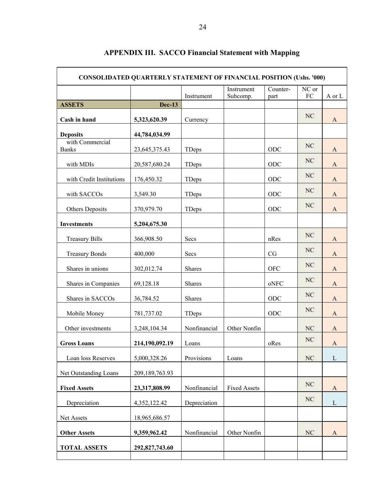| <b>CONSOLIDATED QUARTERLY STATEMENT OF FINANCIAL POSITION (Ushs. '000)</b> |                |               |                     |            |          |              |  |
|----------------------------------------------------------------------------|----------------|---------------|---------------------|------------|----------|--------------|--|
|                                                                            |                |               | Instrument          | Counter-   | NC or    |              |  |
| <b>ASSETS</b>                                                              | <b>Dec-13</b>  | Instrument    | Subcomp.            | part       | FC       | A or L       |  |
| Cash in hand                                                               | 5,323,620.39   | Currency      |                     |            | NC       | A            |  |
|                                                                            |                |               |                     |            |          |              |  |
| <b>Deposits</b><br>with Commercial                                         | 44,784,034.99  |               |                     |            |          |              |  |
| <b>Banks</b>                                                               | 23,645,375.43  | TDeps         |                     | ODC        | NC       | A            |  |
| with MDIs                                                                  | 20,587,680.24  | TDeps         |                     | ODC        | NC       | A            |  |
| with Credit Institutions                                                   | 176,450.32     | TDeps         |                     | ODC        | NC       | A            |  |
| with SACCOs                                                                | 3,549.30       | TDeps         |                     | ODC        | NC       | A            |  |
| Others Deposits                                                            | 370,979.70     | TDeps         |                     | ODC        | NC       | A            |  |
| <b>Investments</b>                                                         | 5,204,675.30   |               |                     |            |          |              |  |
| <b>Treasury Bills</b>                                                      | 366,908.50     | Secs          |                     | nRes       | NC       | A            |  |
| <b>Treasury Bonds</b>                                                      | 400,000        | Secs          |                     | CG         | NC       | A            |  |
| Shares in unions                                                           | 302,012.74     | Shares        |                     | <b>OFC</b> | NC       | $\mathbf{A}$ |  |
| Shares in Companies                                                        | 69,128.18      | Shares        |                     | oNFC       | NC       | $\mathbf{A}$ |  |
| Shares in SACCOs                                                           | 36,784.52      | <b>Shares</b> |                     | ODC        | NC       | $\mathbf{A}$ |  |
| Mobile Money                                                               | 781,737.02     | TDeps         |                     | ODC        | NC       | $\mathbf{A}$ |  |
| Other investments                                                          | 3,248,104.34   | Nonfinancial  | Other Nonfin        |            | NC       | A            |  |
| <b>Gross Loans</b>                                                         | 214,190,092.19 | Loans         |                     | oRes       | NC       | $\mathbf{A}$ |  |
| Loan loss Reserves                                                         | 5,000,328.26   | Provisions    | Loans               |            | $\rm NC$ | $\mathbf{L}$ |  |
| Net Outstanding Loans                                                      | 209,189,763.93 |               |                     |            |          |              |  |
| <b>Fixed Assets</b>                                                        | 23,317,808.99  | Nonfinancial  | <b>Fixed Assets</b> |            | NC       | $\mathbf{A}$ |  |
| Depreciation                                                               | 4,352,122.42   | Depreciation  |                     |            | NC       | $\mathbf L$  |  |
| Net Assets                                                                 | 18,965,686.57  |               |                     |            |          |              |  |
| <b>Other Assets</b>                                                        | 9,359,962.42   | Nonfinancial  | Other Nonfin        |            | NC       | $\mathbf{A}$ |  |
| <b>TOTAL ASSETS</b>                                                        | 292,827,743.60 |               |                     |            |          |              |  |
|                                                                            |                |               |                     |            |          |              |  |

### **APPENDIX III. SACCO Financial Statement with Mapping**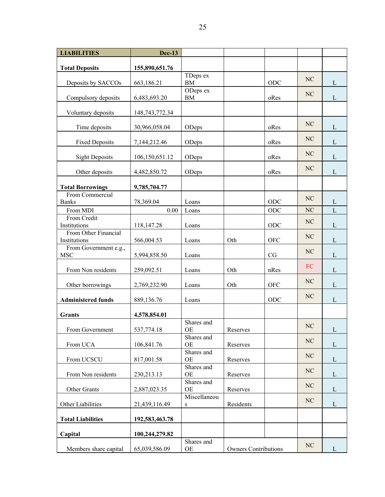| <b>LIABILITIES</b>                   | <b>Dec-13</b>     |                         |                             |            |    |                |
|--------------------------------------|-------------------|-------------------------|-----------------------------|------------|----|----------------|
| <b>Total Deposits</b>                | 155,890,651.76    |                         |                             |            |    |                |
| Deposits by SACCOs                   | 663,186.21        | TDeps ex<br>BM          |                             | ODC        | NC | L              |
| Compulsory deposits                  | 6,483,693.20      | ODeps ex<br>BM          |                             | oRes       | NC | L              |
| Voluntary deposits                   | 148, 743, 772. 34 |                         |                             |            |    |                |
| Time deposits                        | 30,966,058.04     | ODeps                   |                             | oRes       | NC | L              |
| <b>Fixed Deposits</b>                | 7,144,212.46      | ODeps                   |                             | oRes       | NC | L              |
| <b>Sight Deposits</b>                | 106,150,651.12    | ODeps                   |                             | oRes       | NC | L              |
| Other deposits                       | 4,482,850.72      | ODeps                   |                             | oRes       | NC | $\mathbf L$    |
| <b>Total Borrowings</b>              | 9,785,704.77      |                         |                             |            |    |                |
| From Commercial<br><b>Banks</b>      | 78,369.04         | Loans                   |                             | ODC        | NC | L              |
| From MDI                             | 0.00              | Loans                   |                             | <b>ODC</b> | NC | $\overline{L}$ |
| From Credit<br>Institutions          | 118,147.28        | Loans                   |                             | ODC        | NC | L              |
| From Other Financial<br>Institutions | 566,004.53        | Loans                   | Oth                         | <b>OFC</b> | NC | L              |
| From Government e.g.,<br><b>MSC</b>  | 5,994,858.50      | Loans                   |                             | CG         | NC | L              |
| From Non residents                   | 259,092.51        | Loans                   | Oth                         | nRes       | FC | $\mathbf{L}$   |
| Other borrowings                     | 2,769,232.90      | Loans                   | Oth                         | <b>OFC</b> | NC | L              |
| <b>Administered funds</b>            | 889,136.76        | Loans                   |                             | ODC        | NC | L              |
| <b>Grants</b>                        | 4,578,854.01      |                         |                             |            |    |                |
| From Government                      | 537,774.18        | Shares and<br>OE        | Reserves                    |            | NC | $\Gamma$       |
| From UCA                             | 106,841.76        | Shares and<br><b>OE</b> | Reserves                    |            | NC | $\mathbf{L}$   |
| From UCSCU                           | 817,001.58        | Shares and<br><b>OE</b> | Reserves                    |            | NC | $\mathbf{L}$   |
| From Non residents                   | 230, 213. 13      | Shares and<br><b>OE</b> | Reserves                    |            | NC | $\mathbf{L}$   |
| Other Grants                         | 2,887,023.35      | Shares and<br><b>OE</b> | Reserves                    |            | NC | $\mathbf{L}$   |
| Other Liabilities                    | 21,439,116.49     | Miscellaneou<br>S       | Residents                   |            | NC | $\mathbf{L}$   |
| <b>Total Liabilities</b>             | 192,583,463.78    |                         |                             |            |    |                |
| Capital                              | 100,244,279.82    |                         |                             |            |    |                |
| Members share capital                | 65,039,586.09     | Shares and<br>OE        | <b>Owners Contributions</b> |            | NC | L              |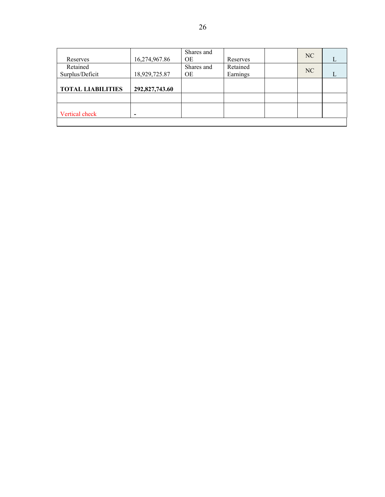| Reserves                 | 16,274,967.86  | Shares and<br><b>OE</b> | Reserves | NC |  |
|--------------------------|----------------|-------------------------|----------|----|--|
| Retained                 |                | Shares and              | Retained | NC |  |
| Surplus/Deficit          | 18,929,725.87  | <b>OE</b>               | Earnings |    |  |
| <b>TOTAL LIABILITIES</b> | 292,827,743.60 |                         |          |    |  |
|                          |                |                         |          |    |  |
| Vertical check           |                |                         |          |    |  |
|                          |                |                         |          |    |  |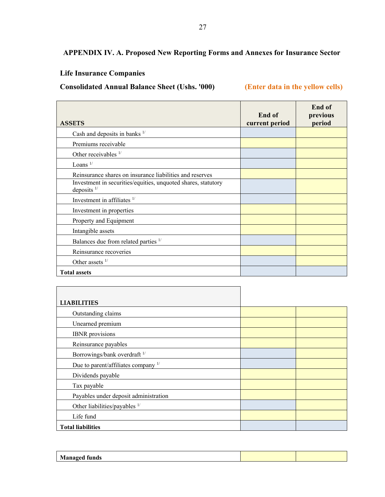### **APPENDIX IV. A. Proposed New Reporting Forms and Annexes for Insurance Sector**

### **Life Insurance Companies**

 $\overline{a}$ 

**Consolidated Annual Balance Sheet (Ushs. '000) (Enter data in the yellow cells)** 

| <b>ASSETS</b>                                                                           | End of<br>current period | End of<br>previous<br>period |
|-----------------------------------------------------------------------------------------|--------------------------|------------------------------|
| Cash and deposits in banks $\frac{1}{2}$                                                |                          |                              |
| Premiums receivable                                                                     |                          |                              |
| Other receivables $1/$                                                                  |                          |                              |
| Loans $1/$                                                                              |                          |                              |
| Reinsurance shares on insurance liabilities and reserves                                |                          |                              |
| Investment in securities/equities, unquoted shares, statutory<br>deposits $\frac{1}{2}$ |                          |                              |
| Investment in affiliates $1/$                                                           |                          |                              |
| Investment in properties                                                                |                          |                              |
| Property and Equipment                                                                  |                          |                              |
| Intangible assets                                                                       |                          |                              |
| Balances due from related parties 1/                                                    |                          |                              |
| Reinsurance recoveries                                                                  |                          |                              |
| Other assets $1/$                                                                       |                          |                              |
| <b>Total assets</b>                                                                     |                          |                              |

| <b>LIABILITIES</b>                       |  |
|------------------------------------------|--|
| Outstanding claims                       |  |
| Unearned premium                         |  |
| <b>IBNR</b> provisions                   |  |
| Reinsurance payables                     |  |
| Borrowings/bank overdraft <sup>1/</sup>  |  |
| Due to parent/affiliates company 1/      |  |
| Dividends payable                        |  |
| Tax payable                              |  |
| Payables under deposit administration    |  |
| Other liabilities/payables <sup>1/</sup> |  |
| Life fund                                |  |
| <b>Total liabilities</b>                 |  |

| л |  |
|---|--|
|   |  |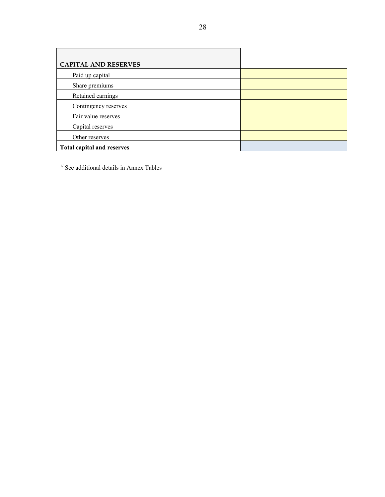| <b>CAPITAL AND RESERVES</b>       |  |
|-----------------------------------|--|
| Paid up capital                   |  |
| Share premiums                    |  |
| Retained earnings                 |  |
| Contingency reserves              |  |
| Fair value reserves               |  |
| Capital reserves                  |  |
| Other reserves                    |  |
| <b>Total capital and reserves</b> |  |

 $<sup>1</sup>$  See additional details in Annex Tables</sup>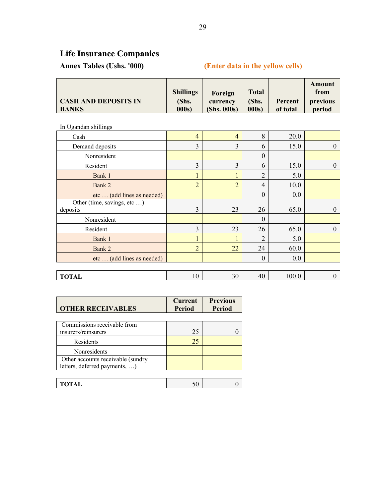# **Life Insurance Companies**

### **Annex Tables (Ushs. '000) (Enter data in the yellow cells)**

|                             | <b>Shillings</b> | Foreign     | <b>Total</b> |          | Amount<br>from |
|-----------------------------|------------------|-------------|--------------|----------|----------------|
| <b>CASH AND DEPOSITS IN</b> | (Shs.            | currency    | (Shs.        | Percent  | previous       |
| <b>BANKS</b>                | 000s)            | (Shs. 000s) | 000s         | of total | period         |

In Ugandan shillings

| Cash                                    | $\overline{4}$ | $\overline{4}$ | 8                | 20.0  |          |
|-----------------------------------------|----------------|----------------|------------------|-------|----------|
| Demand deposits                         | 3              | 3              | 6                | 15.0  | $\theta$ |
| Nonresident                             |                |                | $\theta$         |       |          |
| Resident                                | 3              | 3              | 6                | 15.0  | $\theta$ |
| Bank 1                                  |                |                | $\overline{2}$   | 5.0   |          |
| Bank 2                                  | $\overline{2}$ | $\overline{2}$ | 4                | 10.0  |          |
| etc  (add lines as needed)              |                |                | $\boldsymbol{0}$ | 0.0   |          |
| Other (time, savings, etc )<br>deposits | 3              | 23             | 26               | 65.0  | $\theta$ |
| Nonresident                             |                |                | $\theta$         |       |          |
| Resident                                | $\overline{3}$ | 23             | 26               | 65.0  | 0        |
| Bank 1                                  |                |                | $\overline{2}$   | 5.0   |          |
| Bank 2                                  | $\overline{2}$ | 22             | 24               | 60.0  |          |
| etc  (add lines as needed)              |                |                | $\theta$         | 0.0   |          |
|                                         |                |                |                  |       |          |
| <b>TOTAL</b>                            | 10             | 30             | 40               | 100.0 | 0        |

| <b>Current</b><br><b>Period</b> | <b>Previous</b><br><b>Period</b> |
|---------------------------------|----------------------------------|
| 25                              |                                  |
| 25                              |                                  |
|                                 |                                  |
|                                 |                                  |
|                                 |                                  |

| -<br>. .<br>- | $\sim$ |  |
|---------------|--------|--|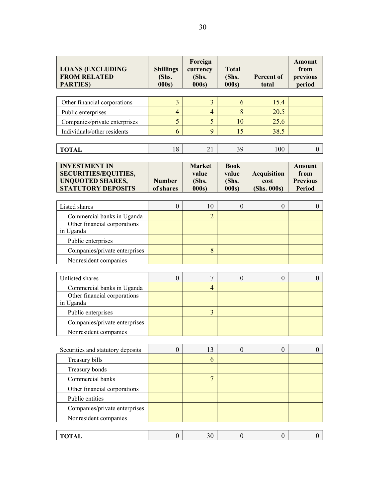| <b>LOANS (EXCLUDING</b><br><b>FROM RELATED</b><br><b>PARTIES</b> )                                          | <b>Shillings</b><br>(Shs.<br>000s | Foreign<br>currency<br>(Shs.<br>000s    | <b>Total</b><br>(Shs.<br>000s         | <b>Percent of</b><br>total                | <b>Amount</b><br>from<br>previous<br>period               |
|-------------------------------------------------------------------------------------------------------------|-----------------------------------|-----------------------------------------|---------------------------------------|-------------------------------------------|-----------------------------------------------------------|
|                                                                                                             |                                   |                                         |                                       |                                           |                                                           |
| Other financial corporations                                                                                | 3                                 | $\overline{3}$                          | 6                                     | 15.4                                      |                                                           |
| Public enterprises                                                                                          | $\overline{4}$                    | $\overline{4}$                          | 8                                     | 20.5                                      |                                                           |
| Companies/private enterprises                                                                               | 5                                 | 5                                       | 10                                    | 25.6                                      |                                                           |
| Individuals/other residents                                                                                 | 6                                 | 9                                       | 15                                    | 38.5                                      |                                                           |
|                                                                                                             |                                   |                                         |                                       |                                           |                                                           |
| <b>TOTAL</b>                                                                                                | 18                                | 21                                      | 39                                    | 100                                       | $\boldsymbol{0}$                                          |
| <b>INVESTMENT IN</b><br><b>SECURITIES/EQUITIES,</b><br><b>UNQUOTED SHARES,</b><br><b>STATUTORY DEPOSITS</b> | <b>Number</b><br>of shares        | <b>Market</b><br>value<br>(Shs.<br>000s | <b>Book</b><br>value<br>(Shs.<br>000s | <b>Acquisition</b><br>cost<br>(Shs. 000s) | <b>Amount</b><br>from<br><b>Previous</b><br><b>Period</b> |
| Listed shares                                                                                               | $\boldsymbol{0}$                  | 10                                      | $\theta$                              | $\boldsymbol{0}$                          | $\boldsymbol{0}$                                          |
| Commercial banks in Uganda                                                                                  |                                   | $\overline{2}$                          |                                       |                                           |                                                           |
| Other financial corporations<br>in Uganda                                                                   |                                   |                                         |                                       |                                           |                                                           |
| Public enterprises                                                                                          |                                   |                                         |                                       |                                           |                                                           |
| Companies/private enterprises                                                                               |                                   | 8                                       |                                       |                                           |                                                           |
| Nonresident companies                                                                                       |                                   |                                         |                                       |                                           |                                                           |
|                                                                                                             |                                   |                                         |                                       |                                           |                                                           |
| Unlisted shares                                                                                             | $\boldsymbol{0}$                  | $\overline{7}$                          | $\boldsymbol{0}$                      | $\boldsymbol{0}$                          | $\boldsymbol{0}$                                          |
| Commercial banks in Uganda                                                                                  |                                   | $\overline{4}$                          |                                       |                                           |                                                           |
| Other financial corporations<br>in Uganda                                                                   |                                   |                                         |                                       |                                           |                                                           |
| Public enterprises                                                                                          |                                   | $\overline{3}$                          |                                       |                                           |                                                           |
| Companies/private enterprises                                                                               |                                   |                                         |                                       |                                           |                                                           |
| Nonresident companies                                                                                       |                                   |                                         |                                       |                                           |                                                           |
|                                                                                                             |                                   |                                         |                                       |                                           |                                                           |
| Securities and statutory deposits                                                                           | $\boldsymbol{0}$                  | 13                                      | $\boldsymbol{0}$                      | $\boldsymbol{0}$                          | $\theta$                                                  |
| Treasury bills                                                                                              |                                   | 6                                       |                                       |                                           |                                                           |
| Treasury bonds                                                                                              |                                   |                                         |                                       |                                           |                                                           |
| Commercial banks                                                                                            |                                   | $\overline{7}$                          |                                       |                                           |                                                           |
| Other financial corporations                                                                                |                                   |                                         |                                       |                                           |                                                           |
| Public entities                                                                                             |                                   |                                         |                                       |                                           |                                                           |
| Companies/private enterprises                                                                               |                                   |                                         |                                       |                                           |                                                           |
| Nonresident companies                                                                                       |                                   |                                         |                                       |                                           |                                                           |
|                                                                                                             |                                   |                                         |                                       |                                           |                                                           |
| <b>TOTAL</b>                                                                                                | $\boldsymbol{0}$                  | 30                                      | $\boldsymbol{0}$                      | $\boldsymbol{0}$                          | $\mathbf{0}$                                              |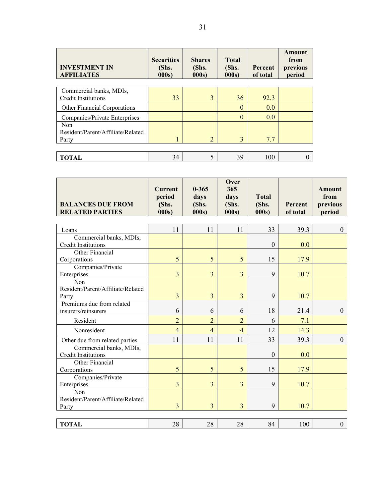| <b>INVESTMENT IN</b><br><b>AFFILIATES</b> | <b>Securities</b><br>(Shs.<br>000s | <b>Shares</b><br>(Shs.<br>000s | <b>Total</b><br>(Shs.<br>000s | Percent<br>of total | Amount<br>from<br>previous<br>period |
|-------------------------------------------|------------------------------------|--------------------------------|-------------------------------|---------------------|--------------------------------------|
|                                           |                                    |                                |                               |                     |                                      |
| Commercial banks, MDIs,                   |                                    |                                |                               |                     |                                      |
| <b>Credit Institutions</b>                | 33                                 | 3                              | 36                            | 92.3                |                                      |
| Other Financial Corporations              |                                    |                                | $\theta$                      | 0.0                 |                                      |
| Companies/Private Enterprises             |                                    |                                | $\overline{0}$                | 0.0                 |                                      |
| <b>Non</b>                                |                                    |                                |                               |                     |                                      |
| Resident/Parent/Affiliate/Related         |                                    |                                |                               |                     |                                      |
| Party                                     |                                    | $\overline{2}$                 | 3                             | 7.7                 |                                      |
|                                           |                                    |                                |                               |                     |                                      |
| TOTAL                                     | 34                                 | 5                              | 39                            | 100                 |                                      |

| <b>BALANCES DUE FROM</b><br><b>RELATED PARTIES</b>    | <b>Current</b><br>period<br>(Shs.<br>000s | $0 - 365$<br>days<br>(Shs.<br>000s | Over<br>365<br>days<br>(Shs.<br>000s | <b>Total</b><br>(Shs.<br>000s | Percent<br>of total | <b>Amount</b><br>from<br>previous<br>period |
|-------------------------------------------------------|-------------------------------------------|------------------------------------|--------------------------------------|-------------------------------|---------------------|---------------------------------------------|
|                                                       | 11                                        |                                    | 11                                   | 33                            | 39.3                |                                             |
| Loans                                                 |                                           | 11                                 |                                      |                               |                     | $\Omega$                                    |
| Commercial banks, MDIs,<br><b>Credit Institutions</b> |                                           |                                    |                                      | $\mathbf{0}$                  | 0.0                 |                                             |
| Other Financial                                       |                                           |                                    |                                      |                               |                     |                                             |
| Corporations                                          | 5                                         | 5                                  | 5                                    | 15                            | 17.9                |                                             |
| Companies/Private                                     |                                           |                                    |                                      |                               |                     |                                             |
| Enterprises                                           | $\overline{3}$                            | $\overline{3}$                     | $\overline{3}$                       | 9                             | 10.7                |                                             |
| Non<br>Resident/Parent/Affiliate/Related              |                                           |                                    |                                      |                               |                     |                                             |
| Party                                                 | $\overline{3}$                            | 3                                  | $\overline{3}$                       | 9                             | 10.7                |                                             |
| Premiums due from related                             |                                           |                                    |                                      |                               |                     |                                             |
| insurers/reinsurers                                   | 6                                         | 6                                  | 6                                    | 18                            | 21.4                | $\theta$                                    |
| Resident                                              | $\overline{2}$                            | $\overline{2}$                     | $\overline{2}$                       | 6                             | 7.1                 |                                             |
| Nonresident                                           | $\overline{4}$                            | $\overline{4}$                     | $\overline{4}$                       | 12                            | 14.3                |                                             |
| Other due from related parties                        | 11                                        | 11                                 | 11                                   | 33                            | 39.3                | $\mathbf{0}$                                |
| Commercial banks, MDIs,<br><b>Credit Institutions</b> |                                           |                                    |                                      | $\theta$                      | 0.0                 |                                             |
| Other Financial                                       |                                           |                                    |                                      |                               |                     |                                             |
| Corporations                                          | 5                                         | 5                                  | 5                                    | 15                            | 17.9                |                                             |
| Companies/Private<br>Enterprises                      | $\overline{3}$                            | $\overline{3}$                     | 3                                    | 9                             | 10.7                |                                             |
| Non                                                   |                                           |                                    |                                      |                               |                     |                                             |
| Resident/Parent/Affiliate/Related                     |                                           |                                    |                                      |                               |                     |                                             |
| Party                                                 | $\overline{3}$                            | $\overline{3}$                     | 3                                    | 9                             | 10.7                |                                             |
|                                                       |                                           |                                    |                                      |                               |                     |                                             |
| <b>TOTAL</b>                                          | 28                                        | 28                                 | 28                                   | 84                            | 100                 | $\boldsymbol{0}$                            |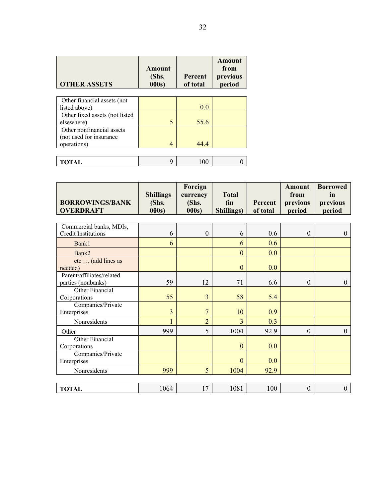| <b>OTHER ASSETS</b>            | Amount<br>(Shs.<br>000s | <b>Percent</b><br>of total | Amount<br>from<br>previous<br>period |
|--------------------------------|-------------------------|----------------------------|--------------------------------------|
|                                |                         |                            |                                      |
| Other financial assets (not    |                         |                            |                                      |
| listed above)                  |                         | 0.0                        |                                      |
| Other fixed assets (not listed |                         |                            |                                      |
| elsewhere)                     | 5                       | 55.6                       |                                      |
| Other nonfinancial assets      |                         |                            |                                      |
| (not used for insurance        |                         |                            |                                      |
| operations)                    | $\overline{4}$          | 44.4                       |                                      |
|                                |                         |                            |                                      |
| TOTAL                          | q                       | 1 O O                      |                                      |

| <b>BORROWINGS/BANK</b><br><b>OVERDRAFT</b>            | <b>Shillings</b><br>(Shs.<br>000s) | Foreign<br>currency<br>(Shs.<br>000s) | <b>Total</b><br>(in<br><b>Shillings)</b> | <b>Percent</b><br>of total | <b>Amount</b><br>from<br>previous<br>period | <b>Borrowed</b><br>in<br>previous<br>period |
|-------------------------------------------------------|------------------------------------|---------------------------------------|------------------------------------------|----------------------------|---------------------------------------------|---------------------------------------------|
| Commercial banks, MDIs,<br><b>Credit Institutions</b> | 6                                  | $\boldsymbol{0}$                      | 6                                        | 0.6                        | $\mathbf{0}$                                | $\mathbf{0}$                                |
| Bank1                                                 | 6                                  |                                       | 6                                        | 0.6                        |                                             |                                             |
| Bank2                                                 |                                    |                                       | $\mathbf{0}$                             | 0.0                        |                                             |                                             |
| etc  (add lines as<br>needed)                         |                                    |                                       | $\mathbf{0}$                             | 0.0                        |                                             |                                             |
| Parent/affiliates/related<br>parties (nonbanks)       | 59                                 | 12                                    | 71                                       | 6.6                        | $\boldsymbol{0}$                            | $\theta$                                    |
| Other Financial<br>Corporations                       | 55                                 | 3                                     | 58                                       | 5.4                        |                                             |                                             |
| Companies/Private<br>Enterprises                      | $\overline{3}$                     | $\overline{7}$                        | 10                                       | 0.9                        |                                             |                                             |
| Nonresidents                                          |                                    | $\overline{2}$                        | 3                                        | 0.3                        |                                             |                                             |
| Other                                                 | 999                                | 5                                     | 1004                                     | 92.9                       | $\boldsymbol{0}$                            | $\theta$                                    |
| Other Financial<br>Corporations                       |                                    |                                       | $\mathbf{0}$                             | 0.0                        |                                             |                                             |
| Companies/Private<br>Enterprises                      |                                    |                                       | $\mathbf{0}$                             | 0.0                        |                                             |                                             |
| Nonresidents                                          | 999                                | 5                                     | 1004                                     | 92.9                       |                                             |                                             |
|                                                       |                                    |                                       |                                          |                            |                                             |                                             |
| <b>TOTAL</b>                                          | 1064                               | 17                                    | 1081                                     | 100                        | $\boldsymbol{0}$                            | $\boldsymbol{0}$                            |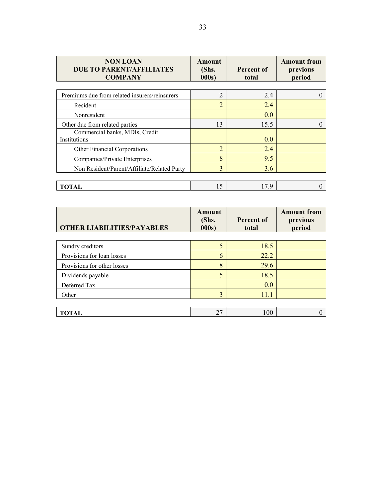| <b>NON LOAN</b><br><b>DUE TO PARENT/AFFILIATES</b><br><b>COMPANY</b> | Amount<br>(Shs.<br>000s | <b>Percent of</b><br>total | <b>Amount from</b><br>previous<br>period |
|----------------------------------------------------------------------|-------------------------|----------------------------|------------------------------------------|
| Premiums due from related insurers/reinsurers                        | $\overline{2}$          | 2.4                        |                                          |
| Resident                                                             | $\overline{2}$          | 2.4                        |                                          |
| Nonresident                                                          |                         | 0.0                        |                                          |
| Other due from related parties                                       | 13                      | 15.5                       |                                          |
| Commercial banks, MDIs, Credit<br>Institutions                       |                         | 0.0                        |                                          |
| Other Financial Corporations                                         | $\overline{2}$          | 2.4                        |                                          |
| Companies/Private Enterprises                                        | 8                       | 9.5                        |                                          |
| Non Resident/Parent/Affiliate/Related Party                          | 3                       | 3.6                        |                                          |
|                                                                      |                         |                            |                                          |
| <b>TOTAL</b>                                                         | 15                      | 17.9                       |                                          |

| <b>OTHER LIABILITIES/PAYABLES</b> | <b>Amount</b><br>(Shs.<br>000s) | <b>Percent of</b><br>total | <b>Amount from</b><br>previous<br>period |
|-----------------------------------|---------------------------------|----------------------------|------------------------------------------|
| Sundry creditors                  | 5                               | 18.5                       |                                          |
| Provisions for loan losses        | 6                               | 22.2                       |                                          |
| Provisions for other losses       | 8                               | 29.6                       |                                          |
| Dividends payable                 | 5                               | 18.5                       |                                          |
| Deferred Tax                      |                                 | 0.0                        |                                          |
| Other                             | 3                               | 11.1                       |                                          |
|                                   |                                 |                            |                                          |
| TOTAL                             | 27                              | 100                        |                                          |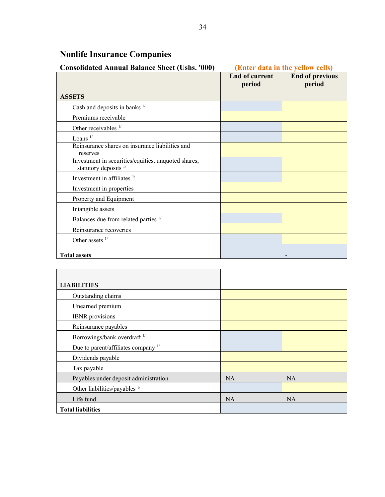| <b>Consolidated Annual Balance Sheet (Ushs. '000)</b>                          | (Enter data in the yellow cells) |                                  |  |
|--------------------------------------------------------------------------------|----------------------------------|----------------------------------|--|
|                                                                                | <b>End of current</b><br>period  | <b>End of previous</b><br>period |  |
| <b>ASSETS</b>                                                                  |                                  |                                  |  |
| Cash and deposits in banks $1/$                                                |                                  |                                  |  |
| Premiums receivable                                                            |                                  |                                  |  |
| Other receivables 1/                                                           |                                  |                                  |  |
| Loans $1/$                                                                     |                                  |                                  |  |
| Reinsurance shares on insurance liabilities and<br>reserves                    |                                  |                                  |  |
| Investment in securities/equities, unquoted shares,<br>statutory deposits $1/$ |                                  |                                  |  |
| Investment in affiliates $1/$                                                  |                                  |                                  |  |
| Investment in properties                                                       |                                  |                                  |  |
| Property and Equipment                                                         |                                  |                                  |  |
| Intangible assets                                                              |                                  |                                  |  |
| Balances due from related parties 1/                                           |                                  |                                  |  |
| Reinsurance recoveries                                                         |                                  |                                  |  |
| Other assets $1/$                                                              |                                  |                                  |  |
| <b>Total assets</b>                                                            |                                  |                                  |  |

# **Nonlife Insurance Companies**

 $\overline{a}$ 

| <b>LIABILITIES</b>                      |           |           |
|-----------------------------------------|-----------|-----------|
| Outstanding claims                      |           |           |
| Unearned premium                        |           |           |
| <b>IBNR</b> provisions                  |           |           |
| Reinsurance payables                    |           |           |
| Borrowings/bank overdraft <sup>1/</sup> |           |           |
| Due to parent/affiliates company $1/$   |           |           |
| Dividends payable                       |           |           |
| Tax payable                             |           |           |
| Payables under deposit administration   | <b>NA</b> | <b>NA</b> |
| Other liabilities/payables $1/$         |           |           |
| Life fund                               | <b>NA</b> | <b>NA</b> |
| <b>Total liabilities</b>                |           |           |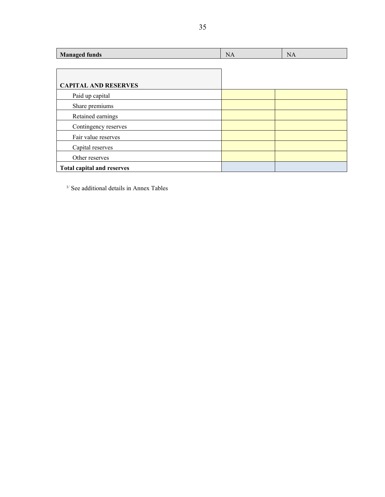| <b>Managed funds</b>              | <b>NA</b> | <b>NA</b> |
|-----------------------------------|-----------|-----------|
|                                   |           |           |
|                                   |           |           |
| <b>CAPITAL AND RESERVES</b>       |           |           |
| Paid up capital                   |           |           |
| Share premiums                    |           |           |
| Retained earnings                 |           |           |
| Contingency reserves              |           |           |
| Fair value reserves               |           |           |
| Capital reserves                  |           |           |
| Other reserves                    |           |           |
| <b>Total capital and reserves</b> |           |           |

 $^{\rm 1/}$  See additional details in Annex Tables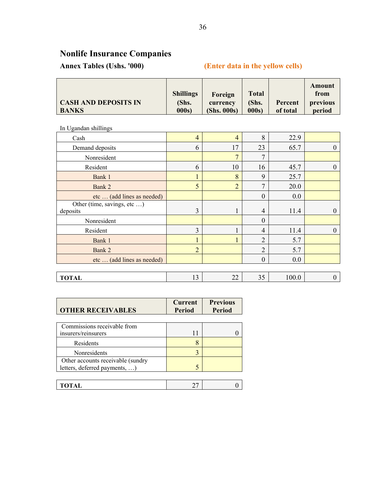# **Nonlife Insurance Companies**

## **Annex Tables (Ushs. '000) (Enter data in the yellow cells)**

In Ugandan shillings

| Cash                                    | 4              | $\overline{4}$ | 8              | 22.9  |          |
|-----------------------------------------|----------------|----------------|----------------|-------|----------|
| Demand deposits                         | 6              | 17             | 23             | 65.7  | $\theta$ |
| Nonresident                             |                | $\overline{7}$ | 7              |       |          |
| Resident                                | 6              | 10             | 16             | 45.7  | 0        |
| Bank 1                                  |                | 8              | 9              | 25.7  |          |
| Bank 2                                  | 5              | $\overline{2}$ | $\mathcal{I}$  | 20.0  |          |
| etc  (add lines as needed)              |                |                | $\mathbf{0}$   | 0.0   |          |
| Other (time, savings, etc )<br>deposits | 3              |                | $\overline{4}$ | 11.4  | 0        |
| Nonresident                             |                |                | $\theta$       |       |          |
| Resident                                | 3              |                | $\overline{4}$ | 11.4  | 0        |
| Bank 1                                  |                |                | $\overline{2}$ | 5.7   |          |
| Bank 2                                  | $\overline{2}$ |                | $\overline{2}$ | 5.7   |          |
| etc  (add lines as needed)              |                |                | $\theta$       | 0.0   |          |
|                                         |                |                |                |       |          |
| <b>TOTAL</b>                            | 13             | 22             | 35             | 100.0 | 0        |

| <b>OTHER RECEIVABLES</b>          | <b>Current</b><br>Period | <b>Previous</b><br><b>Period</b> |
|-----------------------------------|--------------------------|----------------------------------|
|                                   |                          |                                  |
| Commissions receivable from       |                          |                                  |
| insurers/reinsurers               | 11                       |                                  |
| Residents                         | 8                        |                                  |
| Nonresidents                      | ζ                        |                                  |
| Other accounts receivable (sundry |                          |                                  |
| letters, deferred payments, )     |                          |                                  |
|                                   |                          |                                  |
| TOTAL                             |                          |                                  |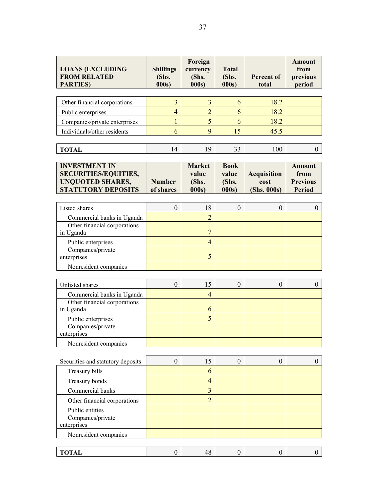| <b>LOANS (EXCLUDING</b><br><b>FROM RELATED</b><br><b>PARTIES</b> )                                          | <b>Shillings</b><br>(Shs.<br>000s | Foreign<br>currency<br>(Shs.<br>000s     | <b>Total</b><br>(Shs.<br>000s          | <b>Percent of</b><br>total                | <b>Amount</b><br>from<br>previous<br>period               |
|-------------------------------------------------------------------------------------------------------------|-----------------------------------|------------------------------------------|----------------------------------------|-------------------------------------------|-----------------------------------------------------------|
|                                                                                                             |                                   |                                          |                                        |                                           |                                                           |
| Other financial corporations                                                                                | $\overline{\mathbf{3}}$           | 3                                        | 6                                      | 18.2                                      |                                                           |
| Public enterprises                                                                                          | $\overline{4}$                    | $\overline{2}$                           | 6                                      | 18.2                                      |                                                           |
| Companies/private enterprises                                                                               | $\mathbf{1}$                      | 5                                        | 6                                      | 18.2                                      |                                                           |
| Individuals/other residents                                                                                 | 6                                 | 9                                        | 15                                     | 45.5                                      |                                                           |
| <b>TOTAL</b>                                                                                                | 14                                | 19                                       | 33                                     | 100                                       | $\overline{0}$                                            |
| <b>INVESTMENT IN</b><br><b>SECURITIES/EQUITIES,</b><br><b>UNQUOTED SHARES,</b><br><b>STATUTORY DEPOSITS</b> | <b>Number</b><br>of shares        | <b>Market</b><br>value<br>(Shs.<br>000s) | <b>Book</b><br>value<br>(Shs.<br>000s) | <b>Acquisition</b><br>cost<br>(Shs. 000s) | <b>Amount</b><br>from<br><b>Previous</b><br><b>Period</b> |
|                                                                                                             |                                   |                                          |                                        |                                           |                                                           |
| Listed shares                                                                                               | $\boldsymbol{0}$                  | 18                                       | $\mathbf{0}$                           | $\theta$                                  | $\mathbf{0}$                                              |
| Commercial banks in Uganda                                                                                  |                                   | $\overline{2}$                           |                                        |                                           |                                                           |
| Other financial corporations                                                                                |                                   | $\overline{7}$                           |                                        |                                           |                                                           |
| in Uganda                                                                                                   |                                   | $\overline{4}$                           |                                        |                                           |                                                           |
| Public enterprises<br>Companies/private                                                                     |                                   |                                          |                                        |                                           |                                                           |
| enterprises                                                                                                 |                                   | 5                                        |                                        |                                           |                                                           |
| Nonresident companies                                                                                       |                                   |                                          |                                        |                                           |                                                           |
|                                                                                                             |                                   |                                          |                                        |                                           |                                                           |
| Unlisted shares                                                                                             | $\boldsymbol{0}$                  | 15                                       | $\boldsymbol{0}$                       | $\boldsymbol{0}$                          | $\mathbf{0}$                                              |
| Commercial banks in Uganda                                                                                  |                                   | $\overline{4}$                           |                                        |                                           |                                                           |
| Other financial corporations                                                                                |                                   |                                          |                                        |                                           |                                                           |
| in Uganda                                                                                                   |                                   | 6                                        |                                        |                                           |                                                           |
| Public enterprises                                                                                          |                                   | 5                                        |                                        |                                           |                                                           |
| Companies/private<br>enterprises                                                                            |                                   |                                          |                                        |                                           |                                                           |
| Nonresident companies                                                                                       |                                   |                                          |                                        |                                           |                                                           |
|                                                                                                             |                                   |                                          |                                        |                                           |                                                           |
| Securities and statutory deposits                                                                           | $\theta$                          | 15                                       | $\mathbf{0}$                           | $\theta$                                  | $\theta$                                                  |
| Treasury bills                                                                                              |                                   | 6                                        |                                        |                                           |                                                           |
| Treasury bonds                                                                                              |                                   | $\overline{4}$                           |                                        |                                           |                                                           |
| Commercial banks                                                                                            |                                   | 3                                        |                                        |                                           |                                                           |
| Other financial corporations                                                                                |                                   | $\overline{2}$                           |                                        |                                           |                                                           |
| Public entities                                                                                             |                                   |                                          |                                        |                                           |                                                           |
| Companies/private                                                                                           |                                   |                                          |                                        |                                           |                                                           |
| enterprises                                                                                                 |                                   |                                          |                                        |                                           |                                                           |
| Nonresident companies                                                                                       |                                   |                                          |                                        |                                           |                                                           |
|                                                                                                             |                                   |                                          |                                        |                                           |                                                           |
| <b>TOTAL</b>                                                                                                | $\boldsymbol{0}$                  | 48                                       | $\boldsymbol{0}$                       | $\boldsymbol{0}$                          | $\overline{0}$                                            |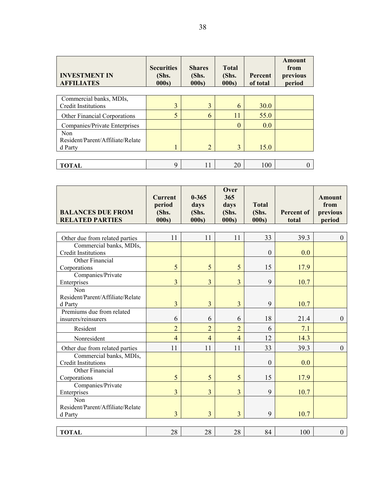| <b>INVESTMENT IN</b><br><b>AFFILIATES</b>                 | <b>Securities</b><br>(Shs.<br>000s | <b>Shares</b><br>(Shs.<br>000s | <b>Total</b><br>(Shs.<br>000s | Percent<br>of total | Amount<br>from<br>previous<br>period |
|-----------------------------------------------------------|------------------------------------|--------------------------------|-------------------------------|---------------------|--------------------------------------|
| Commercial banks, MDIs,<br><b>Credit Institutions</b>     | 3                                  | 3                              | 6                             | <b>30.0</b>         |                                      |
| <b>Other Financial Corporations</b>                       | 5                                  | 6                              | 11                            | 55.0                |                                      |
| Companies/Private Enterprises                             |                                    |                                | $\Omega$                      | 0.0                 |                                      |
| <b>Non</b><br>Resident/Parent/Affiliate/Relate<br>d Party |                                    | $\overline{2}$                 | 3                             | 15.0                |                                      |
|                                                           |                                    |                                |                               |                     |                                      |
| <b>TOTAL</b>                                              | 9                                  | 11                             | 20                            | 100                 |                                      |

| <b>BALANCES DUE FROM</b><br><b>RELATED PARTIES</b>    | <b>Current</b><br>period<br>(Shs.<br>000s | $0 - 365$<br>days<br>(Shs.<br>000s) | Over<br>365<br>days<br>(Shs.<br>000s | <b>Total</b><br>(Shs.<br>000s | <b>Percent of</b><br>total | <b>Amount</b><br>from<br>previous<br>period |
|-------------------------------------------------------|-------------------------------------------|-------------------------------------|--------------------------------------|-------------------------------|----------------------------|---------------------------------------------|
|                                                       |                                           |                                     |                                      |                               |                            |                                             |
| Other due from related parties                        | 11                                        | 11                                  | 11                                   | 33                            | 39.3                       | $\theta$                                    |
| Commercial banks, MDIs,<br><b>Credit Institutions</b> |                                           |                                     |                                      | $\mathbf{0}$                  | 0.0                        |                                             |
| Other Financial<br>Corporations                       | 5                                         | 5                                   | 5                                    | 15                            | 17.9                       |                                             |
| Companies/Private<br>Enterprises                      | $\overline{3}$                            | $\overline{3}$                      | $\overline{3}$                       | 9                             | 10.7                       |                                             |
| Non<br>Resident/Parent/Affiliate/Relate<br>d Party    | 3                                         | $\overline{3}$                      | 3                                    | 9                             | 10.7                       |                                             |
| Premiums due from related<br>insurers/reinsurers      | 6                                         | 6                                   | 6                                    | 18                            | 21.4                       | $\theta$                                    |
| Resident                                              | $\overline{2}$                            | $\overline{2}$                      | $\overline{2}$                       | 6                             | 7.1                        |                                             |
| Nonresident                                           | $\overline{4}$                            | $\overline{4}$                      | $\overline{4}$                       | 12                            | 14.3                       |                                             |
| Other due from related parties                        | 11                                        | 11                                  | 11                                   | 33                            | 39.3                       | $\mathbf{0}$                                |
| Commercial banks, MDIs,<br><b>Credit Institutions</b> |                                           |                                     |                                      | $\overline{0}$                | 0.0                        |                                             |
| Other Financial<br>Corporations                       | 5                                         | 5                                   | 5                                    | 15                            | 17.9                       |                                             |
| Companies/Private<br>Enterprises                      | $\overline{3}$                            | 3                                   | 3                                    | 9                             | 10.7                       |                                             |
| Non<br>Resident/Parent/Affiliate/Relate               | $\overline{3}$                            | $\overline{3}$                      |                                      | 9                             |                            |                                             |
| d Party                                               |                                           |                                     | 3                                    |                               | 10.7                       |                                             |
| <b>TOTAL</b>                                          | 28                                        | 28                                  | 28                                   | 84                            | 100                        | $\mathbf{0}$                                |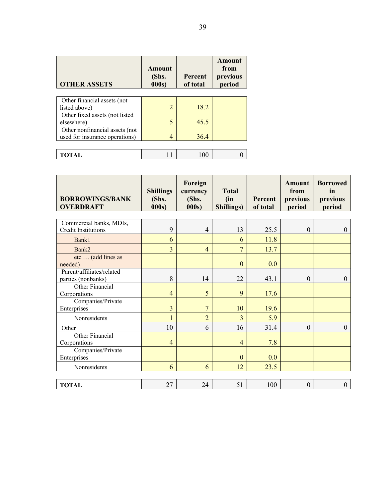| <b>OTHER ASSETS</b>                                              | Amount<br>(Shs.<br>000s | <b>Percent</b><br>of total | Amount<br>from<br>previous<br>period |
|------------------------------------------------------------------|-------------------------|----------------------------|--------------------------------------|
| Other financial assets (not<br>listed above)                     | $\overline{2}$          | 18.2                       |                                      |
| Other fixed assets (not listed<br>elsewhere)                     | 5                       | 45.5                       |                                      |
| Other nonfinancial assets (not<br>used for insurance operations) | 4                       | 36.4                       |                                      |
|                                                                  |                         |                            |                                      |
| TOTAL                                                            |                         | 100                        |                                      |

| <b>BORROWINGS/BANK</b><br><b>OVERDRAFT</b>      | <b>Shillings</b><br>(Shs.<br>000s) | Foreign<br>currency<br>(Shs.<br>000s) | <b>Total</b><br>(in<br>Shillings) | <b>Percent</b><br>of total | Amount<br>from<br>previous<br>period | <b>Borrowed</b><br>in<br>previous<br>period |
|-------------------------------------------------|------------------------------------|---------------------------------------|-----------------------------------|----------------------------|--------------------------------------|---------------------------------------------|
| Commercial banks, MDIs,                         |                                    |                                       |                                   |                            |                                      |                                             |
| <b>Credit Institutions</b>                      | 9                                  | $\overline{4}$                        | 13                                | 25.5                       | $\boldsymbol{0}$                     | $\boldsymbol{0}$                            |
| Bank1                                           | 6                                  |                                       | 6                                 | 11.8                       |                                      |                                             |
| Bank2                                           | $\overline{3}$                     | $\overline{4}$                        | $\overline{7}$                    | 13.7                       |                                      |                                             |
| etc  (add lines as<br>needed)                   |                                    |                                       | $\mathbf{0}$                      | 0.0                        |                                      |                                             |
| Parent/affiliates/related<br>parties (nonbanks) | 8                                  | 14                                    | 22                                | 43.1                       | $\theta$                             | $\mathbf{0}$                                |
| Other Financial<br>Corporations                 | $\overline{4}$                     | 5                                     | 9                                 | 17.6                       |                                      |                                             |
| Companies/Private<br>Enterprises                | $\overline{3}$                     | $\overline{7}$                        | 10                                | 19.6                       |                                      |                                             |
| Nonresidents                                    | 1                                  | $\overline{2}$                        | $\overline{3}$                    | 5.9                        |                                      |                                             |
| Other                                           | 10                                 | 6                                     | 16                                | 31.4                       | $\overline{0}$                       | $\overline{0}$                              |
| Other Financial<br>Corporations                 | $\overline{4}$                     |                                       | $\overline{4}$                    | 7.8                        |                                      |                                             |
| Companies/Private<br>Enterprises                |                                    |                                       | $\theta$                          | 0.0                        |                                      |                                             |
| Nonresidents                                    | 6                                  | 6                                     | 12                                | 23.5                       |                                      |                                             |
|                                                 |                                    |                                       |                                   |                            |                                      |                                             |
| <b>TOTAL</b>                                    | 27                                 | 24                                    | 51                                | 100                        | $\boldsymbol{0}$                     | $\overline{0}$                              |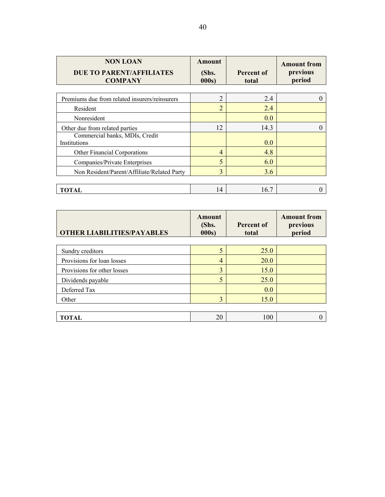| <b>NON LOAN</b><br><b>DUE TO PARENT/AFFILIATES</b><br><b>COMPANY</b> | Amount<br>(Shs.<br>000s | Percent of<br>total | <b>Amount from</b><br>previous<br>period |
|----------------------------------------------------------------------|-------------------------|---------------------|------------------------------------------|
| Premiums due from related insurers/reinsurers                        | $\overline{2}$          | 2.4                 | 0                                        |
| Resident                                                             | $\overline{c}$          | 2.4                 |                                          |
| Nonresident                                                          |                         | 0.0                 |                                          |
| Other due from related parties                                       | 12                      | 14.3                | 0                                        |
| Commercial banks, MDIs, Credit<br>Institutions                       |                         | 0.0                 |                                          |
| Other Financial Corporations                                         | $\overline{4}$          | 4.8                 |                                          |
| Companies/Private Enterprises                                        | 5                       | 6.0                 |                                          |
| Non Resident/Parent/Affiliate/Related Party                          | 3                       | 3.6                 |                                          |
|                                                                      |                         |                     |                                          |
| TOTAL                                                                | 14                      | 16.7                |                                          |

| <b>OTHER LIABILITIES/PAYABLES</b> | Amount<br>(Shs.<br>000s | <b>Percent of</b><br>total | <b>Amount from</b><br>previous<br>period |
|-----------------------------------|-------------------------|----------------------------|------------------------------------------|
| Sundry creditors                  | 5                       | 25.0                       |                                          |
| Provisions for loan losses        | $\overline{4}$          | 20.0                       |                                          |
| Provisions for other losses       | 3                       | 15.0                       |                                          |
| Dividends payable                 | 5                       | 25.0                       |                                          |
| Deferred Tax                      |                         | 0.0                        |                                          |
| Other                             | 3                       | 15.0                       |                                          |
|                                   |                         |                            |                                          |
| <b>TOTAL</b>                      | 20                      | 100                        | $\left( \right)$                         |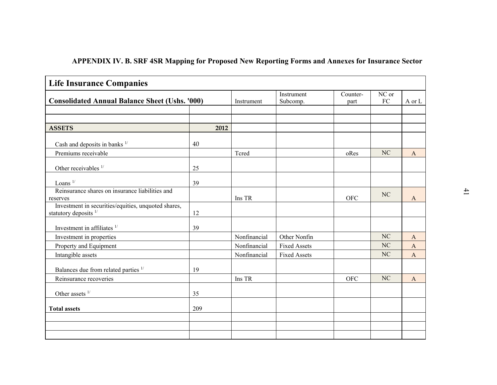| <b>Life Insurance Companies</b>                                                         |      |              |                        |                  |                     |              |
|-----------------------------------------------------------------------------------------|------|--------------|------------------------|------------------|---------------------|--------------|
| <b>Consolidated Annual Balance Sheet (Ushs. '000)</b>                                   |      | Instrument   | Instrument<br>Subcomp. | Counter-<br>part | NC or<br>${\rm FC}$ | A or L       |
| <b>ASSETS</b>                                                                           | 2012 |              |                        |                  |                     |              |
| Cash and deposits in banks $1/$                                                         | 40   |              |                        |                  |                     |              |
| Premiums receivable                                                                     |      | Tcred        |                        | oRes             | NC                  | $\mathbf{A}$ |
| Other receivables 1/                                                                    | 25   |              |                        |                  |                     |              |
| Loans $1/$                                                                              | 39   |              |                        |                  |                     |              |
| Reinsurance shares on insurance liabilities and<br>reserves                             |      | Ins TR       |                        | <b>OFC</b>       | NC                  | $\mathbf{A}$ |
| Investment in securities/equities, unquoted shares,<br>statutory deposits <sup>1/</sup> | 12   |              |                        |                  |                     |              |
| Investment in affiliates $1/$                                                           | 39   |              |                        |                  |                     |              |
| Investment in properties                                                                |      | Nonfinancial | Other Nonfin           |                  | N <sub>C</sub>      | A            |
| Property and Equipment                                                                  |      | Nonfinancial | <b>Fixed Assets</b>    |                  | NC                  | $\mathbf{A}$ |
| Intangible assets                                                                       |      | Nonfinancial | <b>Fixed Assets</b>    |                  | N <sub>C</sub>      | $\mathbf{A}$ |
| Balances due from related parties $1/$                                                  | 19   |              |                        |                  |                     |              |
| Reinsurance recoveries                                                                  |      | Ins TR       |                        | <b>OFC</b>       | NC                  | $\mathbf{A}$ |
|                                                                                         |      |              |                        |                  |                     |              |
| Other assets $1/$                                                                       | 35   |              |                        |                  |                     |              |
| <b>Total assets</b>                                                                     | 209  |              |                        |                  |                     |              |
|                                                                                         |      |              |                        |                  |                     |              |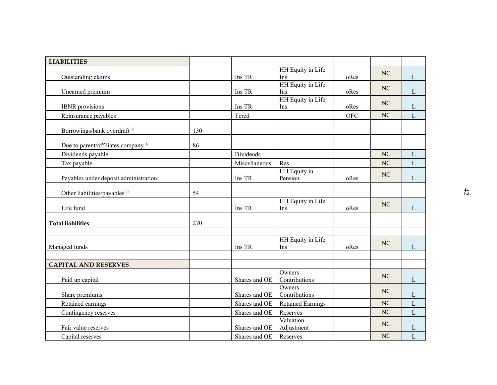| <b>LIABILITIES</b>                       |     |               |                          |            |                |              |    |
|------------------------------------------|-----|---------------|--------------------------|------------|----------------|--------------|----|
|                                          |     |               | HH Equity in Life        |            |                |              |    |
| Outstanding claims                       |     | Ins TR        | Ins                      | oRes       | NC             | L            |    |
| Unearned premium                         |     | Ins TR        | HH Equity in Life<br>Ins | oRes       | NC             | $\mathbf{L}$ |    |
| <b>IBNR</b> provisions                   |     | Ins TR        | HH Equity in Life<br>Ins | oRes       | NC             | $\mathbf{L}$ |    |
| Reinsurance payables                     |     | Tcred         |                          | <b>OFC</b> | NC             | $\mathbf{L}$ |    |
| Borrowings/bank overdraft <sup>1/</sup>  | 130 |               |                          |            |                |              |    |
| Due to parent/affiliates company 1/      | 86  |               |                          |            |                |              |    |
| Dividends payable                        |     | Dividends     |                          |            | N <sub>C</sub> | L            |    |
| Tax payable                              |     | Miscellaneous | Res                      |            | NC             | $\mathbf{L}$ |    |
|                                          |     |               | HH Equity in             |            | NC             |              |    |
| Payables under deposit administration    |     | Ins TR        | Pension                  | oRes       |                | L            |    |
| Other liabilities/payables <sup>1/</sup> | 54  |               |                          |            |                |              | 42 |
|                                          |     |               | HH Equity in Life        |            | NC             |              |    |
| Life fund                                |     | Ins TR        | Ins                      | oRes       |                | L            |    |
| <b>Total liabilities</b>                 | 270 |               |                          |            |                |              |    |
|                                          |     |               |                          |            |                |              |    |
|                                          |     |               | HH Equity in Life        |            | NC             |              |    |
| Managed funds                            |     | Ins TR        | Ins                      | oRes       |                | L            |    |
| <b>CAPITAL AND RESERVES</b>              |     |               |                          |            |                |              |    |
|                                          |     |               | Owners                   |            |                |              |    |
| Paid up capital                          |     | Shares and OE | Contributions            |            | NC             | $\mathbf{L}$ |    |
|                                          |     |               | Owners                   |            | $\rm NC$       |              |    |
| Share premiums                           |     | Shares and OE | Contributions            |            | $\rm NC$       | L            |    |
| Retained earnings                        |     | Shares and OE | <b>Retained Earnings</b> |            | $\rm NC$       | L            |    |
| Contingency reserves                     |     | Shares and OE | Reserves<br>Valuation    |            |                | ${\bf L}$    |    |
| Fair value reserves                      |     | Shares and OE | Adjustment               |            | $\rm NC$       | $\mathbf L$  |    |
| Capital reserves                         |     | Shares and OE | Reserves                 |            | $\rm NC$       | $\mathbf{L}$ |    |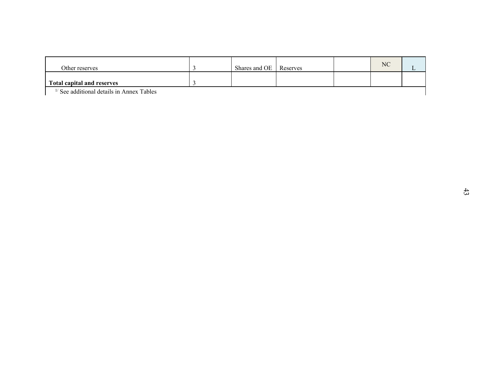| Other reserves                              | $\mathfrak{Z}$ | Shares and OE | Reserves | $\rm NC$ | $\mathbf L$ |
|---------------------------------------------|----------------|---------------|----------|----------|-------------|
| <b>Total capital and reserves</b>           | $\mathfrak{Z}$ |               |          |          |             |
| $1/$ See additional details in Annex Tables |                |               |          |          |             |
|                                             |                |               |          |          |             |
|                                             |                |               |          |          |             |
|                                             |                |               |          |          |             |
|                                             |                |               |          |          |             |
|                                             |                |               |          |          |             |
|                                             |                |               |          |          |             |
|                                             |                |               |          |          |             |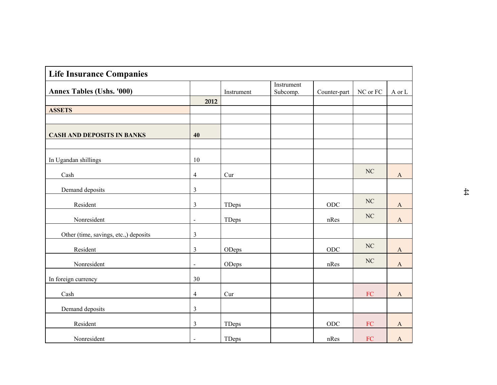| <b>Life Insurance Companies</b>       |                |                             |                        |                       |            |                       |
|---------------------------------------|----------------|-----------------------------|------------------------|-----------------------|------------|-----------------------|
| <b>Annex Tables (Ushs. '000)</b>      |                | Instrument                  | Instrument<br>Subcomp. | Counter-part          | NC or FC   | A or L                |
|                                       | 2012           |                             |                        |                       |            |                       |
| <b>ASSETS</b>                         |                |                             |                        |                       |            |                       |
|                                       |                |                             |                        |                       |            |                       |
| <b>CASH AND DEPOSITS IN BANKS</b>     | 40             |                             |                        |                       |            |                       |
|                                       |                |                             |                        |                       |            |                       |
| In Ugandan shillings                  | 10             |                             |                        |                       |            |                       |
| Cash                                  | $\overline{4}$ | Cur                         |                        |                       | $\rm NC$   | $\mathbf{A}$          |
| Demand deposits                       | $\mathfrak{Z}$ |                             |                        |                       |            |                       |
| Resident                              | $\mathfrak{Z}$ | TDeps                       |                        | $_{\rm ODC}$          | $\rm NC$   | $\mathbf{A}$          |
| Nonresident                           | $\sim$         | TDeps                       |                        | nRes                  | $\rm NC$   | $\mathbf{A}$          |
| Other (time, savings, etc.,) deposits | $\mathfrak{Z}$ |                             |                        |                       |            |                       |
| Resident                              | $\mathfrak{Z}$ | ODeps                       |                        | ODC                   | $\rm NC$   | $\mathbf{A}$          |
| Nonresident                           | $\blacksquare$ | ODeps                       |                        | nRes                  | NC         | $\mathbf{A}$          |
| In foreign currency                   | 30             |                             |                        |                       |            |                       |
| Cash                                  | $\overline{4}$ | $\ensuremath{\mathrm{Cur}}$ |                        |                       | ${\rm FC}$ | $\boldsymbol{\rm{A}}$ |
| Demand deposits                       | $\mathfrak{Z}$ |                             |                        |                       |            |                       |
| Resident                              | $\mathfrak{Z}$ | <b>TDeps</b>                |                        | $\rm ODC$             | ${\rm FC}$ | $\mathbf A$           |
| Nonresident                           | $\blacksquare$ | TDeps                       |                        | $\operatorname{nRes}$ | ${\rm FC}$ | $\mathbf A$           |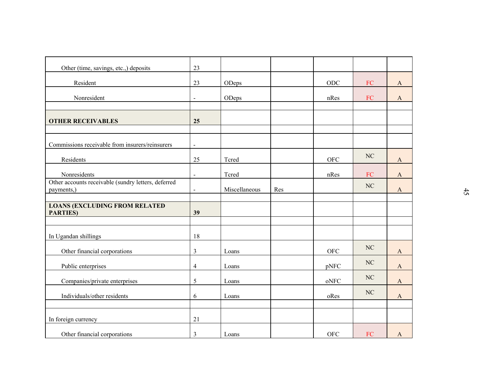| Other (time, savings, etc.,) deposits                             | 23             |               |     |             |            |                       |
|-------------------------------------------------------------------|----------------|---------------|-----|-------------|------------|-----------------------|
| Resident                                                          | 23             | ODeps         |     | $\rm ODC$   | ${\rm FC}$ | A                     |
| Nonresident                                                       | $\blacksquare$ | ODeps         |     | nRes        | ${\rm FC}$ | $\mathbf{A}$          |
| <b>OTHER RECEIVABLES</b>                                          | 25             |               |     |             |            |                       |
|                                                                   |                |               |     |             |            |                       |
| Commissions receivable from insurers/reinsurers                   | $\blacksquare$ |               |     |             |            |                       |
| Residents                                                         | 25             | Tcred         |     | <b>OFC</b>  | $\rm NC$   | $\mathbf{A}$          |
| Nonresidents                                                      | $\blacksquare$ | Tcred         |     | nRes        | ${\rm FC}$ | $\mathbf{A}$          |
| Other accounts receivable (sundry letters, deferred<br>payments,) | $\blacksquare$ | Miscellaneous | Res |             | NC         | $\mathbf{A}$          |
| <b>LOANS (EXCLUDING FROM RELATED</b>                              |                |               |     |             |            |                       |
| <b>PARTIES</b> )                                                  | 39             |               |     |             |            |                       |
| In Ugandan shillings                                              | 18             |               |     |             |            |                       |
| Other financial corporations                                      | $\mathfrak{Z}$ | Loans         |     | ${\rm OFC}$ | $\rm NC$   | $\mathbf{A}$          |
| Public enterprises                                                | $\overline{4}$ | Loans         |     | pNFC        | NC         | $\boldsymbol{\rm{A}}$ |
| Companies/private enterprises                                     | 5              | Loans         |     | oNFC        | $\rm NC$   | $\mathbf{A}$          |
| Individuals/other residents                                       | 6              | Loans         |     | oRes        | $\rm NC$   | $\boldsymbol{\rm{A}}$ |
| In foreign currency                                               | 21             |               |     |             |            |                       |
| Other financial corporations                                      | $\mathfrak{Z}$ | Loans         |     | <b>OFC</b>  | ${\rm FC}$ | $\mathbf{A}$          |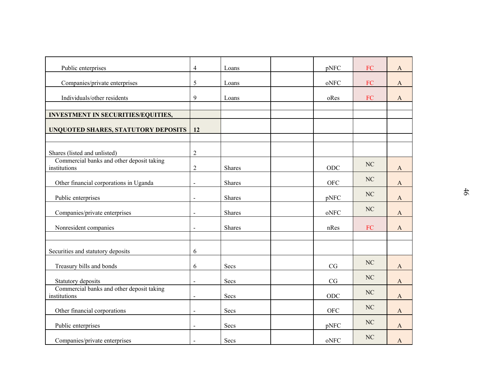| Public enterprises                                        | $\overline{4}$ | Loans  | pNFC                                          | ${\rm FC}$ | $\mathbf{A}$ |
|-----------------------------------------------------------|----------------|--------|-----------------------------------------------|------------|--------------|
| Companies/private enterprises                             | 5              | Loans  | oNFC                                          | FC         | $\mathbf{A}$ |
| Individuals/other residents                               | 9              | Loans  | oRes                                          | ${\rm FC}$ | $\mathbf{A}$ |
|                                                           |                |        |                                               |            |              |
| INVESTMENT IN SECURITIES/EQUITIES,                        |                |        |                                               |            |              |
| UNQUOTED SHARES, STATUTORY DEPOSITS                       | 12             |        |                                               |            |              |
|                                                           |                |        |                                               |            |              |
| Shares (listed and unlisted)                              | $\overline{c}$ |        |                                               |            |              |
| Commercial banks and other deposit taking<br>institutions | $\overline{c}$ | Shares | ODC                                           | NC         | $\mathbf{A}$ |
| Other financial corporations in Uganda                    | $\blacksquare$ | Shares | ${\rm OFC}$                                   | $\rm NC$   | $\mathbf{A}$ |
| Public enterprises                                        | $\blacksquare$ | Shares | pNFC                                          | NC         | $\mathbf{A}$ |
| Companies/private enterprises                             | $\blacksquare$ | Shares | oNFC                                          | $\rm NC$   | $\mathbf{A}$ |
| Nonresident companies                                     | $\sim$         | Shares | nRes                                          | ${\rm FC}$ | $\mathbf{A}$ |
|                                                           |                |        |                                               |            |              |
| Securities and statutory deposits                         | 6              |        |                                               |            |              |
| Treasury bills and bonds                                  | 6              | Secs   | CG                                            | $\rm NC$   | $\mathbf{A}$ |
| Statutory deposits                                        | $\blacksquare$ | Secs   | CG                                            | $\rm NC$   | $\mathbf{A}$ |
| Commercial banks and other deposit taking<br>institutions | $\blacksquare$ | Secs   | ODC                                           | $\rm NC$   | $\mathbf{A}$ |
| Other financial corporations                              | $\blacksquare$ | Secs   | <b>OFC</b>                                    | $\rm NC$   | $\mathbf{A}$ |
| Public enterprises                                        | $\blacksquare$ | Secs   | pNFC                                          | $\rm NC$   | $\mathbf{A}$ |
| Companies/private enterprises                             | $\blacksquare$ | Secs   | $\mathbf{o} \mathbf{N} \mathbf{F} \mathbf{C}$ | $\rm NC$   | $\mathbf{A}$ |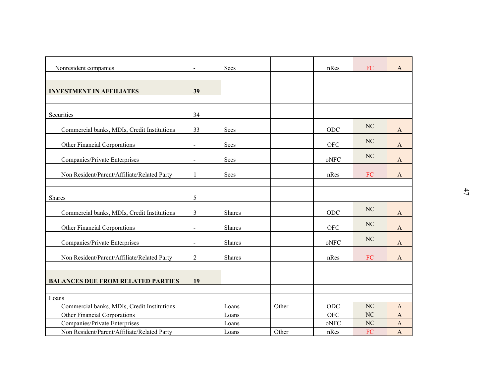|                                             | $\overline{a}$ |               |       |                                               |            |                           |
|---------------------------------------------|----------------|---------------|-------|-----------------------------------------------|------------|---------------------------|
| Nonresident companies                       |                | Secs          |       | nRes                                          | ${\rm FC}$ | $\mathbf{A}$              |
|                                             |                |               |       |                                               |            |                           |
| <b>INVESTMENT IN AFFILIATES</b>             | 39             |               |       |                                               |            |                           |
|                                             |                |               |       |                                               |            |                           |
| Securities                                  | 34             |               |       |                                               |            |                           |
| Commercial banks, MDIs, Credit Institutions | 33             | Secs          |       | ODC                                           | NC         | $\mathbf{A}$              |
|                                             |                |               |       |                                               | NC         |                           |
| Other Financial Corporations                | $\overline{a}$ | Secs          |       | <b>OFC</b>                                    |            | $\mathbf{A}$              |
| Companies/Private Enterprises               | $\overline{a}$ | Secs          |       | oNFC                                          | NC         | $\boldsymbol{\mathsf{A}}$ |
| Non Resident/Parent/Affiliate/Related Party | $\mathbf{1}$   | Secs          |       | nRes                                          | ${\rm FC}$ | $\mathbf{A}$              |
|                                             |                |               |       |                                               |            |                           |
|                                             |                |               |       |                                               |            |                           |
| Shares                                      | 5              |               |       |                                               |            |                           |
| Commercial banks, MDIs, Credit Institutions | $\mathfrak{Z}$ | Shares        |       | ODC                                           | NC         | $\mathbf{A}$              |
| Other Financial Corporations                | $\overline{a}$ | <b>Shares</b> |       | <b>OFC</b>                                    | NC         | $\mathbf{A}$              |
|                                             |                |               |       |                                               | NC         |                           |
| Companies/Private Enterprises               | $\overline{a}$ | Shares        |       | oNFC                                          |            | $\mathbf{A}$              |
| Non Resident/Parent/Affiliate/Related Party | $\sqrt{2}$     | Shares        |       | nRes                                          | ${\rm FC}$ | $\mathbf{A}$              |
|                                             |                |               |       |                                               |            |                           |
| <b>BALANCES DUE FROM RELATED PARTIES</b>    | 19             |               |       |                                               |            |                           |
|                                             |                |               |       |                                               |            |                           |
| Loans                                       |                |               |       |                                               |            |                           |
| Commercial banks, MDIs, Credit Institutions |                | Loans         | Other | ODC                                           | NC         | $\mathbf{A}$              |
| Other Financial Corporations                |                | Loans         |       | <b>OFC</b>                                    | NC         | $\mathbf{A}$              |
| Companies/Private Enterprises               |                | Loans         |       | $\mathbf{o} \mathbf{N} \mathbf{F} \mathbf{C}$ | $\rm NC$   | $\boldsymbol{\rm{A}}$     |
| Non Resident/Parent/Affiliate/Related Party |                | Loans         | Other | nRes                                          | FC         | $\mathbf A$               |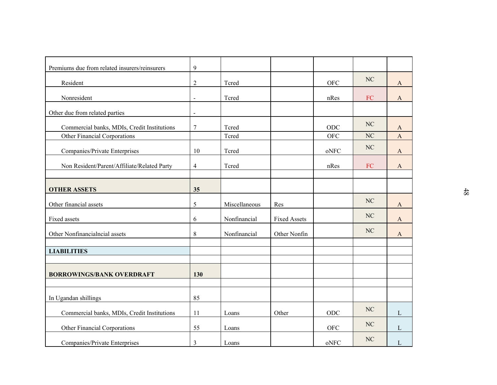| Premiums due from related insurers/reinsurers | $\overline{9}$           |               |                     |                                               |            |              |
|-----------------------------------------------|--------------------------|---------------|---------------------|-----------------------------------------------|------------|--------------|
| Resident                                      | $\sqrt{2}$               | Tcred         |                     | <b>OFC</b>                                    | NC         | $\mathbf{A}$ |
| Nonresident                                   | $\overline{\phantom{a}}$ | Tcred         |                     | nRes                                          | ${\rm FC}$ | $\mathbf{A}$ |
|                                               |                          |               |                     |                                               |            |              |
| Other due from related parties                | $\blacksquare$           |               |                     |                                               |            |              |
| Commercial banks, MDIs, Credit Institutions   | $\overline{7}$           | Tcred         |                     | $ODC$                                         | NC         | $\mathbf{A}$ |
| Other Financial Corporations                  |                          | Tcred         |                     | <b>OFC</b>                                    | NC         | $\mathbf{A}$ |
| Companies/Private Enterprises                 | 10                       | Tcred         |                     | oNFC                                          | NC         | $\mathbf{A}$ |
|                                               |                          |               |                     |                                               |            |              |
| Non Resident/Parent/Affiliate/Related Party   | $\overline{4}$           | Tcred         |                     | nRes                                          | ${\rm FC}$ | $\mathbf{A}$ |
|                                               |                          |               |                     |                                               |            |              |
| <b>OTHER ASSETS</b>                           | 35                       |               |                     |                                               |            |              |
| Other financial assets                        | 5                        | Miscellaneous | Res                 |                                               | NC         | $\mathbf{A}$ |
| Fixed assets                                  | 6                        | Nonfinancial  | <b>Fixed Assets</b> |                                               | NC         | $\mathbf{A}$ |
|                                               |                          |               |                     |                                               | NC         |              |
| Other Nonfinancialncial assets                | $8\,$                    | Nonfinancial  | Other Nonfin        |                                               |            | $\mathbf{A}$ |
| <b>LIABILITIES</b>                            |                          |               |                     |                                               |            |              |
|                                               |                          |               |                     |                                               |            |              |
| <b>BORROWINGS/BANK OVERDRAFT</b>              | 130                      |               |                     |                                               |            |              |
|                                               |                          |               |                     |                                               |            |              |
| In Ugandan shillings                          | 85                       |               |                     |                                               |            |              |
|                                               |                          |               |                     |                                               | $\rm NC$   |              |
| Commercial banks, MDIs, Credit Institutions   | $11$                     | Loans         | Other               | ODC                                           |            | $\mathbf L$  |
| Other Financial Corporations                  | 55                       | Loans         |                     | OFC                                           | $\rm NC$   | $\mathbf{L}$ |
| Companies/Private Enterprises                 |                          |               |                     |                                               | $\rm NC$   |              |
|                                               | $\mathfrak{Z}$           | Loans         |                     | $\mathbf{o} \mathbf{N} \mathbf{F} \mathbf{C}$ |            | ${\bf L}$    |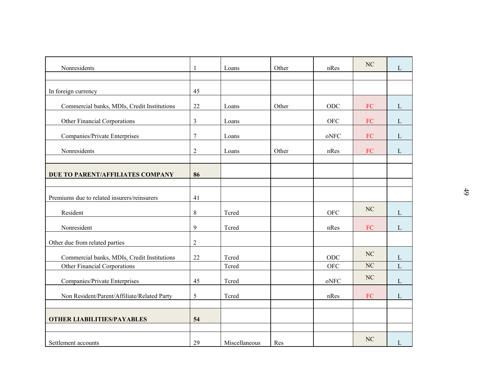| Nonresidents                                |                | Loans         | Other | nRes        | $\rm NC$   | ${\bf L}$    |
|---------------------------------------------|----------------|---------------|-------|-------------|------------|--------------|
|                                             |                |               |       |             |            |              |
| In foreign currency                         | 45             |               |       |             |            |              |
| Commercial banks, MDIs, Credit Institutions | $22\,$         | Loans         | Other | ODC         | FC         | $\mathbf{L}$ |
| Other Financial Corporations                | $\mathfrak{Z}$ | Loans         |       | <b>OFC</b>  | FC         | $\mathbf{L}$ |
| Companies/Private Enterprises               | $\tau$         | Loans         |       | oNFC        | ${\rm FC}$ | $\mathbf{L}$ |
| Nonresidents                                | $\mathfrak{2}$ | Loans         | Other | nRes        | ${\rm FC}$ | $\mathbf L$  |
|                                             |                |               |       |             |            |              |
| DUE TO PARENT/AFFILIATES COMPANY            | 86             |               |       |             |            |              |
| Premiums due to related insurers/reinsurers | 41             |               |       |             |            |              |
| Resident                                    | $8\,$          | Tcred         |       | ${\rm OFC}$ | $\rm NC$   | $\mathbf L$  |
| Nonresident                                 | 9              | Tcred         |       | nRes        | ${\rm FC}$ | $\mathbf{L}$ |
| Other due from related parties              | $\overline{2}$ |               |       |             |            |              |
| Commercial banks, MDIs, Credit Institutions | 22             | Tcred         |       | ODC         | NC         | $\mathbf L$  |
| Other Financial Corporations                |                | Tcred         |       | ${\rm OFC}$ | $\rm NC$   | $\mathbf L$  |
| Companies/Private Enterprises               | 45             | Tcred         |       | oNFC        | $\rm NC$   | $\Gamma$     |
| Non Resident/Parent/Affiliate/Related Party | 5              | Tcred         |       | nRes        | ${\rm FC}$ | $\mathbf{L}$ |
|                                             |                |               |       |             |            |              |
| <b>OTHER LIABILITIES/PAYABLES</b>           | 54             |               |       |             |            |              |
| Settlement accounts                         | 29             | Miscellaneous | Res   |             | $\rm NC$   | $\mathbf{L}$ |
|                                             |                |               |       |             |            |              |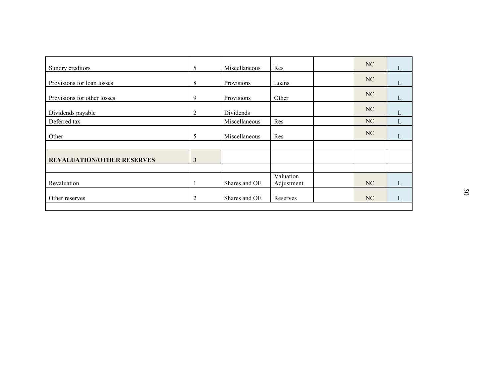| Sundry creditors                  | 5              | Miscellaneous | Res        | NC | $\mathbf{L}$ |
|-----------------------------------|----------------|---------------|------------|----|--------------|
| Provisions for loan losses        | $8\,$          | Provisions    | Loans      | NC | $\mathbf{L}$ |
| Provisions for other losses       | 9              | Provisions    | Other      | NC | $\mathbf L$  |
| Dividends payable                 | $\overline{2}$ | Dividends     |            | NC | L            |
| Deferred tax                      |                | Miscellaneous | Res        | NC | $\mathbf{L}$ |
| Other                             | 5              | Miscellaneous | Res        | NC | $\mathbf L$  |
|                                   |                |               |            |    |              |
| <b>REVALUATION/OTHER RESERVES</b> | $\mathbf{3}$   |               |            |    |              |
|                                   |                |               | Valuation  |    |              |
| Revaluation                       |                | Shares and OE | Adjustment | NC | L            |
| Other reserves                    | $\overline{c}$ | Shares and OE | Reserves   | NC | L            |
|                                   |                |               |            |    |              |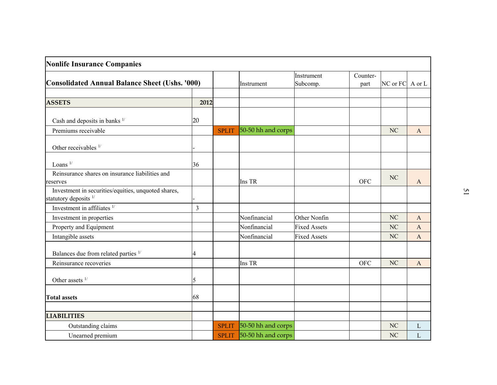| <b>Nonlife Insurance Companies</b>                                                      |                |              |                    |                        |                  |                 |              |
|-----------------------------------------------------------------------------------------|----------------|--------------|--------------------|------------------------|------------------|-----------------|--------------|
| <b>Consolidated Annual Balance Sheet (Ushs. '000)</b>                                   |                |              | Instrument         | Instrument<br>Subcomp. | Counter-<br>part | NC or FC A or L |              |
| <b>ASSETS</b>                                                                           | 2012           |              |                    |                        |                  |                 |              |
| Cash and deposits in banks <sup>1/</sup>                                                | 20             |              |                    |                        |                  |                 |              |
| Premiums receivable                                                                     |                | <b>SPLIT</b> | 50-50 hh and corps |                        |                  | NC              | $\mathbf{A}$ |
| Other receivables <sup>1/</sup>                                                         |                |              |                    |                        |                  |                 |              |
| Loans $1/$                                                                              | 36             |              |                    |                        |                  |                 |              |
| Reinsurance shares on insurance liabilities and<br>reserves                             |                |              | Ins TR             |                        | <b>OFC</b>       | NC              | A            |
| Investment in securities/equities, unquoted shares,<br>statutory deposits <sup>1/</sup> |                |              |                    |                        |                  |                 |              |
| Investment in affiliates $1/$                                                           | $\overline{3}$ |              |                    |                        |                  |                 |              |
| Investment in properties                                                                |                |              | Nonfinancial       | Other Nonfin           |                  | NC              | $\mathbf{A}$ |
| Property and Equipment                                                                  |                |              | Nonfinancial       | <b>Fixed Assets</b>    |                  | NC              | $\mathbf{A}$ |
| Intangible assets                                                                       |                |              | Nonfinancial       | <b>Fixed Assets</b>    |                  | NC              | $\mathbf{A}$ |
| Balances due from related parties 1/                                                    | 4              |              |                    |                        |                  |                 |              |
| Reinsurance recoveries                                                                  |                |              | Ins TR             |                        | <b>OFC</b>       | NC              | $\mathbf{A}$ |
| Other assets $1/$                                                                       | 5              |              |                    |                        |                  |                 |              |
| <b>Total assets</b>                                                                     | 68             |              |                    |                        |                  |                 |              |
| <b>LIABILITIES</b>                                                                      |                |              |                    |                        |                  |                 |              |
| Outstanding claims                                                                      |                | <b>SPLIT</b> | 50-50 hh and corps |                        |                  | $\rm NC$        | $\mathbf{L}$ |
| Unearned premium                                                                        |                | <b>SPLIT</b> | 50-50 hh and corps |                        |                  | $\rm NC$        | $\mathbf L$  |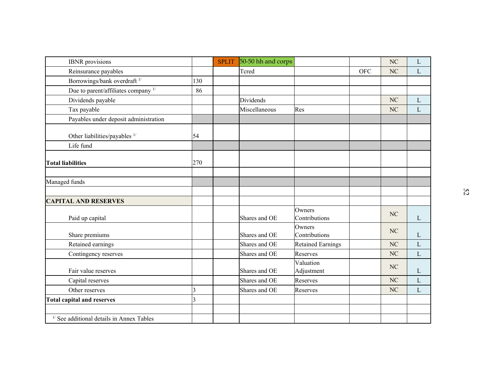| <b>IBNR</b> provisions                               |                         | <b>SPLIT</b> | 50-50 hh and corps |                          |            | NC       | L            |
|------------------------------------------------------|-------------------------|--------------|--------------------|--------------------------|------------|----------|--------------|
| Reinsurance payables                                 |                         |              | Tcred              |                          | <b>OFC</b> | $\rm NC$ | L            |
| Borrowings/bank overdraft <sup>1/</sup>              | 130                     |              |                    |                          |            |          |              |
| Due to parent/affiliates company 1/                  | 86                      |              |                    |                          |            |          |              |
| Dividends payable                                    |                         |              | Dividends          |                          |            | $\rm NC$ | $\mathbf L$  |
| Tax payable                                          |                         |              | Miscellaneous      | Res                      |            | NC       | $\mathbf{L}$ |
| Payables under deposit administration                |                         |              |                    |                          |            |          |              |
| Other liabilities/payables <sup>1/</sup>             | 54                      |              |                    |                          |            |          |              |
| Life fund                                            |                         |              |                    |                          |            |          |              |
| <b>Total liabilities</b>                             | 270                     |              |                    |                          |            |          |              |
| Managed funds                                        |                         |              |                    |                          |            |          |              |
| <b>CAPITAL AND RESERVES</b>                          |                         |              |                    |                          |            |          |              |
| Paid up capital                                      |                         |              | Shares and OE      | Owners<br>Contributions  |            | NC       | $\mathbf{L}$ |
| Share premiums                                       |                         |              | Shares and OE      | Owners<br>Contributions  |            | NC       | L            |
| Retained earnings                                    |                         |              | Shares and OE      | <b>Retained Earnings</b> |            | NC       | L            |
| Contingency reserves                                 |                         |              | Shares and OE      | Reserves                 |            | $\rm NC$ | L            |
| Fair value reserves                                  |                         |              | Shares and OE      | Valuation<br>Adjustment  |            | NC       | L            |
| Capital reserves                                     |                         |              | Shares and OE      | Reserves                 |            | NC       | $\mathbf{L}$ |
| Other reserves                                       | $\overline{\mathbf{3}}$ |              | Shares and OE      | Reserves                 |            | NC       | $\mathbf{L}$ |
| <b>Total capital and reserves</b>                    | 3                       |              |                    |                          |            |          |              |
|                                                      |                         |              |                    |                          |            |          |              |
| <sup>1/</sup> See additional details in Annex Tables |                         |              |                    |                          |            |          |              |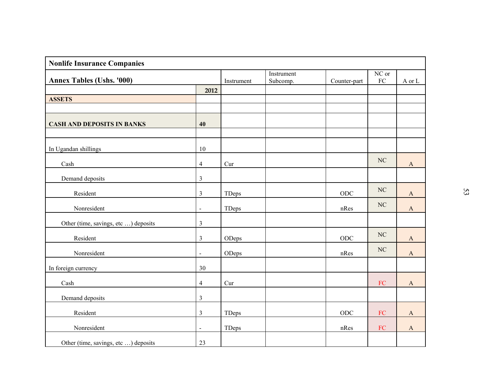| <b>Nonlife Insurance Companies</b>   |                |            |                        |              |                     |              |    |
|--------------------------------------|----------------|------------|------------------------|--------------|---------------------|--------------|----|
| <b>Annex Tables (Ushs. '000)</b>     |                | Instrument | Instrument<br>Subcomp. | Counter-part | NC or<br>${\rm FC}$ | A or L       |    |
|                                      | 2012           |            |                        |              |                     |              |    |
| <b>ASSETS</b>                        |                |            |                        |              |                     |              |    |
|                                      |                |            |                        |              |                     |              |    |
| <b>CASH AND DEPOSITS IN BANKS</b>    | 40             |            |                        |              |                     |              |    |
|                                      |                |            |                        |              |                     |              |    |
| In Ugandan shillings                 | 10             |            |                        |              |                     |              |    |
| Cash                                 | $\overline{4}$ | Cur        |                        |              | $\rm NC$            | $\mathbf{A}$ |    |
| Demand deposits                      | $\mathfrak{Z}$ |            |                        |              |                     |              |    |
| Resident                             | $\mathfrak{Z}$ | TDeps      |                        | ODC          | $\rm NC$            | $\mathbf{A}$ | 53 |
| Nonresident                          | $\blacksquare$ | TDeps      |                        | nRes         | $\rm NC$            | $\mathbf{A}$ |    |
| Other (time, savings, etc ) deposits | $\mathfrak{Z}$ |            |                        |              |                     |              |    |
| Resident                             | $\mathfrak{Z}$ | ODeps      |                        | ODC          | $\rm NC$            | $\mathbf{A}$ |    |
| Nonresident                          | $\blacksquare$ | ODeps      |                        | nRes         | $\rm NC$            | $\mathbf{A}$ |    |
| In foreign currency                  | $30\,$         |            |                        |              |                     |              |    |
| Cash                                 | $\overline{4}$ | Cur        |                        |              | ${\rm FC}$          | $\mathbf{A}$ |    |
| Demand deposits                      | $\mathfrak{Z}$ |            |                        |              |                     |              |    |
| Resident                             | $\mathfrak{Z}$ | TDeps      |                        | $\rm ODC$    | ${\rm FC}$          | $\mathbf A$  |    |
| Nonresident                          | $\blacksquare$ | TDeps      |                        | nRes         | ${\rm FC}$          | $\mathbf A$  |    |
| Other (time, savings, etc ) deposits | 23             |            |                        |              |                     |              |    |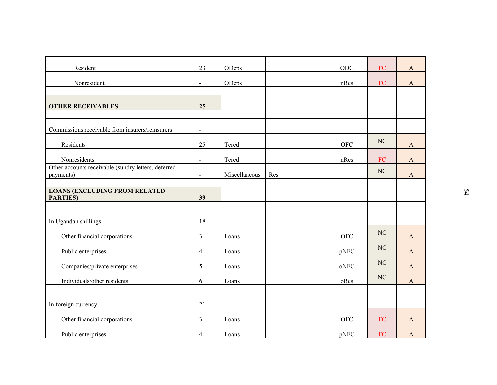| 23             | ODeps                |                        | ODC                                           | ${\rm FC}$ | $\mathbf A$           |
|----------------|----------------------|------------------------|-----------------------------------------------|------------|-----------------------|
| $\blacksquare$ | ODeps                |                        | nRes                                          | ${\rm FC}$ | $\mathbf{A}$          |
|                |                      |                        |                                               |            |                       |
| 25             |                      |                        |                                               |            |                       |
|                |                      |                        |                                               |            |                       |
| $\blacksquare$ |                      |                        |                                               |            |                       |
| 25             | Tcred                |                        | ${\rm OFC}$                                   | NC         | $\mathbf{A}$          |
| $\blacksquare$ | Tcred                |                        | nRes                                          | ${\rm FC}$ | $\mathbf{A}$          |
|                |                      |                        |                                               | $\rm NC$   | $\mathbf{A}$          |
|                |                      |                        |                                               |            |                       |
|                |                      |                        |                                               |            |                       |
|                |                      |                        |                                               |            |                       |
| 18             |                      |                        |                                               |            |                       |
| $\mathfrak{Z}$ | Loans                |                        | ${\rm OFC}$                                   | $\rm NC$   | $\mathbf{A}$          |
| $\overline{4}$ | Loans                |                        | pNFC                                          | NC         | $\boldsymbol{\rm{A}}$ |
| 5              | Loans                |                        | $\mathbf{o} \mathbf{N} \mathbf{F} \mathbf{C}$ | NC         | $\boldsymbol{\rm{A}}$ |
| 6              |                      |                        |                                               | $\rm NC$   | $\mathbf{A}$          |
|                |                      |                        |                                               |            |                       |
| 21             |                      |                        |                                               |            |                       |
| $\mathfrak{Z}$ | Loans                |                        | <b>OFC</b>                                    | ${\rm FC}$ | A                     |
| $\overline{4}$ | Loans                |                        | pNFC                                          | ${\rm FC}$ | $\boldsymbol{\rm{A}}$ |
|                | $\blacksquare$<br>39 | Miscellaneous<br>Loans | Res                                           | oRes       |                       |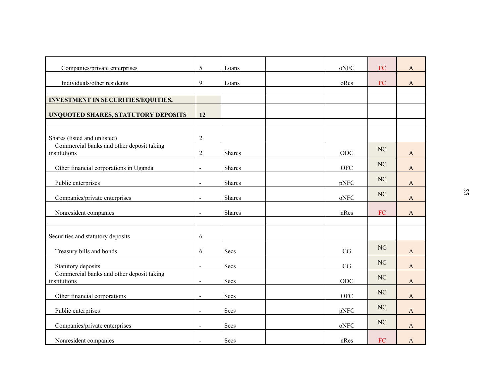| ${\rm FC}$<br>Companies/private enterprises<br>5<br>oNFC<br>Loans<br>$\mathbf{A}$<br>Individuals/other residents<br>9<br>${\rm FC}$<br>oRes<br>$\mathbf{A}$<br>Loans<br><b>INVESTMENT IN SECURITIES/EQUITIES,</b><br>UNQUOTED SHARES, STATUTORY DEPOSITS<br>12<br>Shares (listed and unlisted)<br>$\overline{2}$<br>Commercial banks and other deposit taking<br>$\rm NC$<br>ODC<br>institutions<br>$\overline{2}$<br>Shares<br>$\mathbf{A}$<br>$\rm NC$<br>Other financial corporations in Uganda<br>${\rm OFC}$<br>Shares<br>$\mathbf{A}$<br>$\overline{\phantom{a}}$<br>$\rm NC$<br>Public enterprises<br>pNFC<br>Shares<br>$\mathbf{A}$<br>$\blacksquare$<br>$\rm NC$<br>Companies/private enterprises<br>oNFC<br>Shares<br>A<br>$\blacksquare$<br>Nonresident companies<br>${\rm FC}$<br>Shares<br>nRes<br>$\mathbf{A}$<br>$\blacksquare$<br>Securities and statutory deposits<br>6<br>$\rm NC$<br>Treasury bills and bonds<br>CG<br>Secs<br>6<br>$\mathbf{A}$<br>$\rm NC$<br>Statutory deposits<br>CG<br>Secs<br>$\mathbf{A}$<br>$\blacksquare$ |    |
|-------------------------------------------------------------------------------------------------------------------------------------------------------------------------------------------------------------------------------------------------------------------------------------------------------------------------------------------------------------------------------------------------------------------------------------------------------------------------------------------------------------------------------------------------------------------------------------------------------------------------------------------------------------------------------------------------------------------------------------------------------------------------------------------------------------------------------------------------------------------------------------------------------------------------------------------------------------------------------------------------------------------------------------------------------|----|
|                                                                                                                                                                                                                                                                                                                                                                                                                                                                                                                                                                                                                                                                                                                                                                                                                                                                                                                                                                                                                                                       |    |
|                                                                                                                                                                                                                                                                                                                                                                                                                                                                                                                                                                                                                                                                                                                                                                                                                                                                                                                                                                                                                                                       |    |
|                                                                                                                                                                                                                                                                                                                                                                                                                                                                                                                                                                                                                                                                                                                                                                                                                                                                                                                                                                                                                                                       |    |
|                                                                                                                                                                                                                                                                                                                                                                                                                                                                                                                                                                                                                                                                                                                                                                                                                                                                                                                                                                                                                                                       |    |
|                                                                                                                                                                                                                                                                                                                                                                                                                                                                                                                                                                                                                                                                                                                                                                                                                                                                                                                                                                                                                                                       |    |
|                                                                                                                                                                                                                                                                                                                                                                                                                                                                                                                                                                                                                                                                                                                                                                                                                                                                                                                                                                                                                                                       |    |
|                                                                                                                                                                                                                                                                                                                                                                                                                                                                                                                                                                                                                                                                                                                                                                                                                                                                                                                                                                                                                                                       |    |
|                                                                                                                                                                                                                                                                                                                                                                                                                                                                                                                                                                                                                                                                                                                                                                                                                                                                                                                                                                                                                                                       |    |
|                                                                                                                                                                                                                                                                                                                                                                                                                                                                                                                                                                                                                                                                                                                                                                                                                                                                                                                                                                                                                                                       |    |
|                                                                                                                                                                                                                                                                                                                                                                                                                                                                                                                                                                                                                                                                                                                                                                                                                                                                                                                                                                                                                                                       |    |
|                                                                                                                                                                                                                                                                                                                                                                                                                                                                                                                                                                                                                                                                                                                                                                                                                                                                                                                                                                                                                                                       |    |
|                                                                                                                                                                                                                                                                                                                                                                                                                                                                                                                                                                                                                                                                                                                                                                                                                                                                                                                                                                                                                                                       |    |
|                                                                                                                                                                                                                                                                                                                                                                                                                                                                                                                                                                                                                                                                                                                                                                                                                                                                                                                                                                                                                                                       |    |
|                                                                                                                                                                                                                                                                                                                                                                                                                                                                                                                                                                                                                                                                                                                                                                                                                                                                                                                                                                                                                                                       |    |
|                                                                                                                                                                                                                                                                                                                                                                                                                                                                                                                                                                                                                                                                                                                                                                                                                                                                                                                                                                                                                                                       | 55 |
|                                                                                                                                                                                                                                                                                                                                                                                                                                                                                                                                                                                                                                                                                                                                                                                                                                                                                                                                                                                                                                                       |    |
|                                                                                                                                                                                                                                                                                                                                                                                                                                                                                                                                                                                                                                                                                                                                                                                                                                                                                                                                                                                                                                                       |    |
|                                                                                                                                                                                                                                                                                                                                                                                                                                                                                                                                                                                                                                                                                                                                                                                                                                                                                                                                                                                                                                                       |    |
|                                                                                                                                                                                                                                                                                                                                                                                                                                                                                                                                                                                                                                                                                                                                                                                                                                                                                                                                                                                                                                                       |    |
|                                                                                                                                                                                                                                                                                                                                                                                                                                                                                                                                                                                                                                                                                                                                                                                                                                                                                                                                                                                                                                                       |    |
| Commercial banks and other deposit taking<br>$\rm NC$                                                                                                                                                                                                                                                                                                                                                                                                                                                                                                                                                                                                                                                                                                                                                                                                                                                                                                                                                                                                 |    |
| ODC<br>institutions<br>Secs<br>A                                                                                                                                                                                                                                                                                                                                                                                                                                                                                                                                                                                                                                                                                                                                                                                                                                                                                                                                                                                                                      |    |
| $\rm NC$<br>Other financial corporations<br>${\rm OFC}$<br>Secs<br>$\mathbf{A}$<br>$\blacksquare$                                                                                                                                                                                                                                                                                                                                                                                                                                                                                                                                                                                                                                                                                                                                                                                                                                                                                                                                                     |    |
| $\rm NC$<br>pNFC<br>Public enterprises<br>Secs<br>$\mathbf{A}$<br>$\blacksquare$                                                                                                                                                                                                                                                                                                                                                                                                                                                                                                                                                                                                                                                                                                                                                                                                                                                                                                                                                                      |    |
| $\rm NC$<br>Companies/private enterprises<br>$\mathop{\rm oNFC}\nolimits$<br>Secs<br>$\mathbf{A}$<br>$\blacksquare$                                                                                                                                                                                                                                                                                                                                                                                                                                                                                                                                                                                                                                                                                                                                                                                                                                                                                                                                   |    |
| Nonresident companies<br>${\rm FC}$<br>Secs<br>nRes<br>$\mathbf{A}$<br>$\blacksquare$                                                                                                                                                                                                                                                                                                                                                                                                                                                                                                                                                                                                                                                                                                                                                                                                                                                                                                                                                                 |    |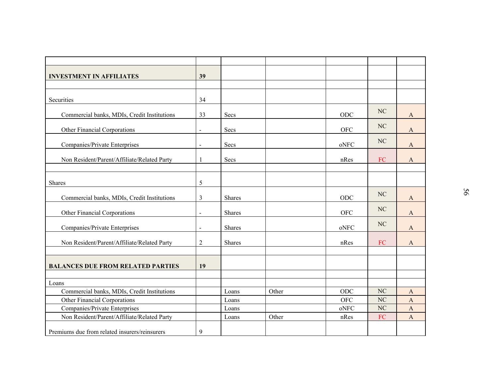| <b>INVESTMENT IN AFFILIATES</b>               | 39                       |               |       |            |            |              |    |
|-----------------------------------------------|--------------------------|---------------|-------|------------|------------|--------------|----|
|                                               |                          |               |       |            |            |              |    |
|                                               |                          |               |       |            |            |              |    |
| Securities                                    | 34                       |               |       |            |            |              |    |
| Commercial banks, MDIs, Credit Institutions   | 33                       | Secs          |       | $\rm ODC$  | $\rm NC$   | $\mathbf{A}$ |    |
|                                               |                          |               |       |            | NC         |              |    |
| Other Financial Corporations                  | $\overline{\phantom{a}}$ | Secs          |       | <b>OFC</b> |            | $\mathbf{A}$ |    |
| Companies/Private Enterprises                 | $\blacksquare$           | Secs          |       | oNFC       | $\rm NC$   | $\mathbf{A}$ |    |
|                                               |                          |               |       |            |            |              |    |
| Non Resident/Parent/Affiliate/Related Party   | -1                       | Secs          |       | nRes       | ${\rm FC}$ | $\mathbf{A}$ |    |
|                                               |                          |               |       |            |            |              |    |
| Shares                                        | 5                        |               |       |            |            |              |    |
|                                               |                          |               |       |            |            |              | 95 |
| Commercial banks, MDIs, Credit Institutions   | $\overline{3}$           | Shares        |       | ODC        | NC         | A            |    |
|                                               |                          |               |       |            | NC         |              |    |
| Other Financial Corporations                  | $\overline{\phantom{a}}$ | Shares        |       | <b>OFC</b> |            | A            |    |
| Companies/Private Enterprises                 | $\blacksquare$           | <b>Shares</b> |       | oNFC       | NC         | A            |    |
|                                               |                          |               |       |            |            |              |    |
| Non Resident/Parent/Affiliate/Related Party   | $\overline{2}$           | Shares        |       | nRes       | ${\rm FC}$ | $\mathbf{A}$ |    |
|                                               |                          |               |       |            |            |              |    |
| <b>BALANCES DUE FROM RELATED PARTIES</b>      | 19                       |               |       |            |            |              |    |
|                                               |                          |               |       |            |            |              |    |
| Loans                                         |                          |               |       |            |            |              |    |
| Commercial banks, MDIs, Credit Institutions   |                          | Loans         | Other | ODC        | $\rm NC$   | A            |    |
| Other Financial Corporations                  |                          | Loans         |       | <b>OFC</b> | NC         | $\mathbf{A}$ |    |
| Companies/Private Enterprises                 |                          | Loans         |       | oNFC       | NC         | $\mathbf{A}$ |    |
| Non Resident/Parent/Affiliate/Related Party   |                          | Loans         | Other | nRes       | ${\rm FC}$ | $\mathbf{A}$ |    |
| Premiums due from related insurers/reinsurers | $\overline{9}$           |               |       |            |            |              |    |
|                                               |                          |               |       |            |            |              |    |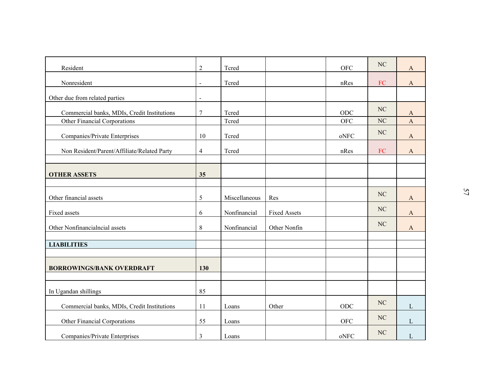| Resident                                    | $\overline{2}$               | Tcred         |                     | <b>OFC</b>                                    | $\rm NC$   | $\mathbf{A}$          |
|---------------------------------------------|------------------------------|---------------|---------------------|-----------------------------------------------|------------|-----------------------|
| Nonresident                                 | $\qquad \qquad \blacksquare$ | Tcred         |                     | nRes                                          | ${\rm FC}$ | $\boldsymbol{\rm{A}}$ |
| Other due from related parties              | $\blacksquare$               |               |                     |                                               |            |                       |
| Commercial banks, MDIs, Credit Institutions | $\overline{7}$               | Tcred         |                     | ODC                                           | $\rm NC$   | $\mathbf{A}$          |
| Other Financial Corporations                |                              | Tcred         |                     | ${\rm OFC}$                                   | NC         | $\mathbf{A}$          |
| Companies/Private Enterprises               | 10                           | Tcred         |                     | oNFC                                          | NC         | $\mathbf{A}$          |
| Non Resident/Parent/Affiliate/Related Party | 4                            | Tcred         |                     | nRes                                          | ${\rm FC}$ | $\mathbf{A}$          |
|                                             |                              |               |                     |                                               |            |                       |
| <b>OTHER ASSETS</b>                         | 35                           |               |                     |                                               |            |                       |
|                                             |                              |               |                     |                                               | $\rm NC$   |                       |
| Other financial assets                      | 5                            | Miscellaneous | Res                 |                                               |            | $\mathbf{A}$          |
| Fixed assets                                | 6                            | Nonfinancial  | <b>Fixed Assets</b> |                                               | NC         | $\mathbf{A}$          |
| Other Nonfinancialncial assets              | 8                            | Nonfinancial  | Other Nonfin        |                                               | NC         | $\mathbf{A}$          |
| <b>LIABILITIES</b>                          |                              |               |                     |                                               |            |                       |
|                                             |                              |               |                     |                                               |            |                       |
| <b>BORROWINGS/BANK OVERDRAFT</b>            | 130                          |               |                     |                                               |            |                       |
|                                             |                              |               |                     |                                               |            |                       |
| In Ugandan shillings                        | 85                           |               |                     |                                               |            |                       |
| Commercial banks, MDIs, Credit Institutions | 11                           | Loans         | Other               | $\rm ODC$                                     | $\rm NC$   | $\mathbf L$           |
| Other Financial Corporations                | 55                           | Loans         |                     | ${\rm OFC}$                                   | $\rm NC$   | $\mathbf L$           |
| Companies/Private Enterprises               | $\mathfrak{Z}$               | Loans         |                     | $\mathbf{o} \mathbf{N} \mathbf{F} \mathbf{C}$ | NC         | $\mathbf{L}$          |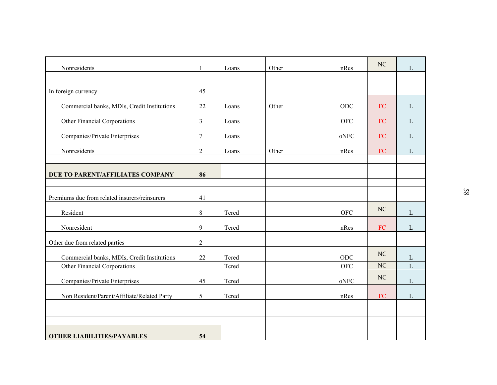| Nonresidents                                  | $\mathbf{1}$   | Loans | Other | nRes                                          | $\rm NC$   | $\mathbf L$  |  |
|-----------------------------------------------|----------------|-------|-------|-----------------------------------------------|------------|--------------|--|
|                                               |                |       |       |                                               |            |              |  |
| In foreign currency                           | 45             |       |       |                                               |            |              |  |
| Commercial banks, MDIs, Credit Institutions   | $22\,$         | Loans | Other | ODC                                           | ${\rm FC}$ | $\mathbf{L}$ |  |
| Other Financial Corporations                  | $\mathfrak{Z}$ | Loans |       | ${\rm OFC}$                                   | ${\rm FC}$ | $\mathbf{L}$ |  |
| Companies/Private Enterprises                 | $\overline{7}$ | Loans |       | $\mathop{\rm oNFC}\nolimits$                  | ${\rm FC}$ | $\mathbf{L}$ |  |
| Nonresidents                                  | $\mathfrak{2}$ | Loans | Other | nRes                                          | FC         | $\mathbf L$  |  |
|                                               |                |       |       |                                               |            |              |  |
| DUE TO PARENT/AFFILIATES COMPANY              | 86             |       |       |                                               |            |              |  |
| Premiums due from related insurers/reinsurers | 41             |       |       |                                               |            |              |  |
| Resident                                      | $8\,$          | Tcred |       | OFC                                           | $\rm NC$   | $\mathbf{L}$ |  |
| Nonresident                                   | 9              | Tcred |       | nRes                                          | ${\rm FC}$ | $\mathbf{L}$ |  |
| Other due from related parties                | $\overline{2}$ |       |       |                                               |            |              |  |
| Commercial banks, MDIs, Credit Institutions   | $22\,$         | Tcred |       | ODC                                           | NC         | $\mathbf{L}$ |  |
| Other Financial Corporations                  |                | Tcred |       | <b>OFC</b>                                    | NC         | $\mathbf{L}$ |  |
| Companies/Private Enterprises                 | 45             | Tcred |       | $\mathbf{o} \mathbf{N} \mathbf{F} \mathbf{C}$ | $\rm NC$   | $\mathbf{L}$ |  |
| Non Resident/Parent/Affiliate/Related Party   | 5              | Tcred |       | nRes                                          | ${\rm FC}$ | $\mathbf{L}$ |  |
|                                               |                |       |       |                                               |            |              |  |
|                                               |                |       |       |                                               |            |              |  |
| <b>OTHER LIABILITIES/PAYABLES</b>             | 54             |       |       |                                               |            |              |  |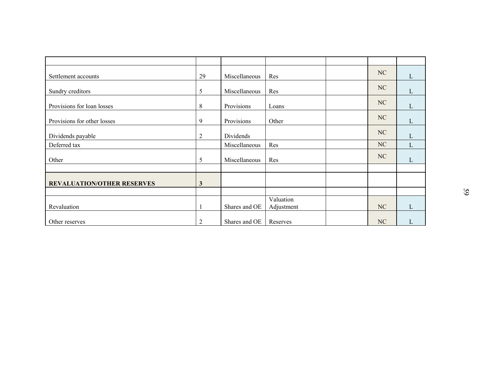| Settlement accounts               | 29             | Miscellaneous | Res                     | $\rm NC$ | $\mathbf{L}$ |  |
|-----------------------------------|----------------|---------------|-------------------------|----------|--------------|--|
| Sundry creditors                  | 5              | Miscellaneous | Res                     | $\rm NC$ | $\mathbf L$  |  |
| Provisions for loan losses        | $8\,$          | Provisions    | Loans                   | NC       | $\mathbf{L}$ |  |
| Provisions for other losses       | 9              | Provisions    | Other                   | $\rm NC$ | $\mathbf{L}$ |  |
| Dividends payable                 | $\overline{2}$ | Dividends     |                         | NC       | $\mathbf L$  |  |
| Deferred tax                      |                | Miscellaneous | Res                     | NC       | $\mathbf L$  |  |
| Other                             | 5              | Miscellaneous | Res                     | NC       | L            |  |
|                                   |                |               |                         |          |              |  |
| <b>REVALUATION/OTHER RESERVES</b> | $\mathbf{3}$   |               |                         |          |              |  |
|                                   |                |               |                         |          |              |  |
| Revaluation                       |                | Shares and OE | Valuation<br>Adjustment | NC       | $\mathbf{L}$ |  |
| Other reserves                    | $\sqrt{2}$     | Shares and OE | Reserves                | NC       | $\mathbf L$  |  |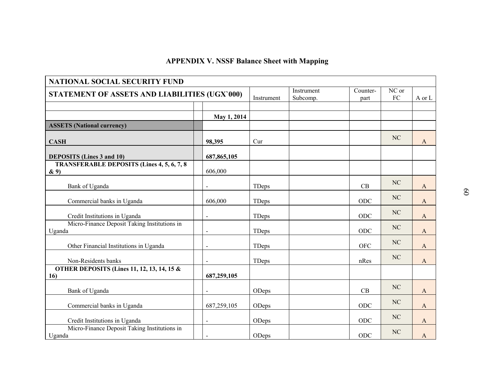|                                                               | <b>APPENDIX V. NSSF Balance Sheet with Mapping</b> |       |                        |                  |                     |                          |  |
|---------------------------------------------------------------|----------------------------------------------------|-------|------------------------|------------------|---------------------|--------------------------|--|
| <b>NATIONAL SOCIAL SECURITY FUND</b>                          |                                                    |       |                        |                  |                     |                          |  |
| STATEMENT OF ASSETS AND LIABILITIES (UGX'000)<br>Instrument   |                                                    |       | Instrument<br>Subcomp. | Counter-<br>part | NC or<br>${\rm FC}$ | $\hbox{A}$ or $\hbox{L}$ |  |
|                                                               | May 1, 2014                                        |       |                        |                  |                     |                          |  |
| <b>ASSETS (National currency)</b>                             |                                                    |       |                        |                  |                     |                          |  |
| <b>CASH</b>                                                   | 98,395                                             | Cur   |                        |                  | NC                  | $\mathbf{A}$             |  |
| <b>DEPOSITS</b> (Lines 3 and 10)                              | 687, 865, 105                                      |       |                        |                  |                     |                          |  |
| <b>TRANSFERABLE DEPOSITS (Lines 4, 5, 6, 7, 8)</b><br>$\& 9)$ | 606,000                                            |       |                        |                  |                     |                          |  |
| Bank of Uganda                                                | $\blacksquare$                                     | TDeps |                        | CB               | NC                  | A                        |  |
| Commercial banks in Uganda                                    | 606,000                                            | TDeps |                        | ODC              | NC                  | A                        |  |
| Credit Institutions in Uganda                                 | $\overline{a}$                                     | TDeps |                        | ODC              | NC                  | A                        |  |
| Micro-Finance Deposit Taking Institutions in<br>Uganda        | $\overline{a}$                                     | TDeps |                        | ODC              | NC                  | A                        |  |
| Other Financial Institutions in Uganda                        | $\blacksquare$                                     | TDeps |                        | <b>OFC</b>       | NC                  | A                        |  |
| Non-Residents banks                                           | $\blacksquare$                                     | TDeps |                        | nRes             | $\rm NC$            | A                        |  |
| <b>OTHER DEPOSITS (Lines 11, 12, 13, 14, 15 &amp;</b><br>16)  | 687,259,105                                        |       |                        |                  |                     |                          |  |
| Bank of Uganda                                                |                                                    | ODeps |                        | CB               | NC                  | A                        |  |
| Commercial banks in Uganda                                    | 687,259,105                                        | ODeps |                        | ODC              | NC                  | A                        |  |
| Credit Institutions in Uganda                                 | $\blacksquare$                                     | ODeps |                        | ODC              | NC                  | A                        |  |
| Micro-Finance Deposit Taking Institutions in<br>Uganda        | $\blacksquare$                                     | ODeps |                        | ODC              | NC                  | A                        |  |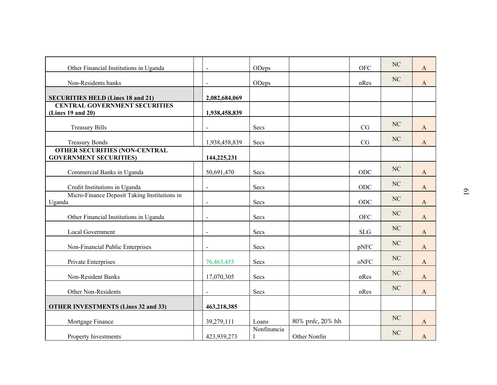| Other Financial Institutions in Uganda                                |                | ODeps       |                  | <b>OFC</b> | $\rm NC$  | $\mathbf{A}$ |                |
|-----------------------------------------------------------------------|----------------|-------------|------------------|------------|-----------|--------------|----------------|
| Non-Residents banks                                                   | $\blacksquare$ | ODeps       |                  | nRes       | NC        | $\mathbf{A}$ |                |
| <b>SECURITIES HELD (Lines 18 and 21)</b>                              | 2,082,684,069  |             |                  |            |           |              |                |
| <b>CENTRAL GOVERNMENT SECURITIES</b><br>(Lines 19 and 20)             | 1,938,458,839  |             |                  |            |           |              |                |
| <b>Treasury Bills</b>                                                 | $\blacksquare$ | Secs        |                  | CG         | NC        | $\mathbf{A}$ |                |
| <b>Treasury Bonds</b>                                                 | 1,938,458,839  | Secs        |                  | CG         | $\rm NC$  | $\mathbf{A}$ |                |
| <b>OTHER SECURITIES (NON-CENTRAL</b><br><b>GOVERNMENT SECURITIES)</b> | 144,225,231    |             |                  |            |           |              |                |
| Commercial Banks in Uganda                                            | 50,691,470     | Secs        |                  | ODC        | NC        | $\mathbf{A}$ |                |
| Credit Institutions in Uganda                                         | $\blacksquare$ | Secs        |                  | ODC        | $\rm NC$  | $\mathbf{A}$ | $\overline{0}$ |
| Micro-Finance Deposit Taking Institutions in<br>Uganda                |                | Secs        |                  | ODC        | $\rm NC$  | A            |                |
| Other Financial Institutions in Uganda                                |                | Secs        |                  | <b>OFC</b> | $\rm NC$  | $\mathbf{A}$ |                |
| Local Government                                                      | $\blacksquare$ | Secs        |                  | <b>SLG</b> | $\rm NC$  | $\mathbf{A}$ |                |
| Non-Financial Public Enterprises                                      |                | Secs        |                  | pNFC       | $\rm NC$  | A            |                |
| Private Enterprises                                                   | 76,463,455     | Secs        |                  | oNFC       | NC        | $\mathbf{A}$ |                |
| Non-Resident Banks                                                    | 17,070,305     | Secs        |                  | nRes       | NC        | $\mathbf{A}$ |                |
| Other Non-Residents                                                   |                | Secs        |                  | nRes       | <b>NC</b> | $\mathbf{A}$ |                |
| <b>OTHER INVESTMENTS (Lines 32 and 33)</b>                            | 463,218,385    |             |                  |            |           |              |                |
| Mortgage Finance                                                      | 39,279,111     | Loans       | 80% pnfc, 20% hh |            | $\rm NC$  | $\mathbf{A}$ |                |
| Property Investments                                                  | 423,939,273    | Nonfinancia | Other Nonfin     |            | NC        | $\mathbf{A}$ |                |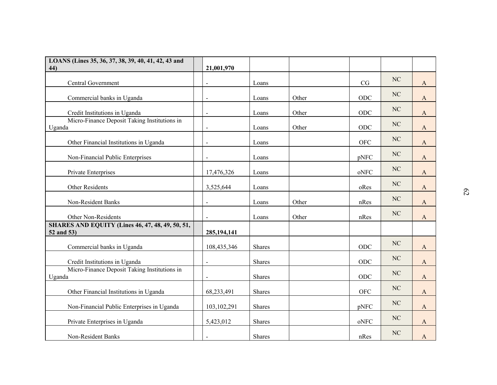| LOANS (Lines 35, 36, 37, 38, 39, 40, 41, 42, 43 and<br>44)            | 21,001,970     |               |       |            |           |              |                 |
|-----------------------------------------------------------------------|----------------|---------------|-------|------------|-----------|--------------|-----------------|
| Central Government                                                    | $\blacksquare$ | Loans         |       | CG         | NC        | $\mathbf{A}$ |                 |
| Commercial banks in Uganda                                            | $\blacksquare$ | Loans         | Other | ODC        | NC        | $\mathbf{A}$ |                 |
| Credit Institutions in Uganda                                         | $\blacksquare$ | Loans         | Other | ODC        | $\rm NC$  | $\mathbf{A}$ |                 |
| Micro-Finance Deposit Taking Institutions in<br>Uganda                | $\blacksquare$ | Loans         | Other | ODC        | $\rm NC$  | $\mathbf{A}$ |                 |
| Other Financial Institutions in Uganda                                | $\blacksquare$ | Loans         |       | <b>OFC</b> | $\rm NC$  | $\mathbf{A}$ |                 |
| Non-Financial Public Enterprises                                      | $\blacksquare$ | Loans         |       | pNFC       | $\rm NC$  | A            |                 |
| Private Enterprises                                                   | 17,476,326     | Loans         |       | oNFC       | $\rm NC$  | $\mathbf{A}$ |                 |
| Other Residents                                                       | 3,525,644      | Loans         |       | oRes       | $\rm NC$  | A            |                 |
| Non-Resident Banks                                                    |                | Loans         | Other | nRes       | NC        | A            | $\mathcal{C}^2$ |
| Other Non-Residents                                                   |                | Loans         | Other | nRes       | $\rm NC$  | $\mathbf{A}$ |                 |
| <b>SHARES AND EQUITY (Lines 46, 47, 48, 49, 50, 51,</b><br>52 and 53) | 285, 194, 141  |               |       |            |           |              |                 |
| Commercial banks in Uganda                                            | 108,435,346    | <b>Shares</b> |       | ODC        | NC        | A            |                 |
| Credit Institutions in Uganda                                         | $\sim$         | Shares        |       | ODC        | $\rm NC$  | $\mathbf{A}$ |                 |
| Micro-Finance Deposit Taking Institutions in<br>Uganda                |                | Shares        |       | ODC        | NC        | $\mathbf{A}$ |                 |
| Other Financial Institutions in Uganda                                | 68,233,491     | Shares        |       | <b>OFC</b> | <b>NC</b> | $\mathbf{A}$ |                 |
| Non-Financial Public Enterprises in Uganda                            | 103,102,291    | Shares        |       | pNFC       | $\rm NC$  | $\mathbf{A}$ |                 |
| Private Enterprises in Uganda                                         | 5,423,012      | Shares        |       | oNFC       | NC        | $\mathbf{A}$ |                 |
| Non-Resident Banks                                                    | $\blacksquare$ | Shares        |       | nRes       | $\rm NC$  | $\mathbf{A}$ |                 |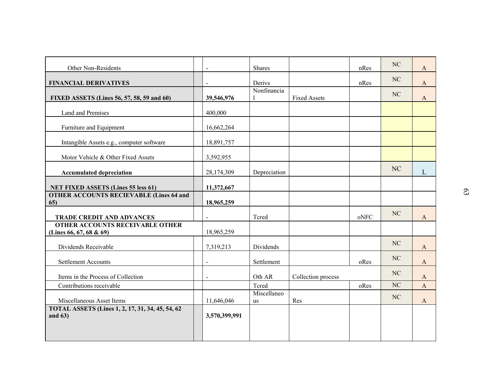| Other Non-Residents                                                 | $\sim$         | <b>Shares</b>     |                     | nRes | NC       | $\mathbf{A}$ |  |
|---------------------------------------------------------------------|----------------|-------------------|---------------------|------|----------|--------------|--|
| <b>FINANCIAL DERIVATIVES</b>                                        | $\blacksquare$ | Derivs            |                     | nRes | NC       | $\mathbf{A}$ |  |
| FIXED ASSETS (Lines 56, 57, 58, 59 and 60)                          | 39,546,976     | Nonfinancia       | <b>Fixed Assets</b> |      | NC       | $\mathbf{A}$ |  |
| Land and Premises                                                   | 400,000        |                   |                     |      |          |              |  |
| Furniture and Equipment                                             | 16,662,264     |                   |                     |      |          |              |  |
| Intangible Assets e.g., computer software                           | 18,891,757     |                   |                     |      |          |              |  |
| Motor Vehicle & Other Fixed Assets                                  | 3,592,955      |                   |                     |      |          |              |  |
| <b>Accumulated depreciation</b>                                     | 28,174,309     | Depreciation      |                     |      | NC       | L            |  |
| <b>NET FIXED ASSETS (Lines 55 less 61)</b>                          | 11,372,667     |                   |                     |      |          |              |  |
| <b>OTHER ACCOUNTS RECIEVABLE (Lines 64 and</b><br>65)               | 18,965,259     |                   |                     |      |          |              |  |
| <b>TRADE CREDIT AND ADVANCES</b>                                    |                | Tcred             |                     | oNFC | NC       | $\mathbf{A}$ |  |
| <b>OTHER ACCOUNTS RECEIVABLE OTHER</b><br>(Lines 66, 67, 68 & 69)   | 18,965,259     |                   |                     |      |          |              |  |
| Dividends Receivable                                                | 7,319,213      | Dividends         |                     |      | NC       | $\mathbf{A}$ |  |
| <b>Settlement Accounts</b>                                          |                | Settlement        |                     | oRes | NC       | $\mathbf{A}$ |  |
| Items in the Process of Collection                                  | $\sim$         | Oth AR            | Collection process  |      | NC       | A            |  |
| Contributions receivable                                            |                | Tcred             |                     | oRes | $\rm NC$ | $\mathbf{A}$ |  |
| Miscellaneous Asset Items                                           | 11,646,046     | Miscellaneo<br>us | Res                 |      | $\rm NC$ | $\mathbf{A}$ |  |
| <b>TOTAL ASSETS (Lines 1, 2, 17, 31, 34, 45, 54, 62)</b><br>and 63) | 3,570,399,991  |                   |                     |      |          |              |  |
|                                                                     |                |                   |                     |      |          |              |  |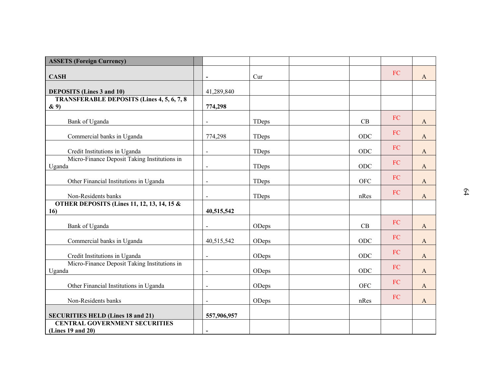| <b>ASSETS (Foreign Currency)</b>                              |                          |       |             |            |              |    |
|---------------------------------------------------------------|--------------------------|-------|-------------|------------|--------------|----|
| <b>CASH</b>                                                   | $\blacksquare$           | Cur   |             | ${\rm FC}$ | $\mathbf{A}$ |    |
| <b>DEPOSITS</b> (Lines 3 and 10)                              | 41,289,840               |       |             |            |              |    |
| <b>TRANSFERABLE DEPOSITS (Lines 4, 5, 6, 7, 8)</b><br>$\& 9)$ | 774,298                  |       |             |            |              |    |
| Bank of Uganda                                                |                          | TDeps | CB          | FC         | A            |    |
| Commercial banks in Uganda                                    | 774,298                  | TDeps | ODC         | ${\rm FC}$ | $\mathbf{A}$ |    |
| Credit Institutions in Uganda                                 | $\blacksquare$           | TDeps | ODC         | ${\rm FC}$ | A            |    |
| Micro-Finance Deposit Taking Institutions in<br>Uganda        |                          | TDeps | ODC         | ${\rm FC}$ | $\mathbf{A}$ |    |
| Other Financial Institutions in Uganda                        | $\sim$                   | TDeps | <b>OFC</b>  | FC         | A            |    |
| Non-Residents banks                                           |                          | TDeps | nRes        | ${\rm FC}$ | $\mathbf{A}$ | 64 |
| <b>OTHER DEPOSITS (Lines 11, 12, 13, 14, 15 &amp;</b><br>16)  | 40,515,542               |       |             |            |              |    |
| Bank of Uganda                                                |                          | ODeps | CB          | ${\rm FC}$ | $\mathbf{A}$ |    |
| Commercial banks in Uganda                                    | 40,515,542               | ODeps | ODC         | ${\rm FC}$ | $\mathbf{A}$ |    |
| Credit Institutions in Uganda                                 | $\sim$                   | ODeps | ODC         | ${\rm FC}$ | $\mathbf{A}$ |    |
| Micro-Finance Deposit Taking Institutions in<br>Uganda        | $\blacksquare$           | ODeps | ODC         | ${\rm FC}$ | A            |    |
| Other Financial Institutions in Uganda                        | $\blacksquare$           | ODeps | ${\rm OFC}$ | ${\rm FC}$ | A            |    |
| Non-Residents banks                                           |                          | ODeps | nRes        | ${\rm FC}$ | $\mathbf{A}$ |    |
| <b>SECURITIES HELD (Lines 18 and 21)</b>                      | 557,906,957              |       |             |            |              |    |
| <b>CENTRAL GOVERNMENT SECURITIES</b><br>(Lines 19 and 20)     | $\overline{\phantom{a}}$ |       |             |            |              |    |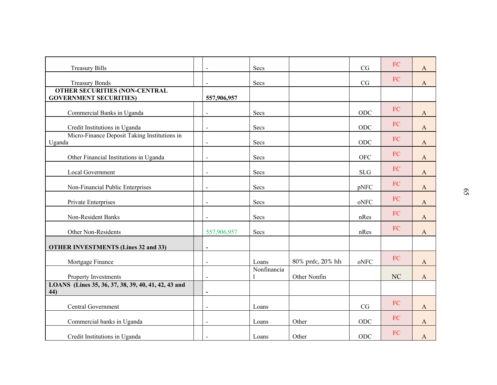| <b>Treasury Bills</b>                                      |                | Secs        |                  | CG         | FC         | $\mathbf{A}$ |    |
|------------------------------------------------------------|----------------|-------------|------------------|------------|------------|--------------|----|
| <b>Treasury Bonds</b>                                      | $\blacksquare$ | Secs        |                  | CG         | ${\rm FC}$ | $\mathbf{A}$ |    |
| <b>OTHER SECURITIES (NON-CENTRAL</b>                       |                |             |                  |            |            |              |    |
| <b>GOVERNMENT SECURITIES)</b>                              | 557,906,957    |             |                  |            |            |              |    |
| Commercial Banks in Uganda                                 | $\blacksquare$ | Secs        |                  | ODC        | FC         | $\mathbf{A}$ |    |
| Credit Institutions in Uganda                              | $\blacksquare$ | Secs        |                  | ODC        | ${\rm FC}$ | $\mathbf{A}$ |    |
| Micro-Finance Deposit Taking Institutions in               |                |             |                  |            | FC         |              |    |
| Uganda                                                     | $\blacksquare$ | Secs        |                  | ODC        |            | $\mathbf{A}$ |    |
| Other Financial Institutions in Uganda                     | $\blacksquare$ | Secs        |                  | <b>OFC</b> | ${\rm FC}$ | A            |    |
| Local Government                                           | $\blacksquare$ | Secs        |                  | <b>SLG</b> | ${\rm FC}$ | $\mathbf{A}$ |    |
| Non-Financial Public Enterprises                           | $\blacksquare$ | Secs        |                  | pNFC       | ${\rm FC}$ | $\mathbf{A}$ |    |
| Private Enterprises                                        |                | Secs        |                  | oNFC       | ${\rm FC}$ | $\mathbf{A}$ | 59 |
| Non-Resident Banks                                         |                | Secs        |                  | nRes       | ${\rm FC}$ | $\mathbf{A}$ |    |
| Other Non-Residents                                        | 557,906,957    | Secs        |                  | nRes       | ${\rm FC}$ | $\mathbf{A}$ |    |
| <b>OTHER INVESTMENTS (Lines 32 and 33)</b>                 | $\overline{a}$ |             |                  |            |            |              |    |
|                                                            |                |             |                  |            | ${\rm FC}$ |              |    |
| Mortgage Finance                                           | $\blacksquare$ | Loans       | 80% pnfc, 20% hh | oNFC       |            | $\mathbf{A}$ |    |
| Property Investments                                       | $\blacksquare$ | Nonfinancia | Other Nonfin     |            | NC         | $\mathbf{A}$ |    |
| LOANS (Lines 35, 36, 37, 38, 39, 40, 41, 42, 43 and<br>44) |                |             |                  |            |            |              |    |
|                                                            |                |             |                  |            |            |              |    |
| Central Government                                         | $\blacksquare$ | Loans       |                  | $\rm{CG}$  | ${\rm FC}$ | $\mathbf{A}$ |    |
| Commercial banks in Uganda                                 | $\blacksquare$ | Loans       | Other            | $ODC$      | ${\rm FC}$ | $\mathbf{A}$ |    |
| Credit Institutions in Uganda                              | $\blacksquare$ | Loans       | Other            | $ODC$      | ${\rm FC}$ | $\mathbf{A}$ |    |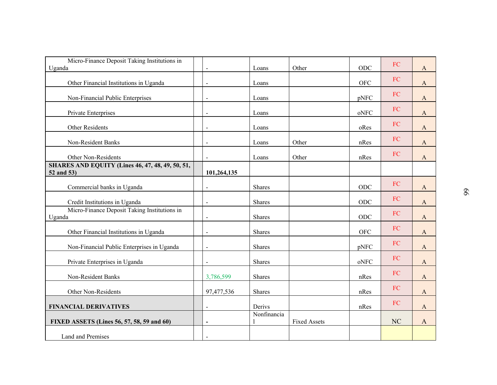| Micro-Finance Deposit Taking Institutions in                          |                          |             |                     |            |            |              |    |
|-----------------------------------------------------------------------|--------------------------|-------------|---------------------|------------|------------|--------------|----|
| Uganda                                                                | $\blacksquare$           | Loans       | Other               | ODC        | FC         | $\mathbf{A}$ |    |
| Other Financial Institutions in Uganda                                | $\blacksquare$           | Loans       |                     | <b>OFC</b> | ${\rm FC}$ | $\mathbf{A}$ |    |
| Non-Financial Public Enterprises                                      | $\blacksquare$           | Loans       |                     | pNFC       | FC         | $\mathbf{A}$ |    |
| Private Enterprises                                                   | $\blacksquare$           | Loans       |                     | oNFC       | FC         | $\mathbf{A}$ |    |
| Other Residents                                                       | $\blacksquare$           | Loans       |                     | oRes       | FC         | $\mathbf{A}$ |    |
| Non-Resident Banks                                                    | $\blacksquare$           | Loans       | Other               | nRes       | FC         | $\mathbf{A}$ |    |
| Other Non-Residents                                                   | $\blacksquare$           | Loans       | Other               | nRes       | ${\rm FC}$ | A            |    |
| <b>SHARES AND EQUITY (Lines 46, 47, 48, 49, 50, 51,</b><br>52 and 53) | 101,264,135              |             |                     |            |            |              |    |
| Commercial banks in Uganda                                            | $\sim$                   | Shares      |                     | ODC        | ${\rm FC}$ | $\mathbf{A}$ |    |
| Credit Institutions in Uganda                                         | $\blacksquare$           | Shares      |                     | ODC        | ${\rm FC}$ | A            | 99 |
| Micro-Finance Deposit Taking Institutions in<br>Uganda                |                          | Shares      |                     | ODC        | ${\rm FC}$ | $\mathbf{A}$ |    |
| Other Financial Institutions in Uganda                                |                          | Shares      |                     | <b>OFC</b> | ${\rm FC}$ | A            |    |
| Non-Financial Public Enterprises in Uganda                            | $\blacksquare$           | Shares      |                     | pNFC       | ${\rm FC}$ | A            |    |
| Private Enterprises in Uganda                                         |                          | Shares      |                     | oNFC       | ${\rm FC}$ | $\mathbf{A}$ |    |
| Non-Resident Banks                                                    | 3,786,599                | Shares      |                     | nRes       | ${\rm FC}$ | $\mathbf{A}$ |    |
| Other Non-Residents                                                   | 97,477,536               | Shares      |                     | nRes       | FC         | $\mathbf{A}$ |    |
| <b>FINANCIAL DERIVATIVES</b>                                          | $\blacksquare$           | Derivs      |                     | nRes       | ${\rm FC}$ | $\mathbf{A}$ |    |
| FIXED ASSETS (Lines 56, 57, 58, 59 and 60)                            | $\overline{\phantom{a}}$ | Nonfinancia | <b>Fixed Assets</b> |            | NC         | $\mathbf{A}$ |    |
| Land and Premises                                                     | $\blacksquare$           |             |                     |            |            |              |    |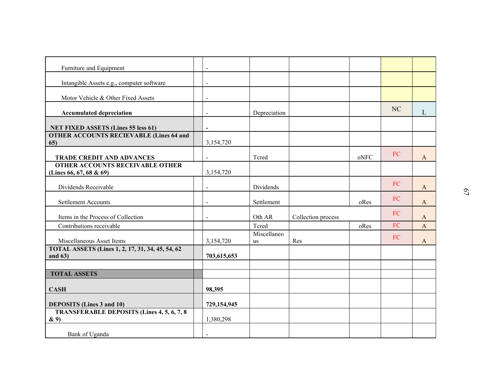| $\overline{6}$ |
|----------------|
|                |
|                |
|                |
|                |
|                |
|                |
|                |
|                |
|                |
|                |
|                |
|                |
|                |
|                |
|                |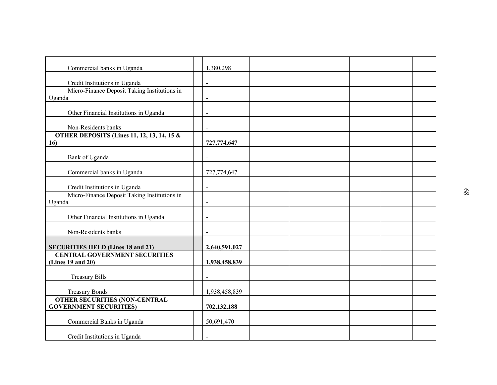| Commercial banks in Uganda                                                    | 1,380,298      |  |  |  |    |
|-------------------------------------------------------------------------------|----------------|--|--|--|----|
|                                                                               |                |  |  |  |    |
| Credit Institutions in Uganda<br>Micro-Finance Deposit Taking Institutions in | $\blacksquare$ |  |  |  |    |
| Uganda                                                                        | $\blacksquare$ |  |  |  |    |
|                                                                               |                |  |  |  |    |
| Other Financial Institutions in Uganda                                        | $\blacksquare$ |  |  |  |    |
| Non-Residents banks                                                           | $\blacksquare$ |  |  |  |    |
| <b>OTHER DEPOSITS (Lines 11, 12, 13, 14, 15 &amp;</b>                         |                |  |  |  |    |
| 16)                                                                           | 727,774,647    |  |  |  |    |
| Bank of Uganda                                                                | $\sim$         |  |  |  |    |
|                                                                               |                |  |  |  |    |
| Commercial banks in Uganda                                                    | 727,774,647    |  |  |  |    |
| Credit Institutions in Uganda                                                 | $\sim$         |  |  |  |    |
| Micro-Finance Deposit Taking Institutions in                                  |                |  |  |  | 89 |
| Uganda                                                                        |                |  |  |  |    |
| Other Financial Institutions in Uganda                                        |                |  |  |  |    |
|                                                                               |                |  |  |  |    |
| Non-Residents banks                                                           |                |  |  |  |    |
| <b>SECURITIES HELD (Lines 18 and 21)</b>                                      | 2,640,591,027  |  |  |  |    |
| <b>CENTRAL GOVERNMENT SECURITIES</b>                                          |                |  |  |  |    |
| (Lines 19 and 20)                                                             | 1,938,458,839  |  |  |  |    |
| <b>Treasury Bills</b>                                                         |                |  |  |  |    |
|                                                                               |                |  |  |  |    |
| <b>Treasury Bonds</b>                                                         | 1,938,458,839  |  |  |  |    |
| <b>OTHER SECURITIES (NON-CENTRAL</b><br><b>GOVERNMENT SECURITIES)</b>         | 702,132,188    |  |  |  |    |
|                                                                               |                |  |  |  |    |
| Commercial Banks in Uganda                                                    | 50,691,470     |  |  |  |    |
| Credit Institutions in Uganda                                                 | $\blacksquare$ |  |  |  |    |
|                                                                               |                |  |  |  |    |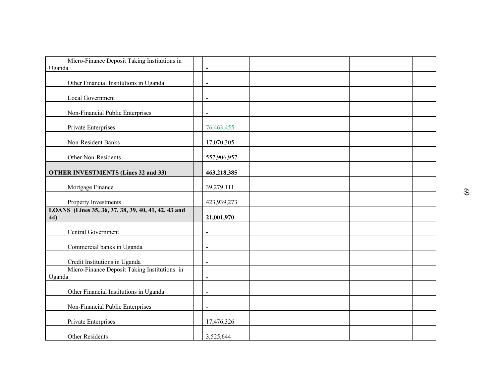| Micro-Finance Deposit Taking Institutions in<br>Uganda | $\blacksquare$ |  |  |    |
|--------------------------------------------------------|----------------|--|--|----|
|                                                        |                |  |  |    |
| Other Financial Institutions in Uganda                 | $\blacksquare$ |  |  |    |
| Local Government                                       | $\blacksquare$ |  |  |    |
| Non-Financial Public Enterprises                       | $\blacksquare$ |  |  |    |
| Private Enterprises                                    | 76,463,455     |  |  |    |
| Non-Resident Banks                                     | 17,070,305     |  |  |    |
| Other Non-Residents                                    | 557,906,957    |  |  |    |
| <b>OTHER INVESTMENTS (Lines 32 and 33)</b>             | 463,218,385    |  |  |    |
| Mortgage Finance                                       | 39,279,111     |  |  | 69 |
| Property Investments                                   | 423,939,273    |  |  |    |
| LOANS (Lines 35, 36, 37, 38, 39, 40, 41, 42, 43 and    |                |  |  |    |
| 44)                                                    | 21,001,970     |  |  |    |
| Central Government                                     | $\blacksquare$ |  |  |    |
| Commercial banks in Uganda                             | $\blacksquare$ |  |  |    |
| Credit Institutions in Uganda                          | $\blacksquare$ |  |  |    |
| Micro-Finance Deposit Taking Institutions in           |                |  |  |    |
| Uganda                                                 | $\blacksquare$ |  |  |    |
| Other Financial Institutions in Uganda                 |                |  |  |    |
| Non-Financial Public Enterprises                       | $\blacksquare$ |  |  |    |
| Private Enterprises                                    | 17,476,326     |  |  |    |
| Other Residents                                        | 3,525,644      |  |  |    |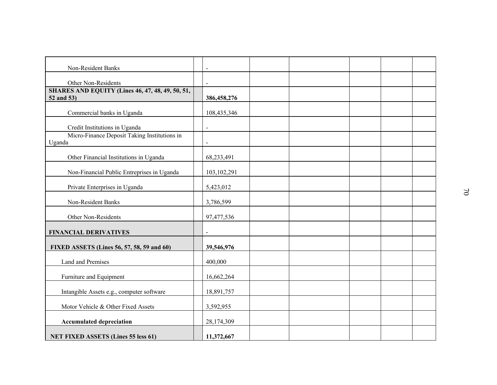| Non-Resident Banks                                                    | $\blacksquare$ |  |  |  |          |
|-----------------------------------------------------------------------|----------------|--|--|--|----------|
| Other Non-Residents                                                   | $\blacksquare$ |  |  |  |          |
| <b>SHARES AND EQUITY (Lines 46, 47, 48, 49, 50, 51,</b><br>52 and 53) | 386,458,276    |  |  |  |          |
| Commercial banks in Uganda                                            | 108,435,346    |  |  |  |          |
| Credit Institutions in Uganda                                         | $\blacksquare$ |  |  |  |          |
| Micro-Finance Deposit Taking Institutions in<br>Uganda                | $\blacksquare$ |  |  |  |          |
| Other Financial Institutions in Uganda                                | 68,233,491     |  |  |  |          |
| Non-Financial Public Entreprises in Uganda                            | 103, 102, 291  |  |  |  |          |
| Private Enterprises in Uganda                                         | 5,423,012      |  |  |  | $\omega$ |
| Non-Resident Banks                                                    | 3,786,599      |  |  |  |          |
| Other Non-Residents                                                   | 97,477,536     |  |  |  |          |
| <b>FINANCIAL DERIVATIVES</b>                                          |                |  |  |  |          |
| FIXED ASSETS (Lines 56, 57, 58, 59 and 60)                            | 39,546,976     |  |  |  |          |
| Land and Premises                                                     | 400,000        |  |  |  |          |
| Furniture and Equipment                                               | 16,662,264     |  |  |  |          |
| Intangible Assets e.g., computer software                             | 18,891,757     |  |  |  |          |
| Motor Vehicle & Other Fixed Assets                                    | 3,592,955      |  |  |  |          |
| <b>Accumulated depreciation</b>                                       | 28,174,309     |  |  |  |          |
| <b>NET FIXED ASSETS (Lines 55 less 61)</b>                            | 11,372,667     |  |  |  |          |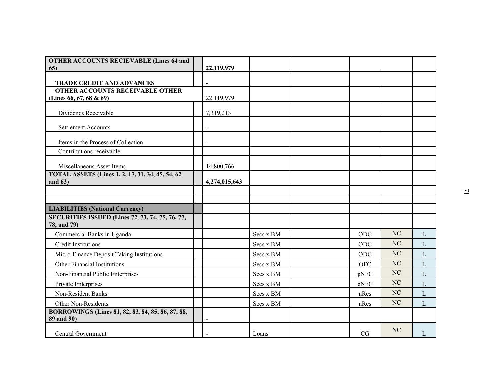| 22,119,979     |            |            |          |   |  |
|----------------|------------|------------|----------|---|--|
| $\blacksquare$ |            |            |          |   |  |
|                |            |            |          |   |  |
| 22,119,979     |            |            |          |   |  |
| 7,319,213      |            |            |          |   |  |
| $\blacksquare$ |            |            |          |   |  |
|                |            |            |          |   |  |
| $\mathbf{r}$   |            |            |          |   |  |
|                |            |            |          |   |  |
|                |            |            |          |   |  |
|                |            |            |          |   |  |
| 4,274,015,643  |            |            |          |   |  |
|                |            |            |          |   |  |
|                |            |            |          |   |  |
|                |            |            |          |   |  |
|                | Secs x BM  | ODC        | NC       | L |  |
|                | Secs x BM  | ODC        | NC       | L |  |
|                | Secs x BM  | $\rm ODC$  | NC       | L |  |
|                | Secs x BM  | <b>OFC</b> | NC       | L |  |
|                | Secs x BM  | pNFC       | NC       | L |  |
|                | Secs x BM  | oNFC       | NC       | L |  |
|                | Secs x BM  | nRes       | $\rm NC$ | L |  |
|                | Secs x BM  | nRes       | NC       | L |  |
|                |            |            |          |   |  |
| $\blacksquare$ |            |            |          |   |  |
|                | Loans      | CG         | NC       | L |  |
|                | 14,800,766 |            |          |   |  |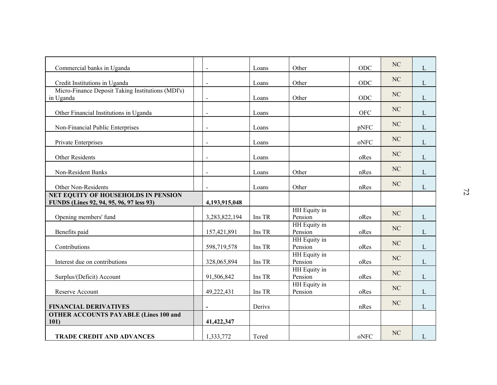| Commercial banks in Uganda                                                      | $\overline{a}$ | Loans  | Other                   | ODC        | NC       | L            |                |
|---------------------------------------------------------------------------------|----------------|--------|-------------------------|------------|----------|--------------|----------------|
| Credit Institutions in Uganda                                                   | $\overline{a}$ | Loans  | Other                   | ODC        | $\rm NC$ | L            |                |
| Micro-Finance Deposit Taking Institutions (MDI's)                               |                |        |                         |            | $\rm NC$ |              |                |
| in Uganda                                                                       | $\overline{a}$ | Loans  | Other                   | ODC        |          | L            |                |
| Other Financial Institutions in Uganda                                          | $\blacksquare$ | Loans  |                         | <b>OFC</b> | $\rm NC$ | L            |                |
| Non-Financial Public Enterprises                                                | $\blacksquare$ | Loans  |                         | pNFC       | $\rm NC$ | L            |                |
|                                                                                 |                |        |                         |            | $\rm NC$ |              |                |
| Private Enterprises                                                             | $\blacksquare$ | Loans  |                         | oNFC       |          | L            |                |
| Other Residents                                                                 | $\blacksquare$ | Loans  |                         | oRes       | $\rm NC$ | L            |                |
| Non-Resident Banks                                                              | $\blacksquare$ | Loans  | Other                   | nRes       | $\rm NC$ | $\mathbf{L}$ |                |
| Other Non-Residents                                                             | $\blacksquare$ | Loans  | Other                   | nRes       | $\rm NC$ | L            |                |
| NET EQUITY OF HOUSEHOLDS IN PENSION<br>FUNDS (Lines 92, 94, 95, 96, 97 less 93) | 4,193,915,048  |        |                         |            |          |              | $\overline{z}$ |
|                                                                                 |                |        | HH Equity in            |            |          |              |                |
| Opening members' fund                                                           | 3,283,822,194  | Ins TR | Pension                 | oRes       | NC       | L            |                |
| Benefits paid                                                                   | 157,421,891    | Ins TR | HH Equity in<br>Pension | oRes       | $\rm NC$ | L            |                |
|                                                                                 |                |        | HH Equity in            |            | NC       |              |                |
| Contributions                                                                   | 598,719,578    | Ins TR | Pension                 | oRes       |          | L            |                |
| Interest due on contributions                                                   | 328,065,894    | Ins TR | HH Equity in<br>Pension | oRes       | NC       | L            |                |
|                                                                                 |                |        | HH Equity in            |            | NC       |              |                |
| Surplus/(Deficit) Account                                                       | 91,506,842     | Ins TR | Pension<br>HH Equity in | oRes       |          | L            |                |
| Reserve Account                                                                 | 49,222,431     | Ins TR | Pension                 | oRes       | NC       | L            |                |
| <b>FINANCIAL DERIVATIVES</b>                                                    | $\blacksquare$ | Derivs |                         | nRes       | NC       | L            |                |
| <b>OTHER ACCOUNTS PAYABLE (Lines 100 and</b>                                    |                |        |                         |            |          |              |                |
| <b>101</b> )                                                                    | 41,422,347     |        |                         |            |          |              |                |
| <b>TRADE CREDIT AND ADVANCES</b>                                                | 1,333,772      | Tcred  |                         | oNFC       | NC       | $\mathbf{L}$ |                |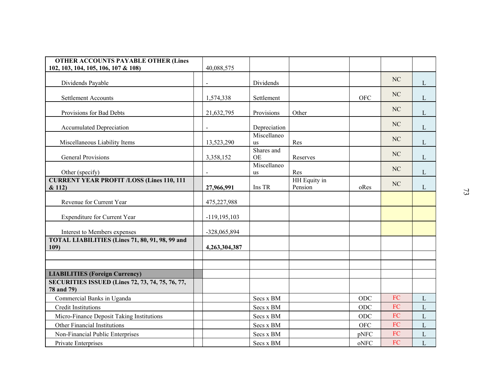| <b>OTHER ACCOUNTS PAYABLE OTHER (Lines</b>                            |                  |                                             |                         |                                               |            |              |                |
|-----------------------------------------------------------------------|------------------|---------------------------------------------|-------------------------|-----------------------------------------------|------------|--------------|----------------|
| 102, 103, 104, 105, 106, 107 & 108)                                   | 40,088,575       |                                             |                         |                                               |            |              |                |
| Dividends Payable                                                     |                  | Dividends                                   |                         |                                               | NC         | L            |                |
| <b>Settlement Accounts</b>                                            | 1,574,338        | Settlement                                  |                         | <b>OFC</b>                                    | NC         | L            |                |
| Provisions for Bad Debts                                              | 21,632,795       | Provisions                                  | Other                   |                                               | NC         | L            |                |
| <b>Accumulated Depreciation</b>                                       | $\blacksquare$   | Depreciation                                |                         |                                               | NC         | $\mathbf{L}$ |                |
| Miscellaneous Liability Items                                         | 13,523,290       | Miscellaneo<br>us                           | Res                     |                                               | NC         | L            |                |
| General Provisions                                                    | 3,358,152        | Shares and<br><b>OE</b>                     | Reserves                |                                               | NC         | L            |                |
| Other (specify)                                                       |                  | Miscellaneo<br>us                           | Res                     |                                               | NC         | L            |                |
| <b>CURRENT YEAR PROFIT /LOSS (Lines 110, 111</b><br>& 112)            | 27,966,991       | Ins TR                                      | HH Equity in<br>Pension | oRes                                          | NC         | L            |                |
|                                                                       |                  |                                             |                         |                                               |            |              | $\mathfrak{Z}$ |
| Revenue for Current Year                                              | 475,227,988      |                                             |                         |                                               |            |              |                |
| Expenditure for Current Year                                          | $-119, 195, 103$ |                                             |                         |                                               |            |              |                |
| Interest to Members expenses                                          | -328,065,894     |                                             |                         |                                               |            |              |                |
| TOTAL LIABILITIES (Lines 71, 80, 91, 98, 99 and<br>109)               | 4,263,304,387    |                                             |                         |                                               |            |              |                |
|                                                                       |                  |                                             |                         |                                               |            |              |                |
| <b>LIABILITIES (Foreign Currency)</b>                                 |                  |                                             |                         |                                               |            |              |                |
| <b>SECURITIES ISSUED (Lines 72, 73, 74, 75, 76, 77,</b><br>78 and 79) |                  |                                             |                         |                                               |            |              |                |
| Commercial Banks in Uganda                                            |                  | Secs x BM                                   |                         | ODC                                           | FC         | L            |                |
| <b>Credit Institutions</b>                                            |                  | $\operatorname{Secs}$ x $\operatorname{BM}$ |                         | ODC                                           | ${\rm FC}$ | L            |                |
| Micro-Finance Deposit Taking Institutions                             |                  | Secs x BM                                   |                         | ODC                                           | ${\rm FC}$ | L            |                |
| Other Financial Institutions                                          |                  | Secs x BM                                   |                         | <b>OFC</b>                                    | ${\rm FC}$ | L            |                |
| Non-Financial Public Enterprises                                      |                  | Secs x BM                                   |                         | pNFC                                          | ${\rm FC}$ | $\mathbf{L}$ |                |
| Private Enterprises                                                   |                  | Secs x BM                                   |                         | $\mathbf{o} \mathbf{N} \mathbf{F} \mathbf{C}$ | ${\rm FC}$ | L            |                |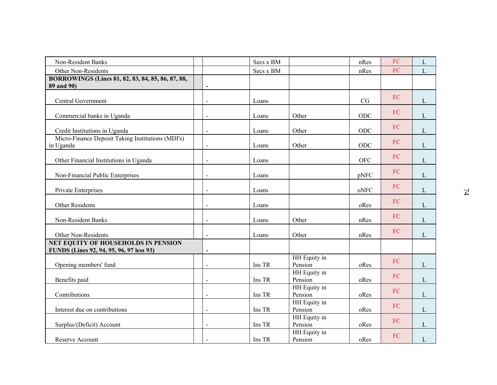| Non-Resident Banks                                              |                          | Secs x BM                                           |                         | nRes       | FC         | L            |                 |
|-----------------------------------------------------------------|--------------------------|-----------------------------------------------------|-------------------------|------------|------------|--------------|-----------------|
| Other Non-Residents                                             |                          | Secs x BM                                           |                         | nRes       | FC         | L            |                 |
| BORROWINGS (Lines 81, 82, 83, 84, 85, 86, 87, 88,<br>89 and 90) | $\blacksquare$           |                                                     |                         |            |            |              |                 |
|                                                                 |                          |                                                     |                         |            |            |              |                 |
| Central Government                                              | $\blacksquare$           | Loans                                               |                         | CG         | FC         | L            |                 |
| Commercial banks in Uganda                                      | $\blacksquare$           | Loans                                               | Other                   | ODC        | FC         | L            |                 |
|                                                                 |                          |                                                     |                         |            | FC         |              |                 |
| Credit Institutions in Uganda                                   | $\blacksquare$           | Loans                                               | Other                   | ODC        |            | L            |                 |
| Micro-Finance Deposit Taking Institutions (MDI's)<br>in Uganda  |                          | Loans                                               | Other                   | ODC        | FC         | L            |                 |
| Other Financial Institutions in Uganda                          | $\blacksquare$           | Loans                                               |                         | <b>OFC</b> | FC         | L            |                 |
|                                                                 |                          |                                                     |                         |            | FC         |              |                 |
| Non-Financial Public Enterprises                                |                          | Loans                                               |                         | pNFC       |            | L            |                 |
| Private Enterprises                                             | $\blacksquare$           | Loans                                               |                         | oNFC       | FC         | L            | $\overline{14}$ |
| Other Residents                                                 | $\blacksquare$           | Loans                                               |                         | oRes       | FC         | L            |                 |
|                                                                 |                          |                                                     |                         |            | FC         |              |                 |
| Non-Resident Banks                                              | $\blacksquare$           | Loans                                               | Other                   | nRes       |            | L            |                 |
| Other Non-Residents                                             | $\blacksquare$           | Loans                                               | Other                   | nRes       | FC         | L            |                 |
| NET EQUITY OF HOUSEHOLDS IN PENSION                             |                          |                                                     |                         |            |            |              |                 |
| FUNDS (Lines 92, 94, 95, 96, 97 less 93)                        | $\overline{\phantom{a}}$ |                                                     | HH Equity in            |            |            |              |                 |
| Opening members' fund                                           | $\blacksquare$           | Ins TR                                              | Pension                 | oRes       | FC         | $\Gamma$     |                 |
|                                                                 |                          |                                                     | HH Equity in            |            | FC         |              |                 |
| Benefits paid                                                   | $\blacksquare$           | Ins TR                                              | Pension                 | oRes       |            | L            |                 |
| Contributions                                                   | $\blacksquare$           | Ins TR                                              | HH Equity in<br>Pension | oRes       | ${\rm FC}$ | L            |                 |
| Interest due on contributions                                   | $\blacksquare$           | Ins TR                                              | HH Equity in<br>Pension | oRes       | ${\rm FC}$ | $\Gamma$     |                 |
|                                                                 |                          |                                                     | HH Equity in            |            | ${\rm FC}$ |              |                 |
| Surplus/(Deficit) Account                                       | $\blacksquare$           | Ins TR                                              | Pension                 | oRes       |            | L            |                 |
| Reserve Account                                                 |                          | $\mathop{\rm Ins}\nolimits\mathop{\rm TR}\nolimits$ | HH Equity in<br>Pension | oRes       | ${\rm FC}$ | $\mathbf{L}$ |                 |
|                                                                 | $\blacksquare$           |                                                     |                         |            |            |              |                 |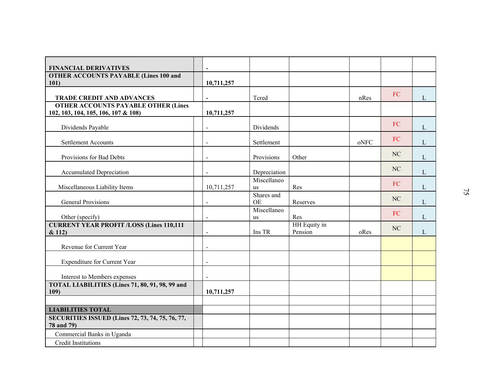| <b>FINANCIAL DERIVATIVES</b>                                        | $\overline{\phantom{0}}$ |                         |                     |      |          |              |    |
|---------------------------------------------------------------------|--------------------------|-------------------------|---------------------|------|----------|--------------|----|
| <b>OTHER ACCOUNTS PAYABLE (Lines 100 and</b>                        |                          |                         |                     |      |          |              |    |
| 101)                                                                | 10,711,257               |                         |                     |      |          |              |    |
| <b>TRADE CREDIT AND ADVANCES</b>                                    | $\overline{a}$           | Tcred                   |                     | nRes | FC       | L            |    |
| <b>OTHER ACCOUNTS PAYABLE OTHER (Lines</b>                          |                          |                         |                     |      |          |              |    |
| 102, 103, 104, 105, 106, 107 & 108)                                 | 10,711,257               |                         |                     |      |          |              |    |
| Dividends Payable                                                   | $\blacksquare$           | Dividends               |                     |      | FC       | L            |    |
| <b>Settlement Accounts</b>                                          | $\blacksquare$           | Settlement              |                     | oNFC | FC       | L            |    |
|                                                                     |                          |                         |                     |      |          |              |    |
| Provisions for Bad Debts                                            | $\blacksquare$           | Provisions              | Other               |      | $\rm NC$ | $\mathbf{L}$ |    |
| <b>Accumulated Depreciation</b>                                     | $\blacksquare$           | Depreciation            |                     |      | NC       | $\mathbf{L}$ |    |
|                                                                     |                          | Miscellaneo             |                     |      | FC       |              |    |
| Miscellaneous Liability Items                                       | 10,711,257               | us                      | Res                 |      |          | L            | 75 |
| General Provisions                                                  | $\blacksquare$           | Shares and<br><b>OE</b> | Reserves            |      | NC       | L            |    |
|                                                                     |                          | Miscellaneo             |                     |      | FC       |              |    |
| Other (specify)<br><b>CURRENT YEAR PROFIT /LOSS (Lines 110,111)</b> |                          | us                      | Res<br>HH Equity in |      |          | L            |    |
| & 112)                                                              | $\overline{\phantom{a}}$ | Ins TR                  | Pension             | oRes | $\rm NC$ | L            |    |
|                                                                     |                          |                         |                     |      |          |              |    |
| Revenue for Current Year                                            | $\blacksquare$           |                         |                     |      |          |              |    |
| Expenditure for Current Year                                        | $\overline{a}$           |                         |                     |      |          |              |    |
| Interest to Members expenses                                        |                          |                         |                     |      |          |              |    |
| TOTAL LIABILITIES (Lines 71, 80, 91, 98, 99 and                     |                          |                         |                     |      |          |              |    |
| 109)                                                                | 10,711,257               |                         |                     |      |          |              |    |
|                                                                     |                          |                         |                     |      |          |              |    |
| <b>LIABILITIES TOTAL</b>                                            |                          |                         |                     |      |          |              |    |
| SECURITIES ISSUED (Lines 72, 73, 74, 75, 76, 77,<br>78 and 79)      |                          |                         |                     |      |          |              |    |
| Commercial Banks in Uganda                                          |                          |                         |                     |      |          |              |    |
| <b>Credit Institutions</b>                                          |                          |                         |                     |      |          |              |    |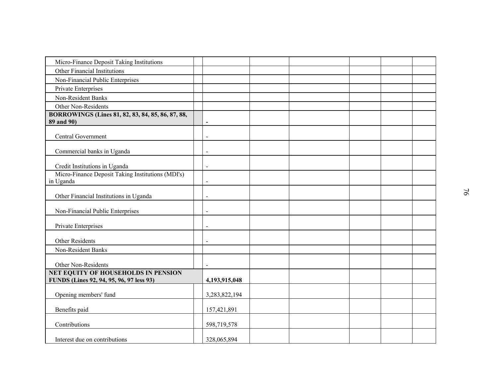| Micro-Finance Deposit Taking Institutions                      |                          |  |  |                |
|----------------------------------------------------------------|--------------------------|--|--|----------------|
| Other Financial Institutions                                   |                          |  |  |                |
| Non-Financial Public Enterprises                               |                          |  |  |                |
| Private Enterprises                                            |                          |  |  |                |
| Non-Resident Banks                                             |                          |  |  |                |
| Other Non-Residents                                            |                          |  |  |                |
| BORROWINGS (Lines 81, 82, 83, 84, 85, 86, 87, 88,              |                          |  |  |                |
| 89 and 90)                                                     | $\blacksquare$           |  |  |                |
| Central Government                                             | $\blacksquare$           |  |  |                |
|                                                                |                          |  |  |                |
| Commercial banks in Uganda                                     | $\blacksquare$           |  |  |                |
|                                                                |                          |  |  |                |
| Credit Institutions in Uganda                                  | $\blacksquare$           |  |  |                |
| Micro-Finance Deposit Taking Institutions (MDI's)<br>in Uganda | $\blacksquare$           |  |  |                |
|                                                                |                          |  |  |                |
| Other Financial Institutions in Uganda                         | $\overline{\phantom{a}}$ |  |  | $\overline{6}$ |
|                                                                |                          |  |  |                |
| Non-Financial Public Enterprises                               | $\blacksquare$           |  |  |                |
| Private Enterprises                                            | $\blacksquare$           |  |  |                |
|                                                                |                          |  |  |                |
| Other Residents                                                | $\blacksquare$           |  |  |                |
| Non-Resident Banks                                             |                          |  |  |                |
|                                                                |                          |  |  |                |
| Other Non-Residents                                            | $\blacksquare$           |  |  |                |
| NET EQUITY OF HOUSEHOLDS IN PENSION                            |                          |  |  |                |
| FUNDS (Lines 92, 94, 95, 96, 97 less 93)                       | 4,193,915,048            |  |  |                |
| Opening members' fund                                          | 3,283,822,194            |  |  |                |
|                                                                |                          |  |  |                |
| Benefits paid                                                  | 157,421,891              |  |  |                |
|                                                                |                          |  |  |                |
| Contributions                                                  | 598,719,578              |  |  |                |
| Interest due on contributions                                  | 328,065,894              |  |  |                |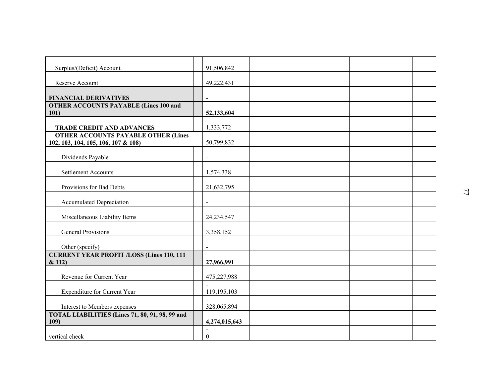| Surplus/(Deficit) Account                                                      | 91,506,842                         |  |  |    |
|--------------------------------------------------------------------------------|------------------------------------|--|--|----|
| Reserve Account                                                                | 49,222,431                         |  |  |    |
|                                                                                |                                    |  |  |    |
| <b>FINANCIAL DERIVATIVES</b>                                                   | $\blacksquare$                     |  |  |    |
| <b>OTHER ACCOUNTS PAYABLE (Lines 100 and</b><br>101)                           | 52,133,604                         |  |  |    |
|                                                                                |                                    |  |  |    |
| <b>TRADE CREDIT AND ADVANCES</b><br><b>OTHER ACCOUNTS PAYABLE OTHER (Lines</b> | 1,333,772                          |  |  |    |
| 102, 103, 104, 105, 106, 107 & 108)                                            | 50,799,832                         |  |  |    |
| Dividends Payable                                                              | $\sim$                             |  |  |    |
|                                                                                |                                    |  |  |    |
| Settlement Accounts                                                            | 1,574,338                          |  |  |    |
| Provisions for Bad Debts                                                       | 21,632,795                         |  |  | 77 |
| <b>Accumulated Depreciation</b>                                                |                                    |  |  |    |
| Miscellaneous Liability Items                                                  | 24,234,547                         |  |  |    |
| <b>General Provisions</b>                                                      | 3,358,152                          |  |  |    |
| Other (specify)                                                                |                                    |  |  |    |
| <b>CURRENT YEAR PROFIT /LOSS (Lines 110, 111)</b>                              |                                    |  |  |    |
| & 112)                                                                         | 27,966,991                         |  |  |    |
| Revenue for Current Year                                                       | 475,227,988                        |  |  |    |
| <b>Expenditure for Current Year</b>                                            | 119,195,103                        |  |  |    |
| Interest to Members expenses                                                   | 328,065,894                        |  |  |    |
| TOTAL LIABILITIES (Lines 71, 80, 91, 98, 99 and<br>109)                        | 4,274,015,643                      |  |  |    |
| vertical check                                                                 | $\blacksquare$<br>$\boldsymbol{0}$ |  |  |    |
|                                                                                |                                    |  |  |    |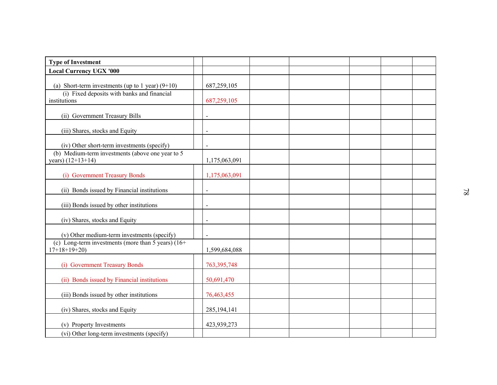| <b>Type of Investment</b>                                               |                |  |  |    |
|-------------------------------------------------------------------------|----------------|--|--|----|
| <b>Local Currency UGX '000</b>                                          |                |  |  |    |
| (a) Short-term investments (up to 1 year) $(9+10)$                      | 687,259,105    |  |  |    |
| (i) Fixed deposits with banks and financial<br>institutions             | 687,259,105    |  |  |    |
| (ii) Government Treasury Bills                                          | $\sim$         |  |  |    |
| (iii) Shares, stocks and Equity                                         | $\sim$         |  |  |    |
| (iv) Other short-term investments (specify)                             |                |  |  |    |
| (b) Medium-term investments (above one year to 5<br>years) $(12+13+14)$ | 1,175,063,091  |  |  |    |
| (i) Government Treasury Bonds                                           | 1,175,063,091  |  |  |    |
| (ii) Bonds issued by Financial institutions                             | $\overline{a}$ |  |  | 82 |
| (iii) Bonds issued by other institutions                                | $\blacksquare$ |  |  |    |
| (iv) Shares, stocks and Equity                                          |                |  |  |    |
| (v) Other medium-term investments (specify)                             | $\blacksquare$ |  |  |    |
| (c) Long-term investments (more than 5 years) $(16+)$<br>$17+18+19+20$  | 1,599,684,088  |  |  |    |
| (i) Government Treasury Bonds                                           | 763, 395, 748  |  |  |    |
| (ii) Bonds issued by Financial institutions                             | 50,691,470     |  |  |    |
| (iii) Bonds issued by other institutions                                | 76,463,455     |  |  |    |
| (iv) Shares, stocks and Equity                                          | 285, 194, 141  |  |  |    |
| (v) Property Investments                                                | 423,939,273    |  |  |    |
| (vi) Other long-term investments (specify)                              |                |  |  |    |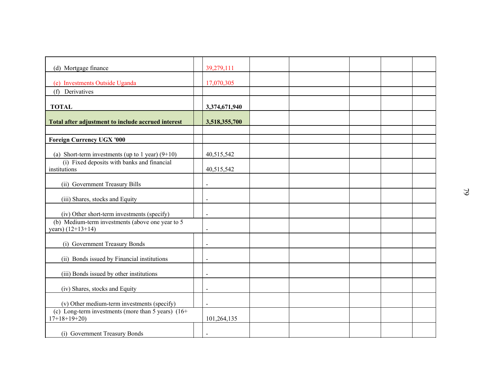| (d) Mortgage finance                                                   | 39,279,111               |  |  |               |
|------------------------------------------------------------------------|--------------------------|--|--|---------------|
| (e) Investments Outside Uganda                                         | 17,070,305               |  |  |               |
| (f) Derivatives                                                        |                          |  |  |               |
|                                                                        |                          |  |  |               |
| <b>TOTAL</b>                                                           | 3,374,671,940            |  |  |               |
| Total after adjustment to include accrued interest                     | 3,518,355,700            |  |  |               |
|                                                                        |                          |  |  |               |
| <b>Foreign Currency UGX '000</b>                                       |                          |  |  |               |
| (a) Short-term investments (up to 1 year) $(9+10)$                     | 40,515,542               |  |  |               |
| (i) Fixed deposits with banks and financial                            |                          |  |  |               |
| institutions                                                           | 40,515,542               |  |  |               |
| (ii) Government Treasury Bills                                         |                          |  |  |               |
|                                                                        |                          |  |  | $\mathcal{O}$ |
| (iii) Shares, stocks and Equity                                        | $\overline{a}$           |  |  |               |
| (iv) Other short-term investments (specify)                            | $\overline{a}$           |  |  |               |
| (b) Medium-term investments (above one year to 5                       |                          |  |  |               |
| years) (12+13+14)                                                      | $\overline{\phantom{a}}$ |  |  |               |
| (i) Government Treasury Bonds                                          | $\overline{a}$           |  |  |               |
|                                                                        |                          |  |  |               |
| (ii) Bonds issued by Financial institutions                            | $\blacksquare$           |  |  |               |
| (iii) Bonds issued by other institutions                               | $\blacksquare$           |  |  |               |
|                                                                        |                          |  |  |               |
| (iv) Shares, stocks and Equity                                         |                          |  |  |               |
| (v) Other medium-term investments (specify)                            | $\overline{a}$           |  |  |               |
| (c) Long-term investments (more than 5 years) $(16+)$<br>$17+18+19+20$ | 101,264,135              |  |  |               |
|                                                                        |                          |  |  |               |
| (i) Government Treasury Bonds                                          | $\blacksquare$           |  |  |               |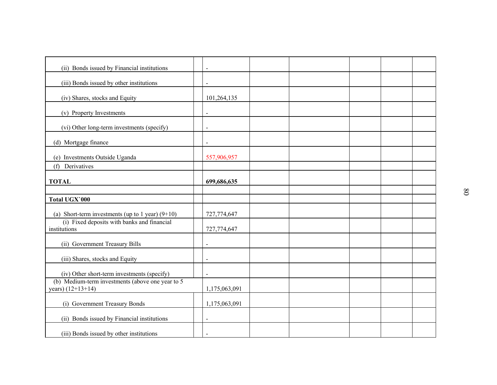| (ii) Bonds issued by Financial institutions                             | $\blacksquare$ |  |  |  |
|-------------------------------------------------------------------------|----------------|--|--|--|
|                                                                         |                |  |  |  |
| (iii) Bonds issued by other institutions                                | $\blacksquare$ |  |  |  |
| (iv) Shares, stocks and Equity                                          | 101,264,135    |  |  |  |
| (v) Property Investments                                                | $\blacksquare$ |  |  |  |
| (vi) Other long-term investments (specify)                              |                |  |  |  |
| (d) Mortgage finance                                                    | $\frac{1}{2}$  |  |  |  |
| (e) Investments Outside Uganda                                          | 557,906,957    |  |  |  |
| (f) Derivatives                                                         |                |  |  |  |
| <b>TOTAL</b>                                                            | 699,686,635    |  |  |  |
| Total UGX'000                                                           |                |  |  |  |
| (a) Short-term investments (up to 1 year) $(9+10)$                      | 727,774,647    |  |  |  |
| (i) Fixed deposits with banks and financial<br>institutions             | 727,774,647    |  |  |  |
| (ii) Government Treasury Bills                                          | $\blacksquare$ |  |  |  |
| (iii) Shares, stocks and Equity                                         | $\blacksquare$ |  |  |  |
| (iv) Other short-term investments (specify)                             | $\blacksquare$ |  |  |  |
| (b) Medium-term investments (above one year to 5<br>years) $(12+13+14)$ | 1,175,063,091  |  |  |  |
| (i) Government Treasury Bonds                                           | 1,175,063,091  |  |  |  |
| (ii) Bonds issued by Financial institutions                             | $\overline{a}$ |  |  |  |
| (iii) Bonds issued by other institutions                                | $\blacksquare$ |  |  |  |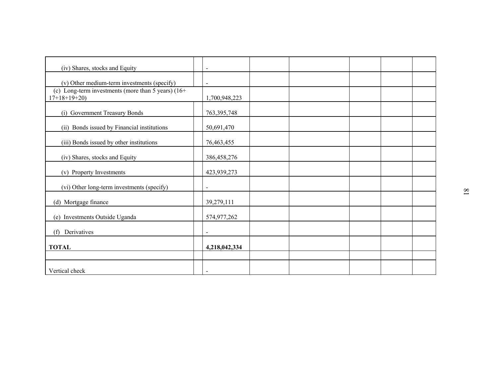| (iv) Shares, stocks and Equity                                         | $\blacksquare$ |  |  |  |
|------------------------------------------------------------------------|----------------|--|--|--|
| (v) Other medium-term investments (specify)                            | $\blacksquare$ |  |  |  |
| (c) Long-term investments (more than 5 years) $(16+)$<br>$17+18+19+20$ | 1,700,948,223  |  |  |  |
| (i) Government Treasury Bonds                                          | 763, 395, 748  |  |  |  |
| (ii) Bonds issued by Financial institutions                            | 50,691,470     |  |  |  |
| (iii) Bonds issued by other institutions                               | 76,463,455     |  |  |  |
| (iv) Shares, stocks and Equity                                         | 386,458,276    |  |  |  |
| (v) Property Investments                                               | 423,939,273    |  |  |  |
| (vi) Other long-term investments (specify)                             | $\blacksquare$ |  |  |  |
| (d) Mortgage finance                                                   | 39,279,111     |  |  |  |
| (e) Investments Outside Uganda                                         | 574,977,262    |  |  |  |
| Derivatives<br>(f)                                                     | $\blacksquare$ |  |  |  |
| <b>TOTAL</b>                                                           | 4,218,042,334  |  |  |  |
|                                                                        |                |  |  |  |
| Vertical check                                                         | $\blacksquare$ |  |  |  |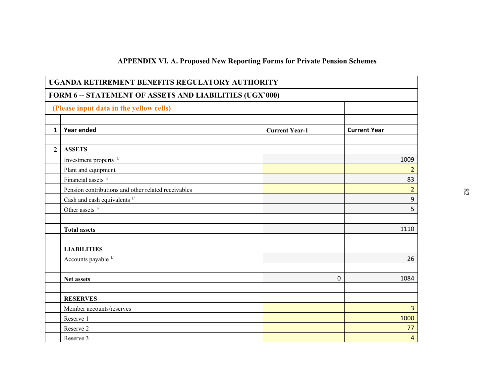|                |                                                         | <b>APPENDIX VI. A. Proposed New Reporting Forms for Private Pension Schemes</b> |                     |  |
|----------------|---------------------------------------------------------|---------------------------------------------------------------------------------|---------------------|--|
|                | UGANDA RETIREMENT BENEFITS REGULATORY AUTHORITY         |                                                                                 |                     |  |
|                | FORM 6 -- STATEMENT OF ASSETS AND LIABILITIES (UGX'000) |                                                                                 |                     |  |
|                | (Please input data in the yellow cells)                 |                                                                                 |                     |  |
| $\mathbf{1}$   | Year ended                                              | <b>Current Year-1</b>                                                           | <b>Current Year</b> |  |
|                |                                                         |                                                                                 |                     |  |
| $\overline{2}$ | <b>ASSETS</b>                                           |                                                                                 |                     |  |
|                | Investment property <sup>1/</sup>                       |                                                                                 | 1009                |  |
|                | Plant and equipment                                     |                                                                                 | $\overline{2}$      |  |
|                | Financial assets <sup>1/</sup>                          |                                                                                 | 83                  |  |
|                | Pension contributions and other related receivables     |                                                                                 | $\overline{2}$      |  |
|                | Cash and cash equivalents $1/$                          |                                                                                 | 9                   |  |
|                | Other assets $1/$                                       |                                                                                 | 5                   |  |
|                |                                                         |                                                                                 |                     |  |
|                | <b>Total assets</b>                                     |                                                                                 | 1110                |  |
|                |                                                         |                                                                                 |                     |  |
|                | <b>LIABILITIES</b>                                      |                                                                                 |                     |  |
|                | Accounts payable $1/$                                   |                                                                                 | 26                  |  |
|                |                                                         |                                                                                 |                     |  |
|                | <b>Net assets</b>                                       | 0                                                                               | 1084                |  |
|                |                                                         |                                                                                 |                     |  |
|                | <b>RESERVES</b>                                         |                                                                                 |                     |  |
|                | Member accounts/reserves                                |                                                                                 | $\overline{3}$      |  |
|                | Reserve 1                                               |                                                                                 | 1000                |  |
|                | Reserve 2                                               |                                                                                 | 77                  |  |
|                | Reserve 3                                               |                                                                                 | $\overline{4}$      |  |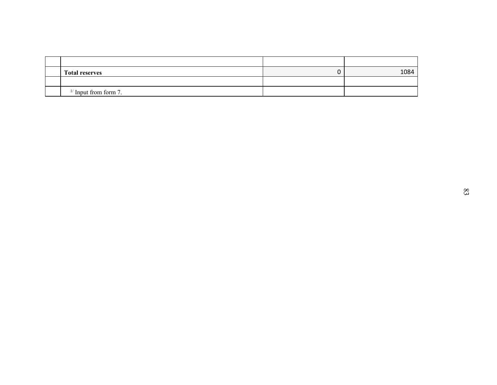| <b>Total reserves</b> |                         |  | $\pmb{0}$ | 1084 |
|-----------------------|-------------------------|--|-----------|------|
|                       | $1/$ Input from form 7. |  |           |      |
|                       |                         |  |           |      |
|                       |                         |  |           |      |
|                       |                         |  |           |      |
|                       |                         |  |           |      |
|                       |                         |  |           |      |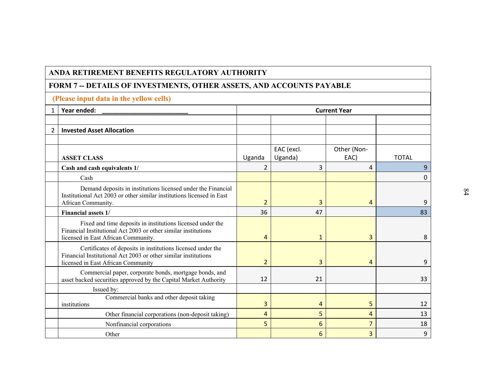|                | ANDA RETIREMENT BENEFITS REGULATORY AUTHORITY                                                                                                                       |                |                       |                     |              |
|----------------|---------------------------------------------------------------------------------------------------------------------------------------------------------------------|----------------|-----------------------|---------------------|--------------|
|                | FORM 7 -- DETAILS OF INVESTMENTS, OTHER ASSETS, AND ACCOUNTS PAYABLE                                                                                                |                |                       |                     |              |
|                | (Please input data in the yellow cells)                                                                                                                             |                |                       |                     |              |
| $\mathbf{1}$   | Year ended:                                                                                                                                                         |                |                       | <b>Current Year</b> |              |
|                |                                                                                                                                                                     |                |                       |                     |              |
| $\overline{2}$ | <b>Invested Asset Allocation</b>                                                                                                                                    |                |                       |                     |              |
|                | <b>ASSET CLASS</b>                                                                                                                                                  | Uganda         | EAC (excl.<br>Uganda) | Other (Non-<br>EAC) | <b>TOTAL</b> |
|                | Cash and cash equivalents 1/                                                                                                                                        | $\overline{2}$ | 3                     | 4                   | 9            |
|                | Cash                                                                                                                                                                |                |                       |                     | 0            |
|                | Demand deposits in institutions licensed under the Financial<br>Institutional Act 2003 or other similar institutions licensed in East<br>African Community.         | $\overline{2}$ | 3                     | 4                   | 9            |
|                | <b>Financial assets 1/</b>                                                                                                                                          | 36             | 47                    |                     | 83           |
|                | Fixed and time deposits in institutions licensed under the<br>Financial Institutional Act 2003 or other similar institutions<br>licensed in East African Community. | 4              | $\mathbf{1}$          | 3                   | 8            |
|                | Certificates of deposits in institutions licensed under the<br>Financial Institutional Act 2003 or other similar institutions<br>licensed in East African Community | $\overline{2}$ | 3                     | $\overline{4}$      | 9            |
|                | Commercial paper, corporate bonds, mortgage bonds, and<br>asset backed securities approved by the Capital Market Authority                                          | 12             | 21                    |                     | 33           |
|                | Issued by:                                                                                                                                                          |                |                       |                     |              |
|                | Commercial banks and other deposit taking<br>institutions                                                                                                           | 3              | 4                     | 5                   | 12           |
|                | Other financial corporations (non-deposit taking)                                                                                                                   | $\overline{4}$ | 5                     | $\overline{4}$      | 13           |
|                | Nonfinancial corporations                                                                                                                                           | 5              | 6                     | 7                   | 18           |
|                | Other                                                                                                                                                               |                | 6                     | 3                   | 9            |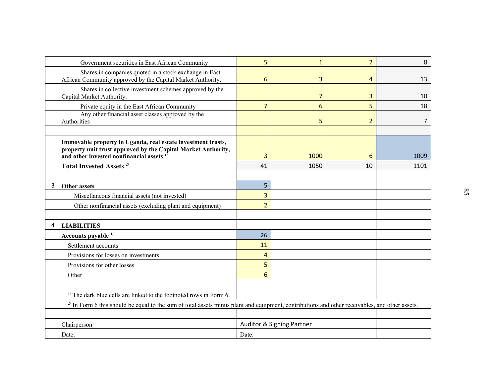| Government securities in East African Community                                                                                                                                                                  | 5              | $\mathbf{1}$              | $\overline{2}$ | 8    |
|------------------------------------------------------------------------------------------------------------------------------------------------------------------------------------------------------------------|----------------|---------------------------|----------------|------|
| Shares in companies quoted in a stock exchange in East<br>African Community approved by the Capital Market Authority.                                                                                            | 6              | 3                         | 4              | 13   |
| Shares in collective investment schemes approved by the<br>Capital Market Authority.                                                                                                                             |                | $\overline{7}$            | 3              | 10   |
| Private equity in the East African Community                                                                                                                                                                     | $\overline{7}$ | 6                         | 5              | 18   |
| Any other financial asset classes approved by the<br>Authorities                                                                                                                                                 |                | 5                         | $\overline{2}$ | 7    |
| Immovable property in Uganda, real estate investment trusts,<br>property unit trust approved by the Capital Market Authority,<br>and other invested nonfinancial assets $1$ <sup><math>\overline{1}</math></sup> | 3              | 1000                      | 6              | 1009 |
| Total Invested Assets <sup>2/</sup>                                                                                                                                                                              | 41             | 1050                      | 10             | 1101 |
|                                                                                                                                                                                                                  |                |                           |                |      |
| 3<br>Other assets                                                                                                                                                                                                | 5 <sup>1</sup> |                           |                |      |
| Miscellaneous financial assets (not invested)                                                                                                                                                                    | 3              |                           |                |      |
| Other nonfinancial assets (excluding plant and equipment)                                                                                                                                                        | $\overline{2}$ |                           |                |      |
| 4<br><b>LIABILITIES</b>                                                                                                                                                                                          |                |                           |                |      |
| Accounts payable 1/                                                                                                                                                                                              | 26             |                           |                |      |
| Settlement accounts                                                                                                                                                                                              | 11             |                           |                |      |
| Provisions for losses on investments                                                                                                                                                                             | $\overline{4}$ |                           |                |      |
| Provisions for other losses                                                                                                                                                                                      | 5              |                           |                |      |
| Other                                                                                                                                                                                                            | 6              |                           |                |      |
| $1/$ The dark blue cells are linked to the footnoted rows in Form 6.                                                                                                                                             |                |                           |                |      |
| $^{2}$ In Form 6 this should be equal to the sum of total assets minus plant and equipment, contributions and other receivables, and other assets.                                                               |                |                           |                |      |
| Chairperson                                                                                                                                                                                                      |                | Auditor & Signing Partner |                |      |
| Date:                                                                                                                                                                                                            | Date:          |                           |                |      |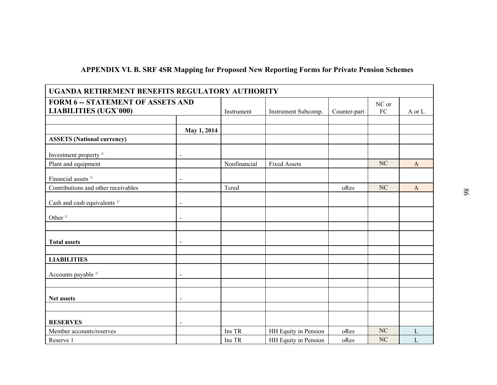|  |  |  | APPENDIX VI. B. SRF 4SR Mapping for Proposed New Reporting Forms for Private Pension Schemes |
|--|--|--|----------------------------------------------------------------------------------------------|
|  |  |  |                                                                                              |

| <b>APPENDIX VI. B. SRF 4SR Mapping for Proposed New Reporting Forms for Private Pension Schemes</b> |                          |              |                      |              |                     |              |    |
|-----------------------------------------------------------------------------------------------------|--------------------------|--------------|----------------------|--------------|---------------------|--------------|----|
| UGANDA RETIREMENT BENEFITS REGULATORY AUTHORITY                                                     |                          |              |                      |              |                     |              |    |
| <b>FORM 6 -- STATEMENT OF ASSETS AND</b><br><b>LIABILITIES (UGX'000)</b>                            |                          | Instrument   | Instrument Subcomp.  | Counter-part | NC or<br>${\rm FC}$ | A or L       |    |
|                                                                                                     | May 1, 2014              |              |                      |              |                     |              |    |
| <b>ASSETS</b> (National currency)                                                                   |                          |              |                      |              |                     |              |    |
| Investment property <sup>1/</sup>                                                                   | $\overline{a}$           |              |                      |              |                     |              |    |
| Plant and equipment                                                                                 |                          | Nonfinancial | <b>Fixed Assets</b>  |              | NC                  | $\mathbf{A}$ |    |
| Financial assets <sup>1/</sup>                                                                      |                          |              |                      |              |                     |              |    |
| Contributions and other receivables                                                                 |                          | Tcred        |                      | oRes         | <b>NC</b>           | $\mathbf{A}$ | 98 |
| Cash and cash equivalents <sup>1/</sup>                                                             | $\overline{a}$           |              |                      |              |                     |              |    |
| Other $1/$                                                                                          | $\blacksquare$           |              |                      |              |                     |              |    |
|                                                                                                     |                          |              |                      |              |                     |              |    |
| <b>Total assets</b>                                                                                 | $\blacksquare$           |              |                      |              |                     |              |    |
| <b>LIABILITIES</b>                                                                                  |                          |              |                      |              |                     |              |    |
|                                                                                                     |                          |              |                      |              |                     |              |    |
| Accounts payable 1/                                                                                 | $\overline{a}$           |              |                      |              |                     |              |    |
| Net assets                                                                                          | $\overline{\phantom{0}}$ |              |                      |              |                     |              |    |
|                                                                                                     |                          |              |                      |              |                     |              |    |
| <b>RESERVES</b>                                                                                     |                          |              |                      |              |                     |              |    |
| Member accounts/reserves                                                                            |                          | Ins TR       | HH Equity in Pension | oRes         | NC                  | $\mathbf L$  |    |
| Reserve 1                                                                                           |                          | Ins TR       | HH Equity in Pension | oRes         | NC                  | $\mathbf L$  |    |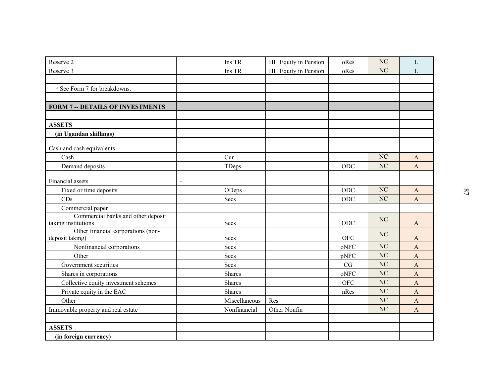| Reserve 2                                             | Ins TR        | HH Equity in Pension | oRes       | $\rm NC$  | $\mathbf{L}$          |  |
|-------------------------------------------------------|---------------|----------------------|------------|-----------|-----------------------|--|
| Reserve 3                                             | Ins TR        | HH Equity in Pension | oRes       | NC        | $\mathbf{L}$          |  |
|                                                       |               |                      |            |           |                       |  |
| $1/$ See Form 7 for breakdowns.                       |               |                      |            |           |                       |  |
|                                                       |               |                      |            |           |                       |  |
| <b>FORM 7 -- DETAILS OF INVESTMENTS</b>               |               |                      |            |           |                       |  |
|                                                       |               |                      |            |           |                       |  |
| <b>ASSETS</b>                                         |               |                      |            |           |                       |  |
| (in Ugandan shillings)                                |               |                      |            |           |                       |  |
| Cash and cash equivalents                             |               |                      |            |           |                       |  |
| Cash                                                  | Cur           |                      |            | $\rm NC$  | A                     |  |
| Demand deposits                                       | TDeps         |                      | $\rm ODC$  | <b>NC</b> | $\mathbf{A}$          |  |
| Financial assets                                      |               |                      |            |           |                       |  |
| Fixed or time deposits                                | ODeps         |                      | ODC        | NC        | $\mathbf{A}$          |  |
| CDs                                                   | Secs          |                      | ODC        | NC        | $\mathbf{A}$          |  |
| Commercial paper                                      |               |                      |            |           |                       |  |
| Commercial banks and other deposit                    |               |                      |            | NC        |                       |  |
| taking institutions                                   | Secs          |                      | ODC        |           | $\mathbf{A}$          |  |
| Other financial corporations (non-<br>deposit taking) | Secs          |                      | <b>OFC</b> | NC        | $\mathbf{A}$          |  |
| Nonfinancial corporations                             | Secs          |                      | oNFC       | NC        | $\mathbf{A}$          |  |
| Other                                                 | Secs          |                      | pNFC       | NC        | $\mathbf{A}$          |  |
| Government securities                                 | Secs          |                      | $\rm{CG}$  | $\rm NC$  | $\boldsymbol{\rm{A}}$ |  |
| Shares in corporations                                | Shares        |                      | oNFC       | NC        | $\boldsymbol{\rm{A}}$ |  |
| Collective equity investment schemes                  | Shares        |                      | <b>OFC</b> | NC        | $\mathbf{A}$          |  |
| Private equity in the EAC                             | Shares        |                      | nRes       | NC        | $\mathbf{A}$          |  |
| Other                                                 | Miscellaneous | Res                  |            | NC        | $\mathbf{A}$          |  |
| Immovable property and real estate                    | Nonfinancial  | Other Nonfin         |            | NC        | $\mathbf{A}$          |  |
|                                                       |               |                      |            |           |                       |  |
| <b>ASSETS</b>                                         |               |                      |            |           |                       |  |
| (in foreign currency)                                 |               |                      |            |           |                       |  |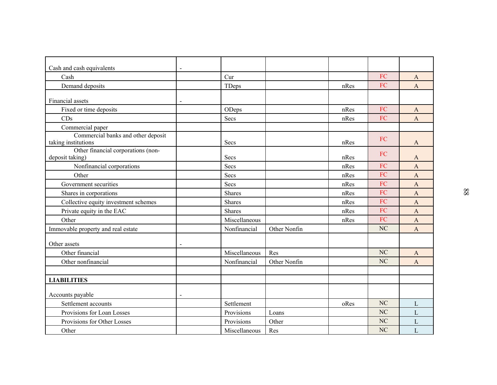| Cash and cash equivalents                                 | $\blacksquare$ |               |              |      |                |                       |    |
|-----------------------------------------------------------|----------------|---------------|--------------|------|----------------|-----------------------|----|
| Cash                                                      |                | Cur           |              |      | ${\rm FC}$     | A                     |    |
| Demand deposits                                           |                | TDeps         |              | nRes | FC             | $\mathbf{A}$          |    |
|                                                           |                |               |              |      |                |                       |    |
| Financial assets                                          |                |               |              |      |                |                       |    |
| Fixed or time deposits                                    |                | ODeps         |              | nRes | ${\rm FC}$     | $\mathbf{A}$          |    |
| CDs                                                       |                | Secs          |              | nRes | FC             | $\mathbf{A}$          |    |
| Commercial paper                                          |                |               |              |      |                |                       |    |
| Commercial banks and other deposit                        |                |               |              |      | FC             |                       |    |
| taking institutions<br>Other financial corporations (non- |                | Secs          |              | nRes |                | $\mathbf{A}$          |    |
| deposit taking)                                           |                | Secs          |              | nRes | FC             | A                     |    |
| Nonfinancial corporations                                 |                | Secs          |              | nRes | FC             | $\overline{A}$        |    |
| Other                                                     |                | Secs          |              | nRes | FC             | $\mathbf{A}$          |    |
| Government securities                                     |                | Secs          |              | nRes | FC             | $\mathbf{A}$          |    |
| Shares in corporations                                    |                | <b>Shares</b> |              | nRes | FC             | $\mathbf{A}$          | 88 |
| Collective equity investment schemes                      |                | Shares        |              | nRes | FC             | $\mathbf{A}$          |    |
| Private equity in the EAC                                 |                | Shares        |              | nRes | FC             | $\boldsymbol{\rm{A}}$ |    |
| Other                                                     |                | Miscellaneous |              | nRes | ${\rm FC}$     | $\mathbf{A}$          |    |
| Immovable property and real estate                        |                | Nonfinancial  | Other Nonfin |      | NC             | $\mathbf{A}$          |    |
|                                                           |                |               |              |      |                |                       |    |
| Other assets                                              |                |               |              |      |                |                       |    |
| Other financial                                           |                | Miscellaneous | Res          |      | NC             | A                     |    |
| Other nonfinancial                                        |                | Nonfinancial  | Other Nonfin |      | NC             | $\mathbf{A}$          |    |
|                                                           |                |               |              |      |                |                       |    |
| <b>LIABILITIES</b>                                        |                |               |              |      |                |                       |    |
| Accounts payable                                          |                |               |              |      |                |                       |    |
| Settlement accounts                                       |                | Settlement    |              | oRes | NC             | L                     |    |
| Provisions for Loan Losses                                |                | Provisions    | Loans        |      | N <sub>C</sub> | $\mathbf L$           |    |
| Provisions for Other Losses                               |                | Provisions    | Other        |      | N <sub>C</sub> | $\mathbf L$           |    |
| Other                                                     |                | Miscellaneous | Res          |      | NC             | $\overline{L}$        |    |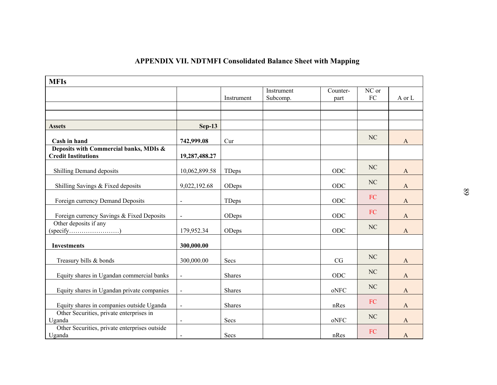|                                                                      |                          |               | <b>APPENDIX VII. NDTMFI Consolidated Balance Sheet with Mapping</b> |                  |                     |              |
|----------------------------------------------------------------------|--------------------------|---------------|---------------------------------------------------------------------|------------------|---------------------|--------------|
| <b>MFIs</b>                                                          |                          | Instrument    | Instrument<br>Subcomp.                                              | Counter-<br>part | NC or<br>${\rm FC}$ | A or L       |
|                                                                      |                          |               |                                                                     |                  |                     |              |
| <b>Assets</b>                                                        | $Sep-13$                 |               |                                                                     |                  |                     |              |
| Cash in hand                                                         | 742,999.08               | Cur           |                                                                     |                  | N <sub>C</sub>      | $\mathbf{A}$ |
| Deposits with Commercial banks, MDIs &<br><b>Credit Institutions</b> | 19,287,488.27            |               |                                                                     |                  |                     |              |
| Shilling Demand deposits                                             | 10,062,899.58            | TDeps         |                                                                     | ODC              | NC                  | A            |
| Shilling Savings & Fixed deposits                                    | 9,022,192.68             | ODeps         |                                                                     | ODC              | NC                  | $\mathbf{A}$ |
| Foreign currency Demand Deposits                                     |                          | TDeps         |                                                                     | ODC              | FC                  | A            |
| Foreign currency Savings & Fixed Deposits                            |                          | ODeps         |                                                                     | ODC              | FC                  | $\mathbf{A}$ |
| Other deposits if any<br>$(specify \dots \dots \dots \dots \dots)$   | 179,952.34               | ODeps         |                                                                     | $ODC$            | NC                  | $\mathbf{A}$ |
| <b>Investments</b>                                                   | 300,000.00               |               |                                                                     |                  |                     |              |
| Treasury bills & bonds                                               | 300,000.00               | Secs          |                                                                     | CG               | NC                  | $\mathbf{A}$ |
| Equity shares in Ugandan commercial banks                            | $\blacksquare$           | Shares        |                                                                     | ODC              | NC                  | $\mathbf{A}$ |
| Equity shares in Ugandan private companies                           |                          | Shares        |                                                                     | oNFC             | $\rm NC$            | $\mathbf{A}$ |
| Equity shares in companies outside Uganda                            | $\overline{\phantom{0}}$ | <b>Shares</b> |                                                                     | nRes             | FC                  | $\mathbf{A}$ |
| Other Securities, private enterprises in<br>Uganda                   |                          | Secs          |                                                                     | oNFC             | $\rm NC$            | $\mathbf{A}$ |
| Other Securities, private enterprises outside<br>Uganda              | $\sim$                   | Secs          |                                                                     | nRes             | FC                  | $\mathbf{A}$ |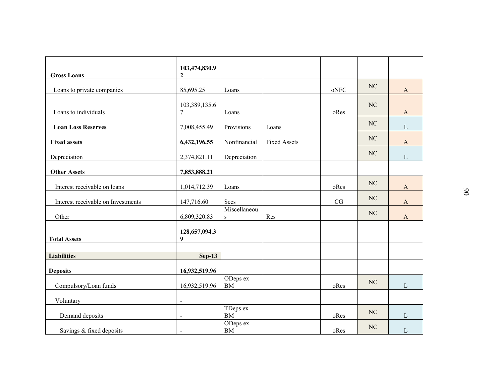|                                    | 103,474,830.9                     |                        |                     |                                                                                                                                    |          |                       |          |
|------------------------------------|-----------------------------------|------------------------|---------------------|------------------------------------------------------------------------------------------------------------------------------------|----------|-----------------------|----------|
| <b>Gross Loans</b>                 | $\overline{2}$                    |                        |                     |                                                                                                                                    |          |                       |          |
| Loans to private companies         | 85,695.25                         | Loans                  |                     | $\mathop{\rm oNFC}\nolimits$                                                                                                       | NC       | $\mathbf{A}$          |          |
|                                    | 103,389,135.6                     |                        |                     |                                                                                                                                    | NC       |                       |          |
| Loans to individuals               | $\tau$                            | Loans                  |                     | oRes                                                                                                                               |          | $\mathbf{A}$          |          |
| <b>Loan Loss Reserves</b>          | 7,008,455.49                      | Provisions             | Loans               |                                                                                                                                    | NC       | $\mathbf L$           |          |
| <b>Fixed assets</b>                | 6,432,196.55                      | Nonfinancial           | <b>Fixed Assets</b> |                                                                                                                                    | NC       | $\mathbf{A}$          |          |
|                                    |                                   |                        |                     |                                                                                                                                    | $\rm NC$ |                       |          |
| Depreciation                       | 2,374,821.11                      | Depreciation           |                     |                                                                                                                                    |          | $\mathbf L$           |          |
| <b>Other Assets</b>                | 7,853,888.21                      |                        |                     |                                                                                                                                    |          |                       |          |
| Interest receivable on loans       | 1,014,712.39                      | Loans                  |                     | oRes                                                                                                                               | NC       | $\mathbf{A}$          |          |
| Interest receivable on Investments | 147,716.60                        | Secs                   |                     | $\rm{CG}$                                                                                                                          | NC       | $\mathbf{A}$          | $\delta$ |
|                                    |                                   | Miscellaneou           |                     |                                                                                                                                    | NC       |                       |          |
| Other                              | 6,809,320.83                      | $\, {\bf S}$           | Res                 |                                                                                                                                    |          | $\boldsymbol{\rm{A}}$ |          |
| <b>Total Assets</b>                | 128,657,094.3<br>$\boldsymbol{9}$ |                        |                     |                                                                                                                                    |          |                       |          |
|                                    |                                   |                        |                     |                                                                                                                                    |          |                       |          |
| <b>Liabilities</b>                 | $Sep-13$                          |                        |                     |                                                                                                                                    |          |                       |          |
| <b>Deposits</b>                    | 16,932,519.96                     |                        |                     |                                                                                                                                    |          |                       |          |
| Compulsory/Loan funds              | 16,932,519.96                     | ODeps ex<br>${\rm BM}$ |                     | oRes                                                                                                                               | NC       | $\mathbf L$           |          |
| Voluntary                          | $\overline{a}$                    |                        |                     |                                                                                                                                    |          |                       |          |
| Demand deposits                    | $\overline{a}$                    | TDeps ex<br>${\rm BM}$ |                     | $\mathrm{oRes}% \left\vert \mathcal{H}\right\vert =\mathrm{res}(\mathrm{ev}_{\mathrm{ev}}% )\left\vert \mathcal{H}% \right\vert )$ | NC       | $\mathbf{L}$          |          |
| Savings & fixed deposits           |                                   | ODeps ex<br>${\rm BM}$ |                     | oRes                                                                                                                               | $\rm NC$ | $\mathbf{L}$          |          |
|                                    |                                   |                        |                     |                                                                                                                                    |          |                       |          |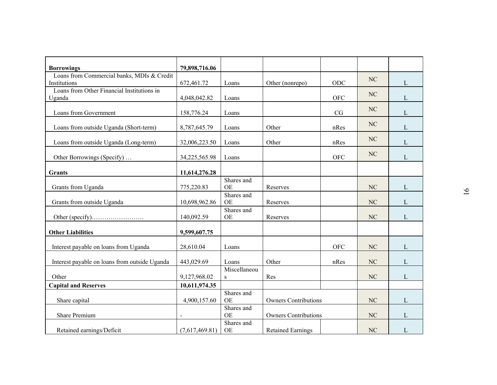| <b>Borrowings</b>                             | 79,898,716.06  |                         |                             |            |                |              |                |
|-----------------------------------------------|----------------|-------------------------|-----------------------------|------------|----------------|--------------|----------------|
| Loans from Commercial banks, MDIs & Credit    |                |                         |                             |            |                |              |                |
| Institutions                                  | 672,461.72     | Loans                   | Other (nonrepo)             | ODC        | NC             | L            |                |
| Loans from Other Financial Institutions in    |                |                         |                             |            | NC             |              |                |
| Uganda                                        | 4,048,042.82   | Loans                   |                             | <b>OFC</b> |                | $\mathbf{L}$ |                |
| Loans from Government                         | 158,776.24     | Loans                   |                             | CG         | N <sub>C</sub> | $\mathbf{L}$ |                |
|                                               |                |                         |                             |            |                |              |                |
| Loans from outside Uganda (Short-term)        | 8,787,645.79   | Loans                   | Other                       | nRes       | NC             | L            |                |
|                                               |                |                         |                             |            | NC             |              |                |
| Loans from outside Uganda (Long-term)         | 32,006,223.50  | Loans                   | Other                       | nRes       |                | $\mathbf{L}$ |                |
| Other Borrowings (Specify)                    | 34,225,565.98  | Loans                   |                             | <b>OFC</b> | NC             | L            |                |
|                                               |                |                         |                             |            |                |              |                |
| Grants                                        | 11,614,276.28  |                         |                             |            |                |              |                |
|                                               |                | Shares and              |                             |            |                |              |                |
| Grants from Uganda                            | 775,220.83     | OE<br>Shares and        | Reserves                    |            | NC             | $\mathbf L$  | $\overline{6}$ |
| Grants from outside Uganda                    | 10,698,962.86  | <b>OE</b>               | Reserves                    |            | NC             | $\mathbf{L}$ |                |
|                                               |                | Shares and              |                             |            |                |              |                |
|                                               | 140,092.59     | <b>OE</b>               | Reserves                    |            | NC             | L            |                |
|                                               |                |                         |                             |            |                |              |                |
| <b>Other Liabilities</b>                      | 9,599,607.75   |                         |                             |            |                |              |                |
| Interest payable on loans from Uganda         | 28,610.04      | Loans                   |                             | <b>OFC</b> | NC             | L            |                |
|                                               |                |                         |                             |            |                |              |                |
| Interest payable on loans from outside Uganda | 443,029.69     | Loans                   | Other                       | nRes       | NC             | $\mathbf{L}$ |                |
|                                               |                | Miscellaneou            |                             |            |                |              |                |
| Other                                         | 9,127,968.02   | ${\bf S}$               | Res                         |            | N <sub>C</sub> | $\mathbf L$  |                |
| <b>Capital and Reserves</b>                   | 10,611,974.35  |                         |                             |            |                |              |                |
| Share capital                                 | 4,900,157.60   | Shares and<br><b>OE</b> | <b>Owners Contributions</b> |            | NC             | $\mathbf{L}$ |                |
|                                               |                | Shares and              |                             |            |                |              |                |
| Share Premium                                 |                | <b>OE</b>               | <b>Owners Contributions</b> |            | NC             | $\mathbf{L}$ |                |
|                                               |                | Shares and              |                             |            |                |              |                |
| Retained earnings/Deficit                     | (7,617,469.81) | <b>OE</b>               | <b>Retained Earnings</b>    |            | NC             | $\mathbf{L}$ |                |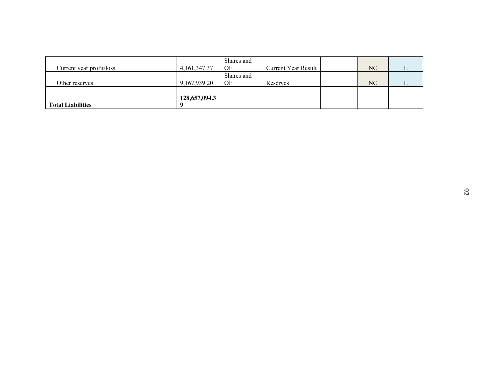|                          |                    | Shares and              |                     |          |             |
|--------------------------|--------------------|-------------------------|---------------------|----------|-------------|
| Current year profit/loss | 4, 161, 347. 37    | $\mathrm{OE}$           | Current Year Result | $\rm NC$ | $\mathbf L$ |
| Other reserves           | 9,167,939.20       | Shares and<br>$\rm{OE}$ | Reserves            | $\rm NC$ | $\mathbf L$ |
| <b>Total Liabilities</b> | 128,657,094.3<br>9 |                         |                     |          |             |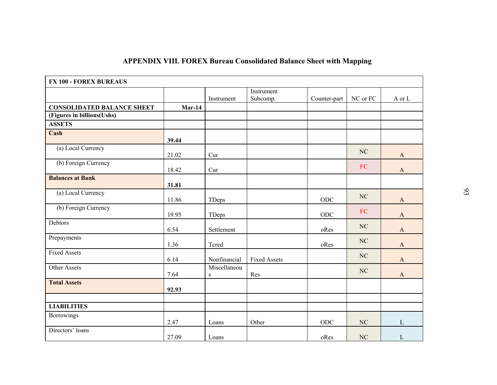|                                   |          |                           | <b>APPENDIX VIII. FOREX Bureau Consolidated Balance Sheet with Mapping</b> |              |                      |                       |
|-----------------------------------|----------|---------------------------|----------------------------------------------------------------------------|--------------|----------------------|-----------------------|
|                                   |          |                           |                                                                            |              |                      |                       |
| <b>FX 100 - FOREX BUREAUS</b>     |          |                           |                                                                            |              |                      |                       |
|                                   |          | Instrument                | Instrument<br>Subcomp.                                                     | Counter-part | $\rm NC$ or $\rm FC$ | A or L                |
| <b>CONSOLIDATED BALANCE SHEET</b> | $Mar-14$ |                           |                                                                            |              |                      |                       |
| (Figures in billions(Ushs)        |          |                           |                                                                            |              |                      |                       |
| <b>ASSETS</b>                     |          |                           |                                                                            |              |                      |                       |
| Cash                              | 39.44    |                           |                                                                            |              |                      |                       |
| (a) Local Currency                | 21.02    | Cur                       |                                                                            |              | NC                   | $\mathbf{A}$          |
| (b) Foreign Currency              | 18.42    | Cur                       |                                                                            |              | FC                   | $\mathbf{A}$          |
| <b>Balances at Bank</b>           |          |                           |                                                                            |              |                      |                       |
|                                   | 31.81    |                           |                                                                            |              |                      |                       |
| (a) Local Currency                | 11.86    | TDeps                     |                                                                            | $ODC$        | NC                   | $\mathbf{A}$          |
| (b) Foreign Currency              | 19.95    | TDeps                     |                                                                            | ODC          | FC                   | $\mathbf{A}$          |
| Debtors                           | 6.54     | Settlement                |                                                                            | oRes         | NC                   | $\mathbf{A}$          |
| Prepayments                       | 1.36     | Tcred                     |                                                                            | oRes         | NC                   | $\mathbf{A}$          |
| <b>Fixed Assets</b>               |          |                           |                                                                            |              | NC                   |                       |
|                                   | 6.14     | Nonfinancial              | <b>Fixed Assets</b>                                                        |              |                      | $\mathbf{A}$          |
| Other Assets                      | 7.64     | Miscellaneou<br>${\bf S}$ | Res                                                                        |              | NC                   | $\boldsymbol{\rm{A}}$ |
| <b>Total Assets</b>               |          |                           |                                                                            |              |                      |                       |
|                                   | 92.93    |                           |                                                                            |              |                      |                       |
| <b>LIABILITIES</b>                |          |                           |                                                                            |              |                      |                       |
| Borrowings                        |          |                           |                                                                            |              |                      |                       |
|                                   | 2.47     | Loans                     | Other                                                                      | $\rm ODC$    | $\rm NC$             | L                     |
| Directors' loans                  | 27.09    | Loans                     |                                                                            | oRes         | NC                   | L                     |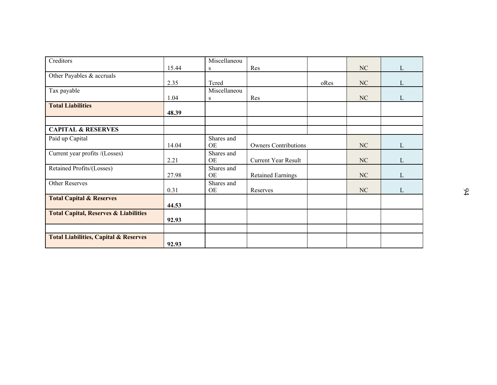| 15.44 | S                                                                         | Res                                                                                               |                                                                              | NC       | $\mathbf L$                      |
|-------|---------------------------------------------------------------------------|---------------------------------------------------------------------------------------------------|------------------------------------------------------------------------------|----------|----------------------------------|
|       |                                                                           |                                                                                                   |                                                                              |          |                                  |
|       |                                                                           |                                                                                                   | oRes                                                                         |          | $\mathbf{L}$                     |
|       |                                                                           |                                                                                                   |                                                                              |          |                                  |
|       | S.                                                                        |                                                                                                   |                                                                              |          | $\mathbf{L}$                     |
|       |                                                                           |                                                                                                   |                                                                              |          |                                  |
|       |                                                                           |                                                                                                   |                                                                              |          |                                  |
|       |                                                                           |                                                                                                   |                                                                              |          |                                  |
|       |                                                                           |                                                                                                   |                                                                              |          |                                  |
|       |                                                                           |                                                                                                   |                                                                              |          | $\mathbf{L}$                     |
|       |                                                                           |                                                                                                   |                                                                              |          |                                  |
|       |                                                                           |                                                                                                   |                                                                              |          | $\mathbf{L}$                     |
|       | Shares and                                                                |                                                                                                   |                                                                              |          |                                  |
| 27.98 | <b>OE</b>                                                                 | <b>Retained Earnings</b>                                                                          |                                                                              | $\rm NC$ | $\mathbf{L}$                     |
|       | Shares and                                                                |                                                                                                   |                                                                              |          |                                  |
|       |                                                                           |                                                                                                   |                                                                              |          | $\mathbf{L}$                     |
|       |                                                                           |                                                                                                   |                                                                              |          |                                  |
|       |                                                                           |                                                                                                   |                                                                              |          |                                  |
|       |                                                                           |                                                                                                   |                                                                              |          |                                  |
|       |                                                                           |                                                                                                   |                                                                              |          |                                  |
|       |                                                                           |                                                                                                   |                                                                              |          |                                  |
|       |                                                                           |                                                                                                   |                                                                              |          |                                  |
|       | 2.35<br>1.04<br>48.39<br>14.04<br>2.21<br>0.31<br>44.53<br>92.93<br>92.93 | Miscellaneou<br>Tcred<br>Miscellaneou<br>Shares and<br><b>OE</b><br>Shares and<br>OE<br><b>OE</b> | Res<br><b>Owners Contributions</b><br><b>Current Year Result</b><br>Reserves |          | NC<br>NC<br>NC<br>NC<br>$\rm NC$ |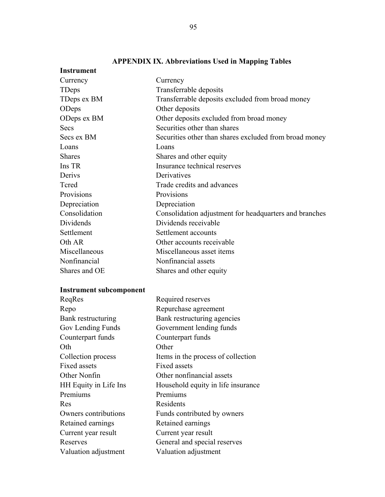| <b>Instrument</b>              |                                                        |  |
|--------------------------------|--------------------------------------------------------|--|
| Currency                       | Currency                                               |  |
| TDeps                          | Transferrable deposits                                 |  |
| TDeps ex BM                    | Transferrable deposits excluded from broad money       |  |
| ODeps                          | Other deposits                                         |  |
| ODeps ex BM                    | Other deposits excluded from broad money               |  |
| Secs                           | Securities other than shares                           |  |
| Secs ex BM                     | Securities other than shares excluded from broad money |  |
| Loans                          | Loans                                                  |  |
| <b>Shares</b>                  | Shares and other equity                                |  |
| Ins TR                         | Insurance technical reserves                           |  |
| Derivs                         | Derivatives                                            |  |
| Tcred                          | Trade credits and advances                             |  |
| Provisions                     | Provisions                                             |  |
| Depreciation                   | Depreciation                                           |  |
| Consolidation                  | Consolidation adjustment for headquarters and branches |  |
| Dividends                      | Dividends receivable                                   |  |
| Settlement                     | Settlement accounts                                    |  |
| Oth AR                         | Other accounts receivable                              |  |
| Miscellaneous                  | Miscellaneous asset items                              |  |
| Nonfinancial                   | Nonfinancial assets                                    |  |
| Shares and OE                  | Shares and other equity                                |  |
| <b>Instrument subcomponent</b> |                                                        |  |
| ReqRes                         | Required reserves                                      |  |
| Repo                           | Repurchase agreement                                   |  |
| Bank restructuring             | Bank restructuring agencies                            |  |
| Gov Lending Funds              | Government lending funds                               |  |
| Counterpart funds              | Counterpart funds                                      |  |
| Oth                            | Other                                                  |  |
| Collection process             | Items in the process of collection                     |  |
| <b>Fixed assets</b>            | Fixed assets                                           |  |
| Other Nonfin                   | Other nonfinancial assets                              |  |
| HH Equity in Life Ins          | Household equity in life insurance                     |  |

Premiums Premiums Res Residents

Retained earnings Retained earnings Current year result Current year result

Valuation adjustment Valuation adjustment

Owners contributions Funds contributed by owners

Reserves General and special reserves

# **APPENDIX IX. Abbreviations Used in Mapping Tables**